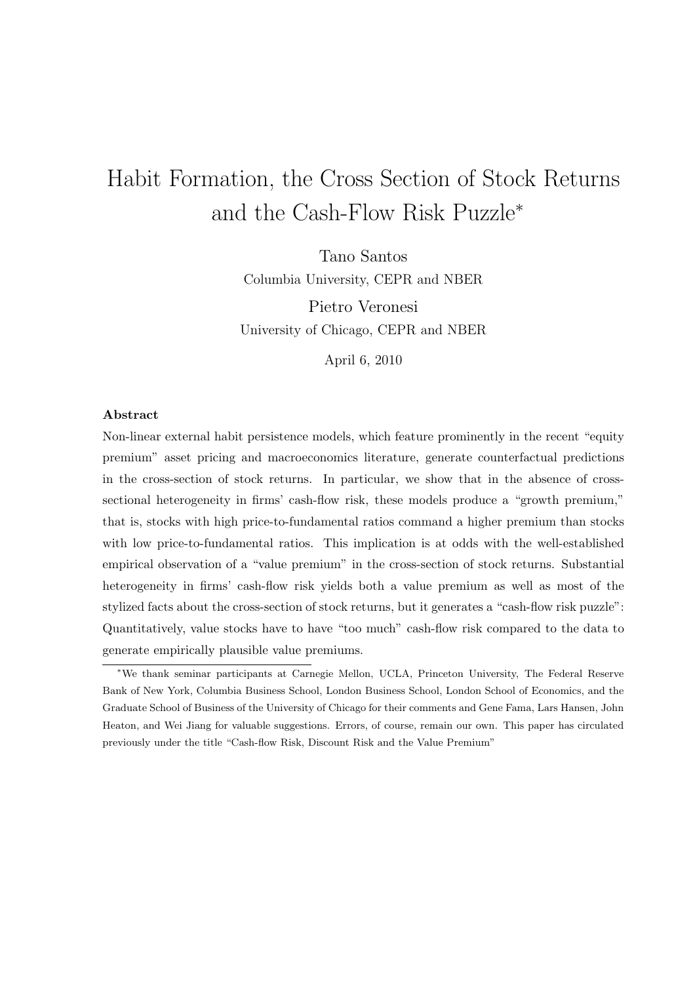# Habit Formation, the Cross Section of Stock Returns and the Cash-Flow Risk Puzzle<sup>∗</sup>

Tano Santos Columbia University, CEPR and NBER

Pietro Veronesi University of Chicago, CEPR and NBER

April 6, 2010

# Abstract

Non-linear external habit persistence models, which feature prominently in the recent "equity premium" asset pricing and macroeconomics literature, generate counterfactual predictions in the cross-section of stock returns. In particular, we show that in the absence of crosssectional heterogeneity in firms' cash-flow risk, these models produce a "growth premium," that is, stocks with high price-to-fundamental ratios command a higher premium than stocks with low price-to-fundamental ratios. This implication is at odds with the well-established empirical observation of a "value premium" in the cross-section of stock returns. Substantial heterogeneity in firms' cash-flow risk yields both a value premium as well as most of the stylized facts about the cross-section of stock returns, but it generates a "cash-flow risk puzzle": Quantitatively, value stocks have to have "too much" cash-flow risk compared to the data to generate empirically plausible value premiums.

<sup>∗</sup>We thank seminar participants at Carnegie Mellon, UCLA, Princeton University, The Federal Reserve Bank of New York, Columbia Business School, London Business School, London School of Economics, and the Graduate School of Business of the University of Chicago for their comments and Gene Fama, Lars Hansen, John Heaton, and Wei Jiang for valuable suggestions. Errors, of course, remain our own. This paper has circulated previously under the title "Cash-flow Risk, Discount Risk and the Value Premium"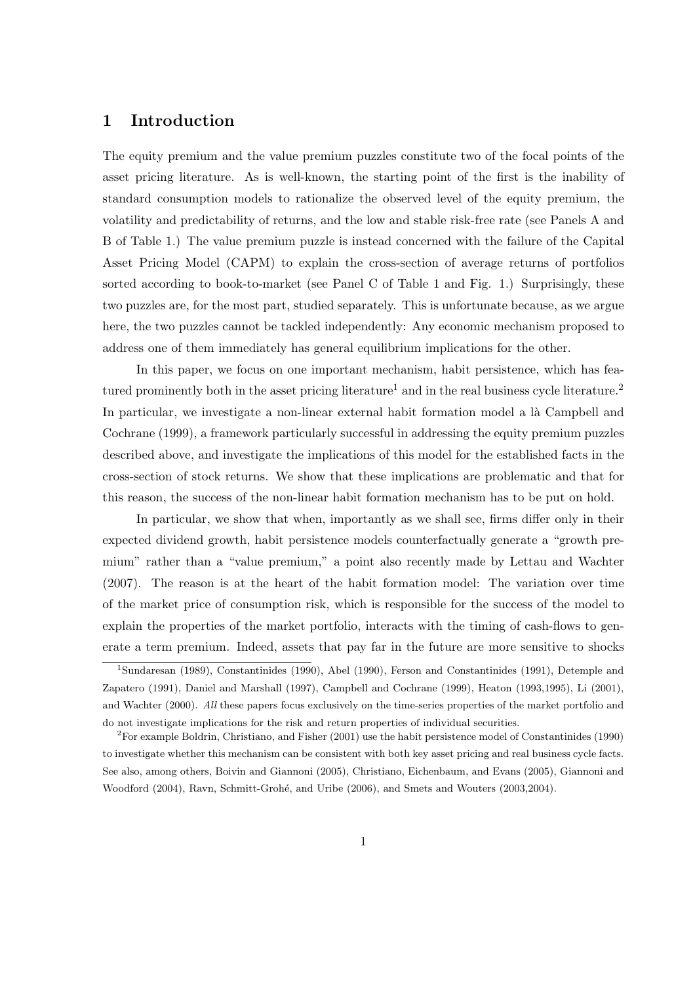# 1 Introduction

The equity premium and the value premium puzzles constitute two of the focal points of the asset pricing literature. As is well-known, the starting point of the first is the inability of standard consumption models to rationalize the observed level of the equity premium, the volatility and predictability of returns, and the low and stable risk-free rate (see Panels A and B of Table 1.) The value premium puzzle is instead concerned with the failure of the Capital Asset Pricing Model (CAPM) to explain the cross-section of average returns of portfolios sorted according to book-to-market (see Panel C of Table 1 and Fig. 1.) Surprisingly, these two puzzles are, for the most part, studied separately. This is unfortunate because, as we argue here, the two puzzles cannot be tackled independently: Any economic mechanism proposed to address one of them immediately has general equilibrium implications for the other.

In this paper, we focus on one important mechanism, habit persistence, which has featured prominently both in the asset pricing literature<sup>1</sup> and in the real business cycle literature.<sup>2</sup> In particular, we investigate a non-linear external habit formation model a là Campbell and Cochrane (1999), a framework particularly successful in addressing the equity premium puzzles described above, and investigate the implications of this model for the established facts in the cross-section of stock returns. We show that these implications are problematic and that for this reason, the success of the non-linear habit formation mechanism has to be put on hold.

In particular, we show that when, importantly as we shall see, firms differ only in their expected dividend growth, habit persistence models counterfactually generate a "growth premium" rather than a "value premium," a point also recently made by Lettau and Wachter (2007). The reason is at the heart of the habit formation model: The variation over time of the market price of consumption risk, which is responsible for the success of the model to explain the properties of the market portfolio, interacts with the timing of cash-flows to generate a term premium. Indeed, assets that pay far in the future are more sensitive to shocks

<sup>1</sup>Sundaresan (1989), Constantinides (1990), Abel (1990), Ferson and Constantinides (1991), Detemple and Zapatero (1991), Daniel and Marshall (1997), Campbell and Cochrane (1999), Heaton (1993,1995), Li (2001), and Wachter (2000). All these papers focus exclusively on the time-series properties of the market portfolio and do not investigate implications for the risk and return properties of individual securities.

<sup>2</sup>For example Boldrin, Christiano, and Fisher (2001) use the habit persistence model of Constantinides (1990) to investigate whether this mechanism can be consistent with both key asset pricing and real business cycle facts. See also, among others, Boivin and Giannoni (2005), Christiano, Eichenbaum, and Evans (2005), Giannoni and Woodford (2004), Ravn, Schmitt-Grohé, and Uribe (2006), and Smets and Wouters (2003,2004).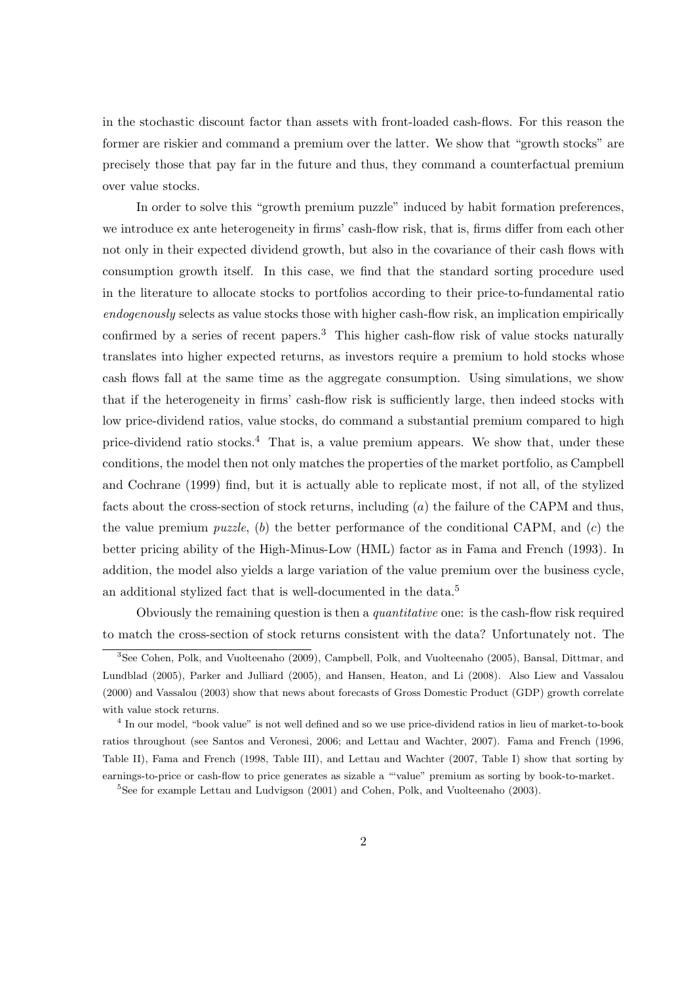in the stochastic discount factor than assets with front-loaded cash-flows. For this reason the former are riskier and command a premium over the latter. We show that "growth stocks" are precisely those that pay far in the future and thus, they command a counterfactual premium over value stocks.

In order to solve this "growth premium puzzle" induced by habit formation preferences, we introduce ex ante heterogeneity in firms' cash-flow risk, that is, firms differ from each other not only in their expected dividend growth, but also in the covariance of their cash flows with consumption growth itself. In this case, we find that the standard sorting procedure used in the literature to allocate stocks to portfolios according to their price-to-fundamental ratio endogenously selects as value stocks those with higher cash-flow risk, an implication empirically confirmed by a series of recent papers.<sup>3</sup> This higher cash-flow risk of value stocks naturally translates into higher expected returns, as investors require a premium to hold stocks whose cash flows fall at the same time as the aggregate consumption. Using simulations, we show that if the heterogeneity in firms' cash-flow risk is sufficiently large, then indeed stocks with low price-dividend ratios, value stocks, do command a substantial premium compared to high price-dividend ratio stocks.<sup>4</sup> That is, a value premium appears. We show that, under these conditions, the model then not only matches the properties of the market portfolio, as Campbell and Cochrane (1999) find, but it is actually able to replicate most, if not all, of the stylized facts about the cross-section of stock returns, including (a) the failure of the CAPM and thus, the value premium *puzzle*, (b) the better performance of the conditional CAPM, and  $(c)$  the better pricing ability of the High-Minus-Low (HML) factor as in Fama and French (1993). In addition, the model also yields a large variation of the value premium over the business cycle, an additional stylized fact that is well-documented in the data.<sup>5</sup>

Obviously the remaining question is then a quantitative one: is the cash-flow risk required to match the cross-section of stock returns consistent with the data? Unfortunately not. The

<sup>4</sup> In our model, "book value" is not well defined and so we use price-dividend ratios in lieu of market-to-book ratios throughout (see Santos and Veronesi, 2006; and Lettau and Wachter, 2007). Fama and French (1996, Table II), Fama and French (1998, Table III), and Lettau and Wachter (2007, Table I) show that sorting by earnings-to-price or cash-flow to price generates as sizable a "'value" premium as sorting by book-to-market.

<sup>5</sup>See for example Lettau and Ludvigson (2001) and Cohen, Polk, and Vuolteenaho (2003).

<sup>3</sup>See Cohen, Polk, and Vuolteenaho (2009), Campbell, Polk, and Vuolteenaho (2005), Bansal, Dittmar, and Lundblad (2005), Parker and Julliard (2005), and Hansen, Heaton, and Li (2008). Also Liew and Vassalou (2000) and Vassalou (2003) show that news about forecasts of Gross Domestic Product (GDP) growth correlate with value stock returns.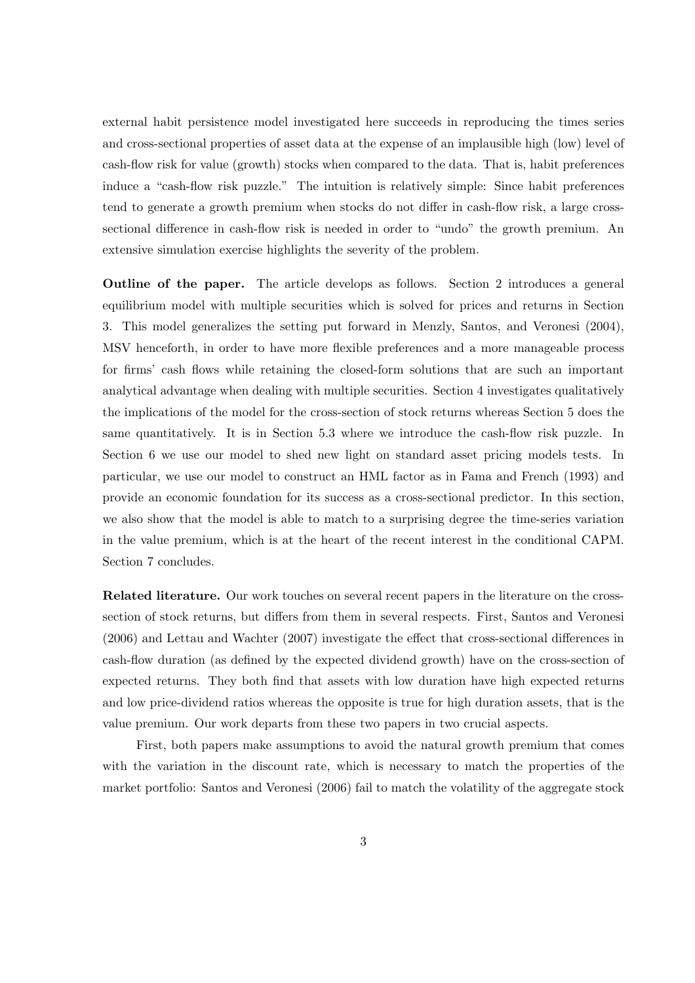external habit persistence model investigated here succeeds in reproducing the times series and cross-sectional properties of asset data at the expense of an implausible high (low) level of cash-flow risk for value (growth) stocks when compared to the data. That is, habit preferences induce a "cash-flow risk puzzle." The intuition is relatively simple: Since habit preferences tend to generate a growth premium when stocks do not differ in cash-flow risk, a large crosssectional difference in cash-flow risk is needed in order to "undo" the growth premium. An extensive simulation exercise highlights the severity of the problem.

Outline of the paper. The article develops as follows. Section 2 introduces a general equilibrium model with multiple securities which is solved for prices and returns in Section 3. This model generalizes the setting put forward in Menzly, Santos, and Veronesi (2004), MSV henceforth, in order to have more flexible preferences and a more manageable process for firms' cash flows while retaining the closed-form solutions that are such an important analytical advantage when dealing with multiple securities. Section 4 investigates qualitatively the implications of the model for the cross-section of stock returns whereas Section 5 does the same quantitatively. It is in Section 5.3 where we introduce the cash-flow risk puzzle. In Section 6 we use our model to shed new light on standard asset pricing models tests. In particular, we use our model to construct an HML factor as in Fama and French (1993) and provide an economic foundation for its success as a cross-sectional predictor. In this section, we also show that the model is able to match to a surprising degree the time-series variation in the value premium, which is at the heart of the recent interest in the conditional CAPM. Section 7 concludes.

Related literature. Our work touches on several recent papers in the literature on the crosssection of stock returns, but differs from them in several respects. First, Santos and Veronesi (2006) and Lettau and Wachter (2007) investigate the effect that cross-sectional differences in cash-flow duration (as defined by the expected dividend growth) have on the cross-section of expected returns. They both find that assets with low duration have high expected returns and low price-dividend ratios whereas the opposite is true for high duration assets, that is the value premium. Our work departs from these two papers in two crucial aspects.

First, both papers make assumptions to avoid the natural growth premium that comes with the variation in the discount rate, which is necessary to match the properties of the market portfolio: Santos and Veronesi (2006) fail to match the volatility of the aggregate stock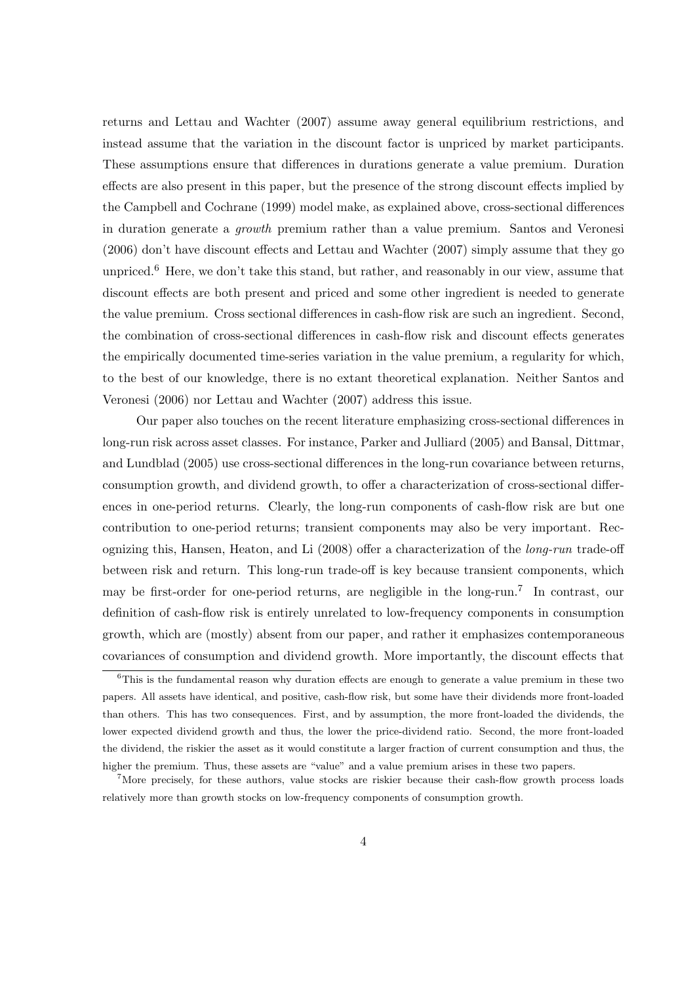returns and Lettau and Wachter (2007) assume away general equilibrium restrictions, and instead assume that the variation in the discount factor is unpriced by market participants. These assumptions ensure that differences in durations generate a value premium. Duration effects are also present in this paper, but the presence of the strong discount effects implied by the Campbell and Cochrane (1999) model make, as explained above, cross-sectional differences in duration generate a growth premium rather than a value premium. Santos and Veronesi (2006) don't have discount effects and Lettau and Wachter (2007) simply assume that they go unpriced.<sup>6</sup> Here, we don't take this stand, but rather, and reasonably in our view, assume that discount effects are both present and priced and some other ingredient is needed to generate the value premium. Cross sectional differences in cash-flow risk are such an ingredient. Second, the combination of cross-sectional differences in cash-flow risk and discount effects generates the empirically documented time-series variation in the value premium, a regularity for which, to the best of our knowledge, there is no extant theoretical explanation. Neither Santos and Veronesi (2006) nor Lettau and Wachter (2007) address this issue.

Our paper also touches on the recent literature emphasizing cross-sectional differences in long-run risk across asset classes. For instance, Parker and Julliard (2005) and Bansal, Dittmar, and Lundblad (2005) use cross-sectional differences in the long-run covariance between returns, consumption growth, and dividend growth, to offer a characterization of cross-sectional differences in one-period returns. Clearly, the long-run components of cash-flow risk are but one contribution to one-period returns; transient components may also be very important. Recognizing this, Hansen, Heaton, and Li (2008) offer a characterization of the long-run trade-off between risk and return. This long-run trade-off is key because transient components, which may be first-order for one-period returns, are negligible in the long-run.<sup>7</sup> In contrast, our definition of cash-flow risk is entirely unrelated to low-frequency components in consumption growth, which are (mostly) absent from our paper, and rather it emphasizes contemporaneous covariances of consumption and dividend growth. More importantly, the discount effects that

 $6$ This is the fundamental reason why duration effects are enough to generate a value premium in these two papers. All assets have identical, and positive, cash-flow risk, but some have their dividends more front-loaded than others. This has two consequences. First, and by assumption, the more front-loaded the dividends, the lower expected dividend growth and thus, the lower the price-dividend ratio. Second, the more front-loaded the dividend, the riskier the asset as it would constitute a larger fraction of current consumption and thus, the higher the premium. Thus, these assets are "value" and a value premium arises in these two papers.

<sup>&</sup>lt;sup>7</sup>More precisely, for these authors, value stocks are riskier because their cash-flow growth process loads relatively more than growth stocks on low-frequency components of consumption growth.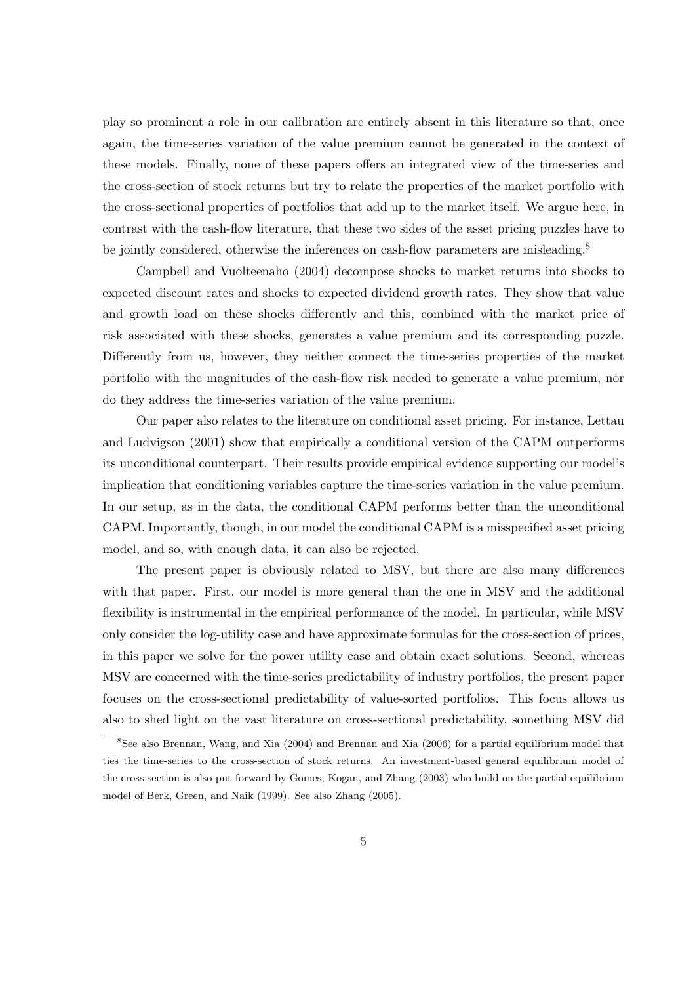play so prominent a role in our calibration are entirely absent in this literature so that, once again, the time-series variation of the value premium cannot be generated in the context of these models. Finally, none of these papers offers an integrated view of the time-series and the cross-section of stock returns but try to relate the properties of the market portfolio with the cross-sectional properties of portfolios that add up to the market itself. We argue here, in contrast with the cash-flow literature, that these two sides of the asset pricing puzzles have to be jointly considered, otherwise the inferences on cash-flow parameters are misleading.<sup>8</sup>

Campbell and Vuolteenaho (2004) decompose shocks to market returns into shocks to expected discount rates and shocks to expected dividend growth rates. They show that value and growth load on these shocks differently and this, combined with the market price of risk associated with these shocks, generates a value premium and its corresponding puzzle. Differently from us, however, they neither connect the time-series properties of the market portfolio with the magnitudes of the cash-flow risk needed to generate a value premium, nor do they address the time-series variation of the value premium.

Our paper also relates to the literature on conditional asset pricing. For instance, Lettau and Ludvigson (2001) show that empirically a conditional version of the CAPM outperforms its unconditional counterpart. Their results provide empirical evidence supporting our model's implication that conditioning variables capture the time-series variation in the value premium. In our setup, as in the data, the conditional CAPM performs better than the unconditional CAPM. Importantly, though, in our model the conditional CAPM is a misspecified asset pricing model, and so, with enough data, it can also be rejected.

The present paper is obviously related to MSV, but there are also many differences with that paper. First, our model is more general than the one in MSV and the additional flexibility is instrumental in the empirical performance of the model. In particular, while MSV only consider the log-utility case and have approximate formulas for the cross-section of prices, in this paper we solve for the power utility case and obtain exact solutions. Second, whereas MSV are concerned with the time-series predictability of industry portfolios, the present paper focuses on the cross-sectional predictability of value-sorted portfolios. This focus allows us also to shed light on the vast literature on cross-sectional predictability, something MSV did

<sup>8</sup>See also Brennan, Wang, and Xia (2004) and Brennan and Xia (2006) for a partial equilibrium model that ties the time-series to the cross-section of stock returns. An investment-based general equilibrium model of the cross-section is also put forward by Gomes, Kogan, and Zhang (2003) who build on the partial equilibrium model of Berk, Green, and Naik (1999). See also Zhang (2005).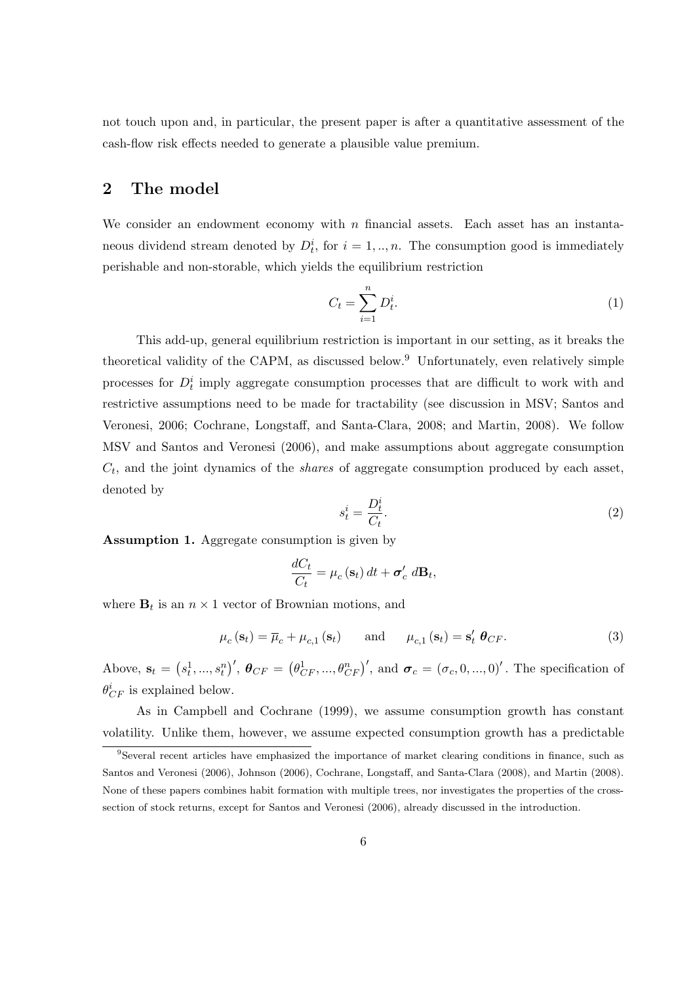not touch upon and, in particular, the present paper is after a quantitative assessment of the cash-flow risk effects needed to generate a plausible value premium.

# 2 The model

We consider an endowment economy with  $n$  financial assets. Each asset has an instantaneous dividend stream denoted by  $D_t^i$ , for  $i = 1, ..., n$ . The consumption good is immediately perishable and non-storable, which yields the equilibrium restriction

$$
C_t = \sum_{i=1}^n D_t^i. \tag{1}
$$

This add-up, general equilibrium restriction is important in our setting, as it breaks the theoretical validity of the CAPM, as discussed below.<sup>9</sup> Unfortunately, even relatively simple processes for  $D_t^i$  imply aggregate consumption processes that are difficult to work with and restrictive assumptions need to be made for tractability (see discussion in MSV; Santos and Veronesi, 2006; Cochrane, Longstaff, and Santa-Clara, 2008; and Martin, 2008). We follow MSV and Santos and Veronesi (2006), and make assumptions about aggregate consumption  $C_t$ , and the joint dynamics of the *shares* of aggregate consumption produced by each asset, denoted by

$$
s_t^i = \frac{D_t^i}{C_t}.\tag{2}
$$

Assumption 1. Aggregate consumption is given by

$$
\frac{dC_t}{C_t} = \mu_c(\mathbf{s}_t) dt + \boldsymbol{\sigma}'_c dB_t,
$$

where  $\mathbf{B}_t$  is an  $n \times 1$  vector of Brownian motions, and

$$
\mu_c(\mathbf{s}_t) = \overline{\mu}_c + \mu_{c,1}(\mathbf{s}_t) \quad \text{and} \quad \mu_{c,1}(\mathbf{s}_t) = \mathbf{s}'_t \ \boldsymbol{\theta}_{CF}. \tag{3}
$$

Above,  $s_t =$ ¡  $s_t^1, ..., s_t^n$  $y', \theta_{CF} =$ ¡  $\theta_{CF}^1, ..., \theta_{CF}^n)'$ , and  $\boldsymbol{\sigma}_c = (\sigma_c, 0, ..., 0)'$ . The specification of  $\theta_{CF}^{i}$  is explained below.

As in Campbell and Cochrane (1999), we assume consumption growth has constant volatility. Unlike them, however, we assume expected consumption growth has a predictable

<sup>9</sup>Several recent articles have emphasized the importance of market clearing conditions in finance, such as Santos and Veronesi (2006), Johnson (2006), Cochrane, Longstaff, and Santa-Clara (2008), and Martin (2008). None of these papers combines habit formation with multiple trees, nor investigates the properties of the crosssection of stock returns, except for Santos and Veronesi (2006), already discussed in the introduction.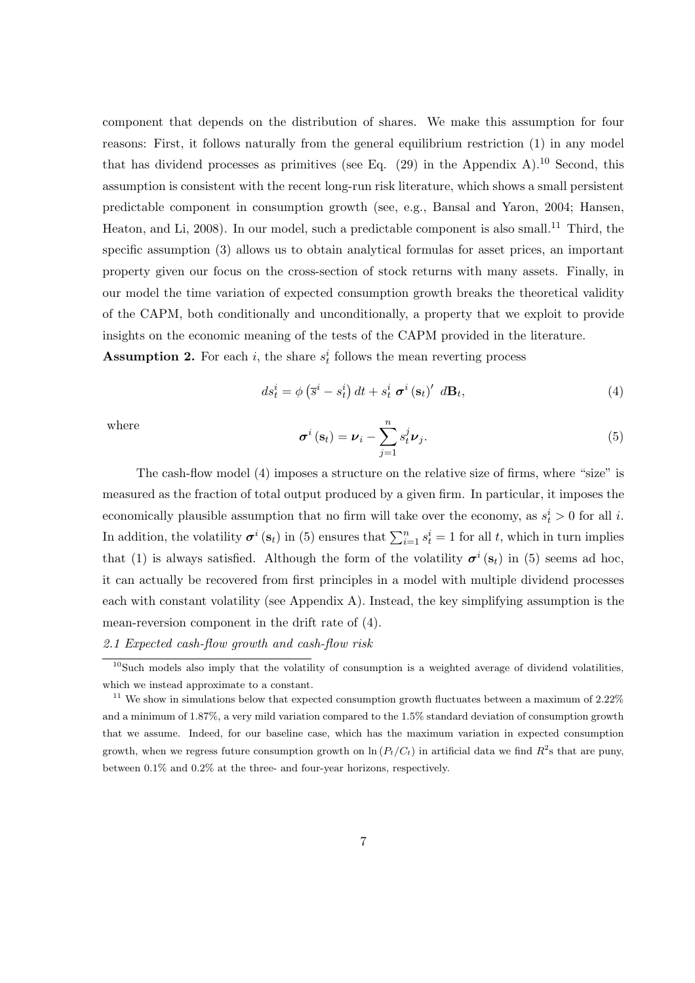component that depends on the distribution of shares. We make this assumption for four reasons: First, it follows naturally from the general equilibrium restriction (1) in any model that has dividend processes as primitives (see Eq.  $(29)$  in the Appendix A).<sup>10</sup> Second, this assumption is consistent with the recent long-run risk literature, which shows a small persistent predictable component in consumption growth (see, e.g., Bansal and Yaron, 2004; Hansen, Heaton, and Li, 2008). In our model, such a predictable component is also small.<sup>11</sup> Third, the specific assumption (3) allows us to obtain analytical formulas for asset prices, an important property given our focus on the cross-section of stock returns with many assets. Finally, in our model the time variation of expected consumption growth breaks the theoretical validity of the CAPM, both conditionally and unconditionally, a property that we exploit to provide insights on the economic meaning of the tests of the CAPM provided in the literature.

**Assumption 2.** For each i, the share  $s_t^i$  follows the mean reverting process

$$
ds_t^i = \phi\left(\bar{s}^i - s_t^i\right)dt + s_t^i \sigma^i\left(\mathbf{s}_t\right)' d\mathbf{B}_t, \tag{4}
$$

where

$$
\boldsymbol{\sigma}^{i}\left(\mathbf{s}_{t}\right)=\boldsymbol{\nu}_{i}-\sum_{j=1}^{n}s_{t}^{j}\boldsymbol{\nu}_{j}.
$$
\n(5)

The cash-flow model (4) imposes a structure on the relative size of firms, where "size" is measured as the fraction of total output produced by a given firm. In particular, it imposes the economically plausible assumption that no firm will take over the economy, as  $s_t^i > 0$  for all i. In addition, the volatility  $\sigma^{i}$  (s<sub>t</sub>) in (5) ensures that  $\sum_{i=1}^{n} s_t^i = 1$  for all t, which in turn implies that (1) is always satisfied. Although the form of the volatility  $\sigma^{i}(s_t)$  in (5) seems ad hoc, it can actually be recovered from first principles in a model with multiple dividend processes each with constant volatility (see Appendix A). Instead, the key simplifying assumption is the mean-reversion component in the drift rate of (4).

# 2.1 Expected cash-flow growth and cash-flow risk

 $10$ Such models also imply that the volatility of consumption is a weighted average of dividend volatilities, which we instead approximate to a constant.

 $11$  We show in simulations below that expected consumption growth fluctuates between a maximum of  $2.22\%$ and a minimum of 1.87%, a very mild variation compared to the 1.5% standard deviation of consumption growth that we assume. Indeed, for our baseline case, which has the maximum variation in expected consumption growth, when we regress future consumption growth on  $\ln(P_t/C_t)$  in artificial data we find  $R^2$ s that are puny, between 0.1% and 0.2% at the three- and four-year horizons, respectively.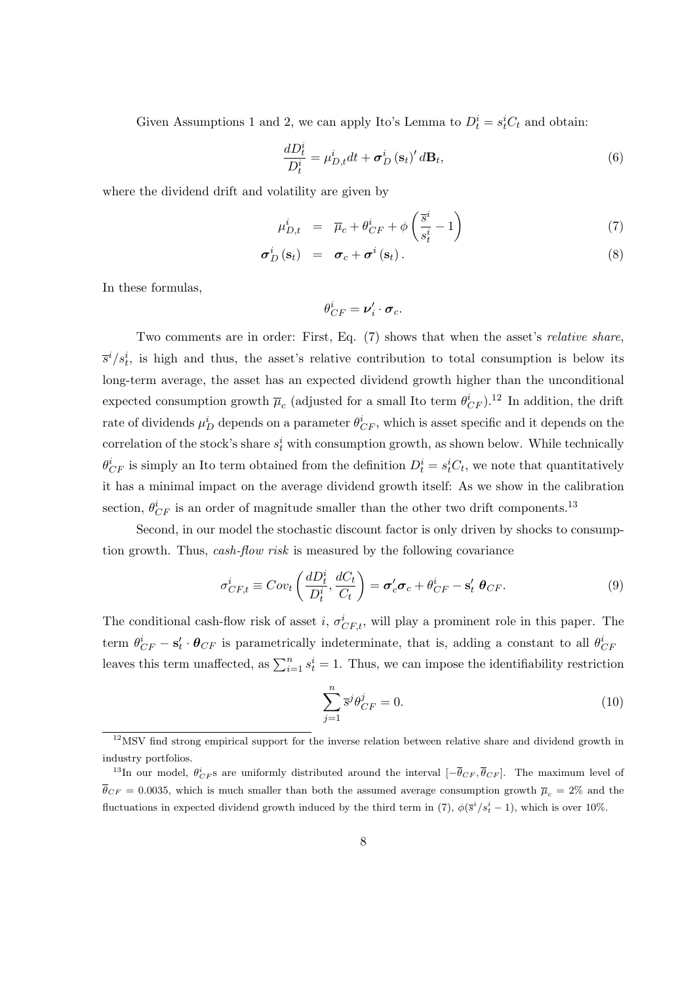Given Assumptions 1 and 2, we can apply Ito's Lemma to  $D_t^i = s_t^i C_t$  and obtain:

$$
\frac{dD_t^i}{D_t^i} = \mu_{D,t}^i dt + \sigma_D^i (\mathbf{s}_t)' d\mathbf{B}_t,
$$
\n(6)

where the dividend drift and volatility are given by

$$
\mu_{D,t}^i = \overline{\mu}_c + \theta_{CF}^i + \phi \left( \frac{\overline{s}^i}{s_t^i} - 1 \right) \tag{7}
$$

$$
\boldsymbol{\sigma}_D^i(\mathbf{s}_t) = \boldsymbol{\sigma}_c + \boldsymbol{\sigma}^i(\mathbf{s}_t). \tag{8}
$$

In these formulas,

$$
\theta_{CF}^i = \boldsymbol{\nu}_i' \cdot \boldsymbol{\sigma}_c.
$$

Two comments are in order: First, Eq. (7) shows that when the asset's relative share,  $\overline{s}^i/s_t^i$ , is high and thus, the asset's relative contribution to total consumption is below its long-term average, the asset has an expected dividend growth higher than the unconditional expected consumption growth  $\bar{\mu}_c$  (adjusted for a small Ito term  $\theta^i_{CF}$ ).<sup>12</sup> In addition, the drift rate of dividends  $\mu_D^i$  depends on a parameter  $\theta_{CF}^i$ , which is asset specific and it depends on the correlation of the stock's share  $s_t^i$  with consumption growth, as shown below. While technically  $\theta_{CF}^{i}$  is simply an Ito term obtained from the definition  $D_t^{i} = s_t^{i}C_t$ , we note that quantitatively it has a minimal impact on the average dividend growth itself: As we show in the calibration section,  $\theta_{CF}^i$  is an order of magnitude smaller than the other two drift components.<sup>13</sup>

Second, in our model the stochastic discount factor is only driven by shocks to consumption growth. Thus, cash-flow risk is measured by the following covariance

$$
\sigma_{CF,t}^i \equiv Cov_t \left( \frac{dD_t^i}{D_t^i}, \frac{dC_t}{C_t} \right) = \sigma_c' \sigma_c + \theta_{CF}^i - \mathbf{s}_t' \ \theta_{CF}.
$$
\n(9)

The conditional cash-flow risk of asset *i*,  $\sigma_{CF,t}^i$ , will play a prominent role in this paper. The term  $\theta_{CF}^i - \mathbf{s}'_t \cdot \theta_{CF}$  is parametrically indeterminate, that is, adding a constant to all  $\theta_{CF}^i$ leaves this term unaffected, as  $\sum_{i=1}^{n} s_t^i = 1$ . Thus, we can impose the identifiability restriction

$$
\sum_{j=1}^{n} \overline{s}^{j} \theta_{CF}^{j} = 0. \tag{10}
$$

 $12$ MSV find strong empirical support for the inverse relation between relative share and dividend growth in industry portfolios.

<sup>&</sup>lt;sup>13</sup>In our model,  $\theta_{CF}^i$ s are uniformly distributed around the interval  $[-\bar{\theta}_{CF}, \bar{\theta}_{CF}]$ . The maximum level of  $\bar{\theta}_{CF} = 0.0035$ , which is much smaller than both the assumed average consumption growth  $\bar{\mu}_c = 2\%$  and the fluctuations in expected dividend growth induced by the third term in (7),  $\phi(\bar{s}^i/s_t^i - 1)$ , which is over 10%.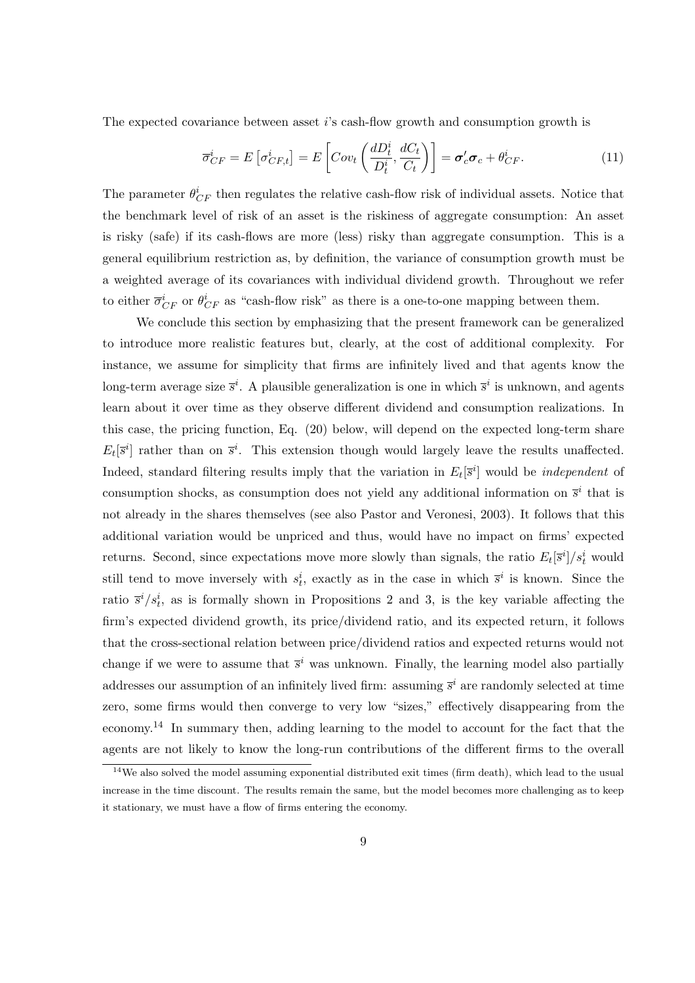The expected covariance between asset i's cash-flow growth and consumption growth is

$$
\overline{\sigma}_{CF}^{i} = E\left[\sigma_{CF,t}^{i}\right] = E\left[Cov_{t}\left(\frac{dD_{t}^{i}}{D_{t}^{i}}, \frac{dC_{t}}{C_{t}}\right)\right] = \sigma_{c}'\sigma_{c} + \theta_{CF}^{i}.
$$
\n(11)

The parameter  $\theta_{CF}^{i}$  then regulates the relative cash-flow risk of individual assets. Notice that the benchmark level of risk of an asset is the riskiness of aggregate consumption: An asset is risky (safe) if its cash-flows are more (less) risky than aggregate consumption. This is a general equilibrium restriction as, by definition, the variance of consumption growth must be a weighted average of its covariances with individual dividend growth. Throughout we refer to either  $\overline{\sigma}_{CF}^{i}$  or  $\theta_{CF}^{i}$  as "cash-flow risk" as there is a one-to-one mapping between them.

We conclude this section by emphasizing that the present framework can be generalized to introduce more realistic features but, clearly, at the cost of additional complexity. For instance, we assume for simplicity that firms are infinitely lived and that agents know the long-term average size  $\bar{s}^i$ . A plausible generalization is one in which  $\bar{s}^i$  is unknown, and agents learn about it over time as they observe different dividend and consumption realizations. In this case, the pricing function, Eq. (20) below, will depend on the expected long-term share  $E_t[\bar{s}^i]$  rather than on  $\bar{s}^i$ . This extension though would largely leave the results unaffected. Indeed, standard filtering results imply that the variation in  $E_t[\bar{s}^i]$  would be *independent* of consumption shocks, as consumption does not yield any additional information on  $\bar{s}^i$  that is not already in the shares themselves (see also Pastor and Veronesi, 2003). It follows that this additional variation would be unpriced and thus, would have no impact on firms' expected returns. Second, since expectations move more slowly than signals, the ratio  $E_t[\bar{s}^i]/s_t^i$  would still tend to move inversely with  $s_t^i$ , exactly as in the case in which  $\bar{s}^i$  is known. Since the ratio  $\bar{s}^i/s_t^i$ , as is formally shown in Propositions 2 and 3, is the key variable affecting the firm's expected dividend growth, its price/dividend ratio, and its expected return, it follows that the cross-sectional relation between price/dividend ratios and expected returns would not change if we were to assume that  $\bar{s}^i$  was unknown. Finally, the learning model also partially addresses our assumption of an infinitely lived firm: assuming  $\bar{s}^i$  are randomly selected at time zero, some firms would then converge to very low "sizes," effectively disappearing from the economy.<sup>14</sup> In summary then, adding learning to the model to account for the fact that the agents are not likely to know the long-run contributions of the different firms to the overall

 $14$ We also solved the model assuming exponential distributed exit times (firm death), which lead to the usual increase in the time discount. The results remain the same, but the model becomes more challenging as to keep it stationary, we must have a flow of firms entering the economy.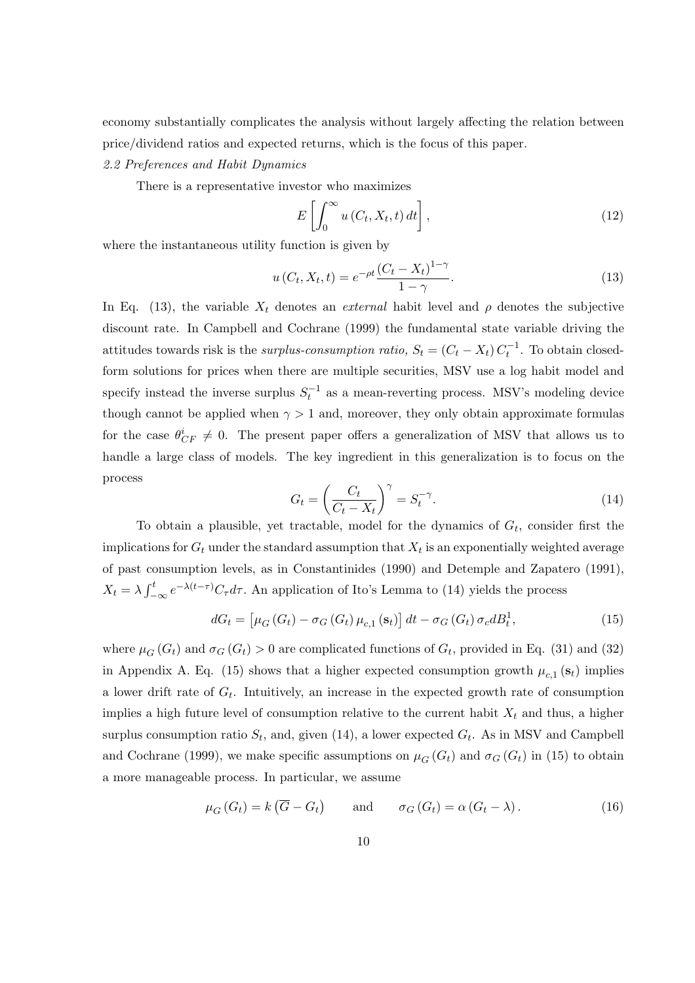economy substantially complicates the analysis without largely affecting the relation between price/dividend ratios and expected returns, which is the focus of this paper.

# 2.2 Preferences and Habit Dynamics

There is a representative investor who maximizes

$$
E\left[\int_0^\infty u\left(C_t, X_t, t\right) dt\right],\tag{12}
$$

where the instantaneous utility function is given by

$$
u(C_t, X_t, t) = e^{-\rho t} \frac{(C_t - X_t)^{1-\gamma}}{1-\gamma}.
$$
\n(13)

In Eq. (13), the variable  $X_t$  denotes an *external* habit level and  $\rho$  denotes the subjective discount rate. In Campbell and Cochrane (1999) the fundamental state variable driving the attitudes towards risk is the *surplus-consumption ratio*,  $S_t = (C_t - X_t) C_t^{-1}$ . To obtain closedform solutions for prices when there are multiple securities, MSV use a log habit model and specify instead the inverse surplus  $S_t^{-1}$  as a mean-reverting process. MSV's modeling device though cannot be applied when  $\gamma > 1$  and, moreover, they only obtain approximate formulas for the case  $\theta_{CF}^i \neq 0$ . The present paper offers a generalization of MSV that allows us to handle a large class of models. The key ingredient in this generalization is to focus on the process  $\overline{a}$  $\sqrt{q}$ 

$$
G_t = \left(\frac{C_t}{C_t - X_t}\right)^{\gamma} = S_t^{-\gamma}.
$$
\n(14)

To obtain a plausible, yet tractable, model for the dynamics of  $G_t$ , consider first the implications for  $G_t$  under the standard assumption that  $X_t$  is an exponentially weighted average of past consumption levels, as in Constantinides (1990) and Detemple and Zapatero (1991),  $X_t = \lambda \int_{-t}^{t}$  $\int_{-\infty}^{t} e^{-\lambda(t-\tau)} C_{\tau} d\tau$ . An application of Ito's Lemma to (14) yields the process

$$
dG_t = \left[\mu_G\left(G_t\right) - \sigma_G\left(G_t\right)\mu_{c,1}\left(\mathbf{s}_t\right)\right]dt - \sigma_G\left(G_t\right)\sigma_c dB_t^1,\tag{15}
$$

where  $\mu_G(G_t)$  and  $\sigma_G(G_t) > 0$  are complicated functions of  $G_t$ , provided in Eq. (31) and (32) in Appendix A. Eq. (15) shows that a higher expected consumption growth  $\mu_{c,1}(\mathbf{s}_t)$  implies a lower drift rate of  $G_t$ . Intuitively, an increase in the expected growth rate of consumption implies a high future level of consumption relative to the current habit  $X_t$  and thus, a higher surplus consumption ratio  $S_t$ , and, given (14), a lower expected  $G_t$ . As in MSV and Campbell and Cochrane (1999), we make specific assumptions on  $\mu_G(G_t)$  and  $\sigma_G(G_t)$  in (15) to obtain a more manageable process. In particular, we assume

$$
\mu_G(G_t) = k(\overline{G} - G_t)
$$
 and  $\sigma_G(G_t) = \alpha(G_t - \lambda)$ . (16)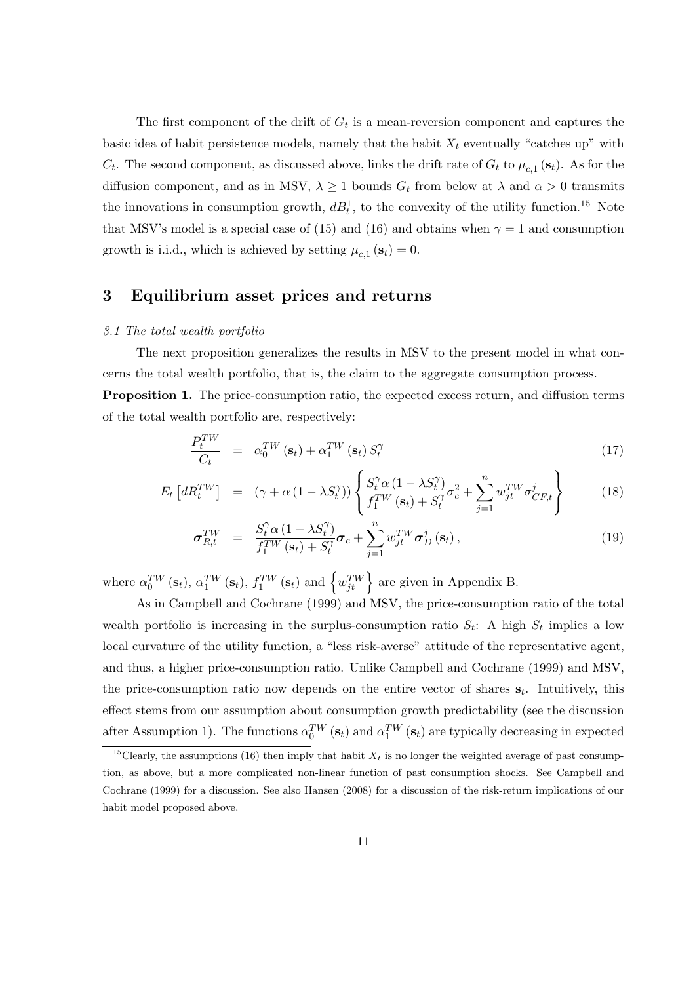The first component of the drift of  $G_t$  is a mean-reversion component and captures the basic idea of habit persistence models, namely that the habit  $X_t$  eventually "catches up" with  $C_t$ . The second component, as discussed above, links the drift rate of  $G_t$  to  $\mu_{c,1}$  (s<sub>t</sub>). As for the diffusion component, and as in MSV,  $\lambda \geq 1$  bounds  $G_t$  from below at  $\lambda$  and  $\alpha > 0$  transmits the innovations in consumption growth,  $dB_t^1$ , to the convexity of the utility function.<sup>15</sup> Note that MSV's model is a special case of (15) and (16) and obtains when  $\gamma = 1$  and consumption growth is i.i.d., which is achieved by setting  $\mu_{c,1}(\mathbf{s}_t) = 0$ .

# 3 Equilibrium asset prices and returns

# 3.1 The total wealth portfolio

The next proposition generalizes the results in MSV to the present model in what concerns the total wealth portfolio, that is, the claim to the aggregate consumption process. Proposition 1. The price-consumption ratio, the expected excess return, and diffusion terms

of the total wealth portfolio are, respectively:

$$
\frac{P_t^{TW}}{C_t} = \alpha_0^{TW}(\mathbf{s}_t) + \alpha_1^{TW}(\mathbf{s}_t) S_t^{\gamma}
$$
\n(17)

$$
E_t \left[ dR_t^{TW} \right] = \left( \gamma + \alpha \left( 1 - \lambda S_t^{\gamma} \right) \right) \left\{ \frac{S_t^{\gamma} \alpha \left( 1 - \lambda S_t^{\gamma} \right)}{f_1^{TW} \left( \mathbf{s}_t \right) + S_t^{\gamma}} \sigma_c^2 + \sum_{j=1}^n w_{jt}^{TW} \sigma_{CF,t}^j \right\} \tag{18}
$$

$$
\sigma_{R,t}^{TW} = \frac{S_t^{\gamma} \alpha (1 - \lambda S_t^{\gamma})}{f_1^{TW}(\mathbf{s}_t) + S_t^{\gamma}} \sigma_c + \sum_{j=1}^n w_{jt}^{TW} \sigma_D^j(\mathbf{s}_t), \qquad (19)
$$

where  $\alpha_0^{TW}(\mathbf{s}_t)$ ,  $\alpha_1^{TW}(\mathbf{s}_t)$ ,  $f_1^{TW}(\mathbf{s}_t)$  and  $\left\{w_{jt}^{TW}\right\}$  are given in Appendix B.

As in Campbell and Cochrane (1999) and MSV, the price-consumption ratio of the total wealth portfolio is increasing in the surplus-consumption ratio  $S_t$ : A high  $S_t$  implies a low local curvature of the utility function, a "less risk-averse" attitude of the representative agent, and thus, a higher price-consumption ratio. Unlike Campbell and Cochrane (1999) and MSV, the price-consumption ratio now depends on the entire vector of shares  $s_t$ . Intuitively, this effect stems from our assumption about consumption growth predictability (see the discussion after Assumption 1). The functions  $\alpha_0^{TW}(\mathbf{s}_t)$  and  $\alpha_1^{TW}(\mathbf{s}_t)$  are typically decreasing in expected

<sup>&</sup>lt;sup>15</sup>Clearly, the assumptions (16) then imply that habit  $X_t$  is no longer the weighted average of past consumption, as above, but a more complicated non-linear function of past consumption shocks. See Campbell and Cochrane (1999) for a discussion. See also Hansen (2008) for a discussion of the risk-return implications of our habit model proposed above.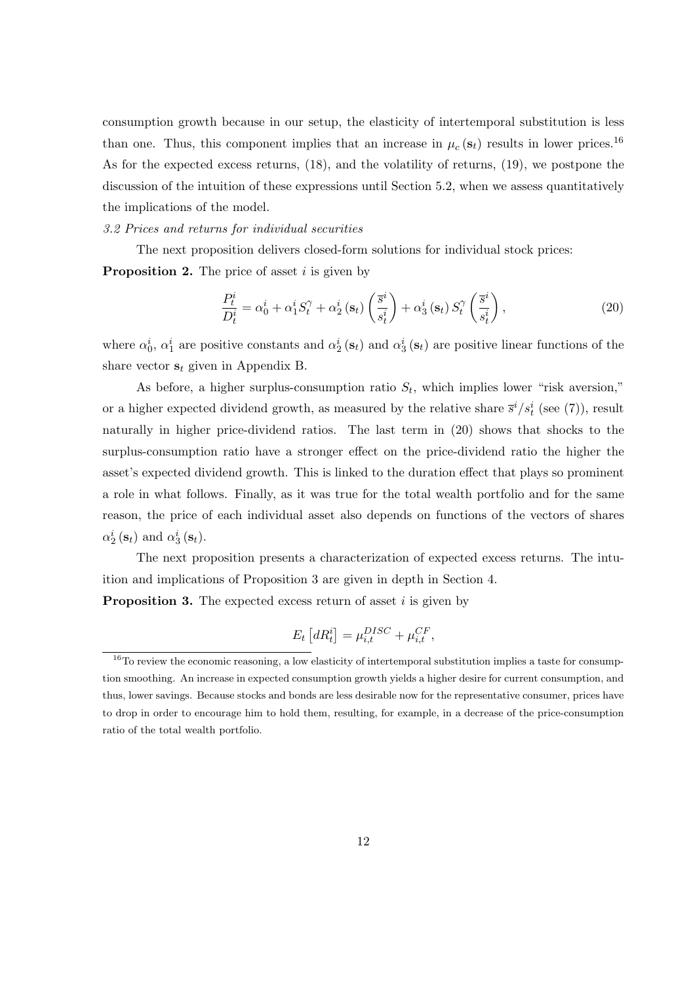consumption growth because in our setup, the elasticity of intertemporal substitution is less than one. Thus, this component implies that an increase in  $\mu_c(\mathbf{s}_t)$  results in lower prices.<sup>16</sup> As for the expected excess returns, (18), and the volatility of returns, (19), we postpone the discussion of the intuition of these expressions until Section 5.2, when we assess quantitatively the implications of the model.

#### 3.2 Prices and returns for individual securities

The next proposition delivers closed-form solutions for individual stock prices:

**Proposition 2.** The price of asset i is given by

$$
\frac{P_t^i}{D_t^i} = \alpha_0^i + \alpha_1^i S_t^{\gamma} + \alpha_2^i \left( \mathbf{s}_t \right) \left( \frac{\overline{s}^i}{s_t^i} \right) + \alpha_3^i \left( \mathbf{s}_t \right) S_t^{\gamma} \left( \frac{\overline{s}^i}{s_t^i} \right),\tag{20}
$$

where  $\alpha_0^i$ ,  $\alpha_1^i$  are positive constants and  $\alpha_2^i$  ( $s_t$ ) and  $\alpha_3^i$  ( $s_t$ ) are positive linear functions of the share vector  $s_t$  given in Appendix B.

As before, a higher surplus-consumption ratio  $S_t$ , which implies lower "risk aversion," or a higher expected dividend growth, as measured by the relative share  $\bar{s}^i/s_t^i$  (see (7)), result naturally in higher price-dividend ratios. The last term in (20) shows that shocks to the surplus-consumption ratio have a stronger effect on the price-dividend ratio the higher the asset's expected dividend growth. This is linked to the duration effect that plays so prominent a role in what follows. Finally, as it was true for the total wealth portfolio and for the same reason, the price of each individual asset also depends on functions of the vectors of shares  $\alpha_2^i(\mathbf{s}_t)$  and  $\alpha_3^i(\mathbf{s}_t)$ .

The next proposition presents a characterization of expected excess returns. The intuition and implications of Proposition 3 are given in depth in Section 4.

**Proposition 3.** The expected excess return of asset  $i$  is given by

$$
E_t\left[dR_t^i\right] = \mu_{i,t}^{DISC} + \mu_{i,t}^{CF},
$$

<sup>&</sup>lt;sup>16</sup>To review the economic reasoning, a low elasticity of intertemporal substitution implies a taste for consumption smoothing. An increase in expected consumption growth yields a higher desire for current consumption, and thus, lower savings. Because stocks and bonds are less desirable now for the representative consumer, prices have to drop in order to encourage him to hold them, resulting, for example, in a decrease of the price-consumption ratio of the total wealth portfolio.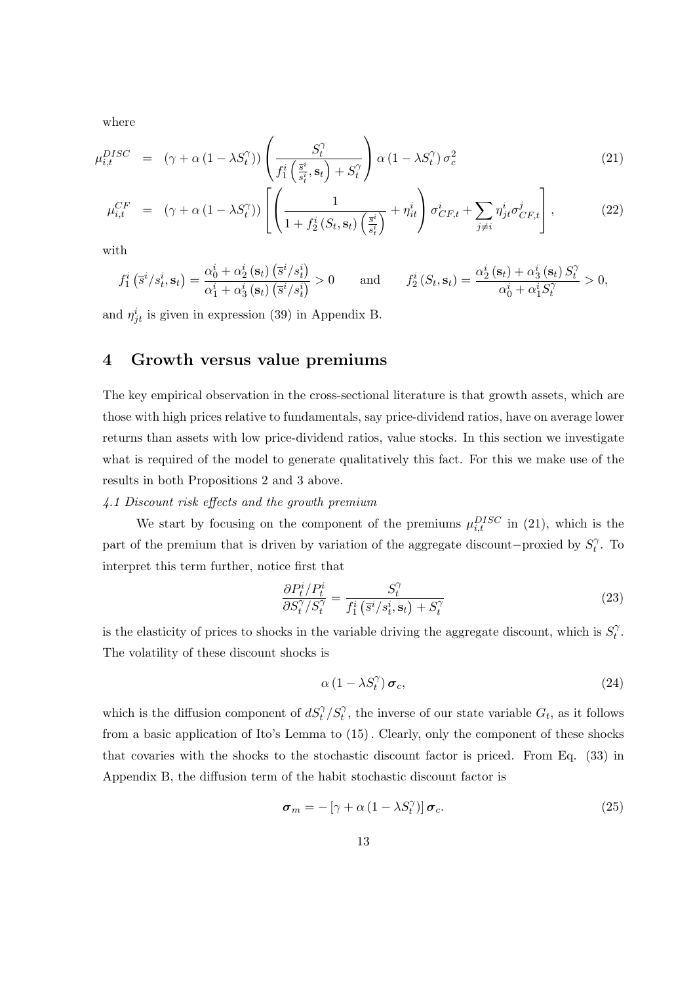where

$$
\mu_{i,t}^{DISC} = (\gamma + \alpha (1 - \lambda S_t^{\gamma})) \left( \frac{S_t^{\gamma}}{f_1^i \left( \frac{\bar{s}^i}{s_t^i}, \mathbf{s}_t \right) + S_t^{\gamma}} \right) \alpha (1 - \lambda S_t^{\gamma}) \sigma_c^2
$$
\n(21)

$$
\mu_{i,t}^{CF} = (\gamma + \alpha (1 - \lambda S_t^{\gamma})) \left[ \left( \frac{1}{1 + f_2^i (S_t, \mathbf{s}_t) \left( \frac{\overline{s}^i}{s_t^i} \right)} + \eta_{it}^i \right) \sigma_{CF,t}^i + \sum_{j \neq i} \eta_{jt}^i \sigma_{CF,t}^j \right],
$$
\n(22)

with

$$
f_1^i\left(\overline{s}^i/s_t^i, \mathbf{s}_t\right) = \frac{\alpha_0^i + \alpha_2^i\left(\mathbf{s}_t\right)\left(\overline{s}^i/s_t^i\right)}{\alpha_1^i + \alpha_3^i\left(\mathbf{s}_t\right)\left(\overline{s}^i/s_t^i\right)} > 0 \quad \text{and} \quad f_2^i\left(S_t, \mathbf{s}_t\right) = \frac{\alpha_2^i\left(\mathbf{s}_t\right) + \alpha_3^i\left(\mathbf{s}_t\right)S_t^{\gamma}}{\alpha_0^i + \alpha_1^iS_t^{\gamma}} > 0,
$$

and  $\eta_{jt}^i$  is given in expression (39) in Appendix B.

# 4 Growth versus value premiums

The key empirical observation in the cross-sectional literature is that growth assets, which are those with high prices relative to fundamentals, say price-dividend ratios, have on average lower returns than assets with low price-dividend ratios, value stocks. In this section we investigate what is required of the model to generate qualitatively this fact. For this we make use of the results in both Propositions 2 and 3 above.

# 4.1 Discount risk effects and the growth premium

We start by focusing on the component of the premiums  $\mu_{i,t}^{DISC}$  in (21), which is the part of the premium that is driven by variation of the aggregate discount–proxied by  $S_t^{\gamma}$  $\hat{i}$ . To interpret this term further, notice first that

$$
\frac{\partial P_t^i / P_t^i}{\partial S_t^{\gamma} / S_t^{\gamma}} = \frac{S_t^{\gamma}}{f_1^i \left( \bar{s}^i / s_t^i, \mathbf{s}_t \right) + S_t^{\gamma}}
$$
(23)

is the elasticity of prices to shocks in the variable driving the aggregate discount, which is  $S_t^{\gamma}$  $_{t}^{\gamma}.$ The volatility of these discount shocks is

$$
\alpha \left(1 - \lambda S_t^{\gamma}\right) \boldsymbol{\sigma}_c, \tag{24}
$$

which is the diffusion component of  $dS_t^{\gamma}/S_t^{\gamma}$ , the inverse of our state variable  $G_t$ , as it follows from a basic application of Ito's Lemma to (15). Clearly, only the component of these shocks that covaries with the shocks to the stochastic discount factor is priced. From Eq. (33) in Appendix B, the diffusion term of the habit stochastic discount factor is

$$
\boldsymbol{\sigma}_{m} = -\left[\gamma + \alpha \left(1 - \lambda S_{t}^{\gamma}\right)\right] \boldsymbol{\sigma}_{c}.
$$
\n(25)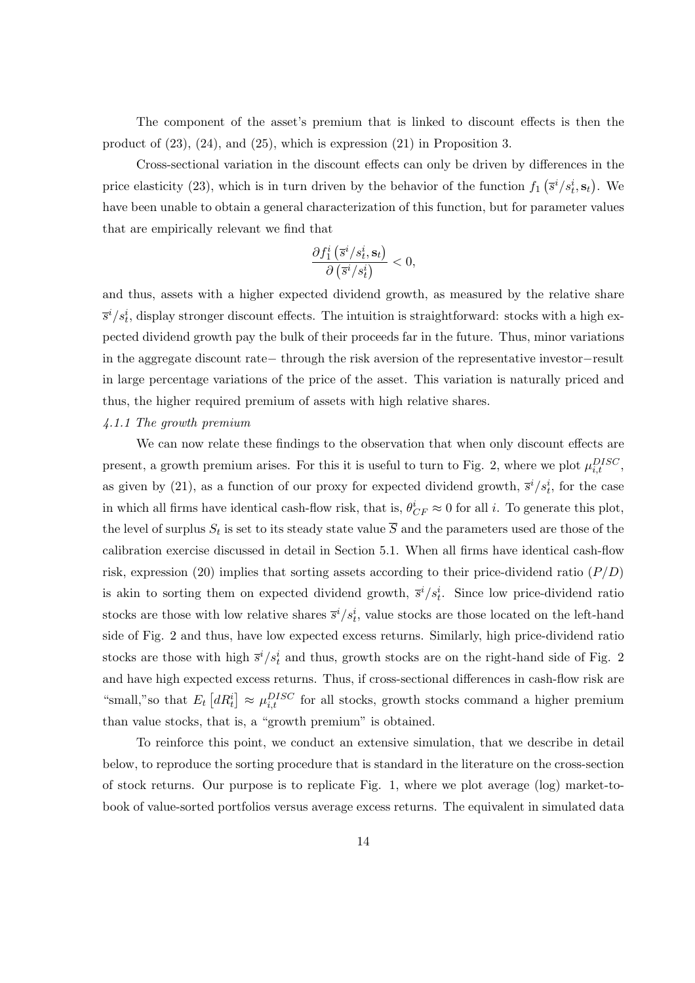The component of the asset's premium that is linked to discount effects is then the product of (23), (24), and (25), which is expression (21) in Proposition 3.

Cross-sectional variation in the discount effects can only be driven by differences in the price elasticity (23), which is in turn driven by the behavior of the function  $f_1$ ¡  $\overline{s}^{i}/s^{i}_{t}, \mathbf{s}_{t}$ ¢ . We have been unable to obtain a general characterization of this function, but for parameter values that are empirically relevant we find that

$$
\frac{\partial f_1^i\left(\overline{s}^i/s_t^i, \mathbf{s}_t\right)}{\partial\left(\overline{s}^i/s_t^i\right)} < 0,
$$

and thus, assets with a higher expected dividend growth, as measured by the relative share  $\overline{s}^i/s_t^i$ , display stronger discount effects. The intuition is straightforward: stocks with a high expected dividend growth pay the bulk of their proceeds far in the future. Thus, minor variations in the aggregate discount rate− through the risk aversion of the representative investor−result in large percentage variations of the price of the asset. This variation is naturally priced and thus, the higher required premium of assets with high relative shares.

# 4.1.1 The growth premium

We can now relate these findings to the observation that when only discount effects are present, a growth premium arises. For this it is useful to turn to Fig. 2, where we plot  $\mu_{i,t}^{DISC}$ , as given by (21), as a function of our proxy for expected dividend growth,  $\bar{s}^i/s_t^i$ , for the case in which all firms have identical cash-flow risk, that is,  $\theta_{CF}^i \approx 0$  for all *i*. To generate this plot, the level of surplus  $S_t$  is set to its steady state value  $\overline{S}$  and the parameters used are those of the calibration exercise discussed in detail in Section 5.1. When all firms have identical cash-flow risk, expression (20) implies that sorting assets according to their price-dividend ratio  $(P/D)$ is akin to sorting them on expected dividend growth,  $\bar{s}^i/s_t^i$ . Since low price-dividend ratio stocks are those with low relative shares  $\bar{s}^i/s_t^i$ , value stocks are those located on the left-hand side of Fig. 2 and thus, have low expected excess returns. Similarly, high price-dividend ratio stocks are those with high  $\bar{s}^i/s_t^i$  and thus, growth stocks are on the right-hand side of Fig. 2 and have high expected excess returns. Thus, if cross-sectional differences in cash-flow risk are "small," so that  $E_t$  $\big[dR^i_t$ ¤  $\approx \mu_{i,t}^{DISC}$  for all stocks, growth stocks command a higher premium than value stocks, that is, a "growth premium" is obtained.

To reinforce this point, we conduct an extensive simulation, that we describe in detail below, to reproduce the sorting procedure that is standard in the literature on the cross-section of stock returns. Our purpose is to replicate Fig. 1, where we plot average (log) market-tobook of value-sorted portfolios versus average excess returns. The equivalent in simulated data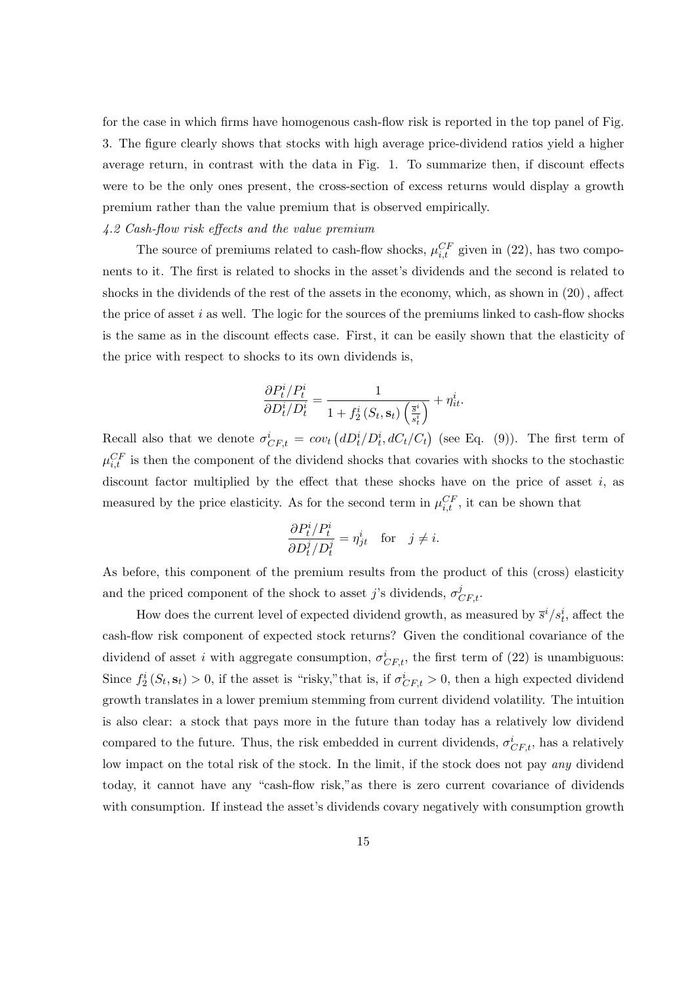for the case in which firms have homogenous cash-flow risk is reported in the top panel of Fig. 3. The figure clearly shows that stocks with high average price-dividend ratios yield a higher average return, in contrast with the data in Fig. 1. To summarize then, if discount effects were to be the only ones present, the cross-section of excess returns would display a growth premium rather than the value premium that is observed empirically.

## 4.2 Cash-flow risk effects and the value premium

The source of premiums related to cash-flow shocks,  $\mu_{i,t}^{CF}$  given in (22), has two components to it. The first is related to shocks in the asset's dividends and the second is related to shocks in the dividends of the rest of the assets in the economy, which, as shown in (20), affect the price of asset  $i$  as well. The logic for the sources of the premiums linked to cash-flow shocks is the same as in the discount effects case. First, it can be easily shown that the elasticity of the price with respect to shocks to its own dividends is,

$$
\frac{\partial P_t^i / P_t^i}{\partial D_t^i / D_t^i} = \frac{1}{1 + f_2^i(S_t, \mathbf{s}_t) \left(\frac{\overline{s}^i}{s_t^i}\right)} + \eta_{it}^i.
$$

Recall also that we denote  $\sigma_{CF,t}^i = cov_t$  $(dD_t^i/D_t^i, dC_t/C_t)$ ¢ (see Eq.  $(9)$ ). The first term of  $\mu_{i,t}^{CF}$  is then the component of the dividend shocks that covaries with shocks to the stochastic discount factor multiplied by the effect that these shocks have on the price of asset  $i$ , as measured by the price elasticity. As for the second term in  $\mu_{i,t}^{CF}$ , it can be shown that

$$
\frac{\partial P_t^i/P_t^i}{\partial D_t^j/D_t^j} = \eta_{jt}^i \quad \text{for} \quad j \neq i.
$$

As before, this component of the premium results from the product of this (cross) elasticity and the priced component of the shock to asset *j*'s dividends,  $\sigma_{CF,t}^{j}$ .

How does the current level of expected dividend growth, as measured by  $\bar{s}^i/s_t^i$ , affect the cash-flow risk component of expected stock returns? Given the conditional covariance of the dividend of asset i with aggregate consumption,  $\sigma_{CF,t}^i$ , the first term of (22) is unambiguous: Since  $f_2^i(S_t, s_t) > 0$ , if the asset is "risky," that is, if  $\sigma_{CF,t}^i > 0$ , then a high expected dividend growth translates in a lower premium stemming from current dividend volatility. The intuition is also clear: a stock that pays more in the future than today has a relatively low dividend compared to the future. Thus, the risk embedded in current dividends,  $\sigma_{CF,t}^{i}$ , has a relatively low impact on the total risk of the stock. In the limit, if the stock does not pay any dividend today, it cannot have any "cash-flow risk,"as there is zero current covariance of dividends with consumption. If instead the asset's dividends covary negatively with consumption growth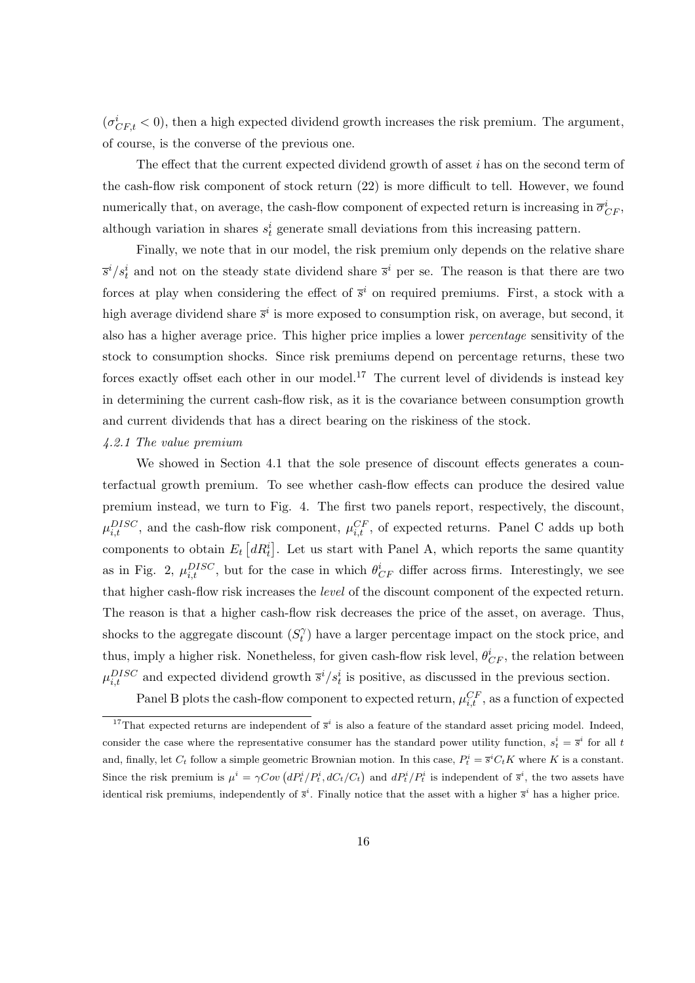$(\sigma_{CF,t}^{i} < 0)$ , then a high expected dividend growth increases the risk premium. The argument, of course, is the converse of the previous one.

The effect that the current expected dividend growth of asset  $i$  has on the second term of the cash-flow risk component of stock return (22) is more difficult to tell. However, we found numerically that, on average, the cash-flow component of expected return is increasing in  $\overline{\sigma}_{CF}^i$ , although variation in shares  $s_t^i$  generate small deviations from this increasing pattern.

Finally, we note that in our model, the risk premium only depends on the relative share  $\bar{s}^i/s_t^i$  and not on the steady state dividend share  $\bar{s}^i$  per se. The reason is that there are two forces at play when considering the effect of  $\bar{s}^i$  on required premiums. First, a stock with a high average dividend share  $\bar{s}^i$  is more exposed to consumption risk, on average, but second, it also has a higher average price. This higher price implies a lower percentage sensitivity of the stock to consumption shocks. Since risk premiums depend on percentage returns, these two forces exactly offset each other in our model.<sup>17</sup> The current level of dividends is instead key in determining the current cash-flow risk, as it is the covariance between consumption growth and current dividends that has a direct bearing on the riskiness of the stock.

## 4.2.1 The value premium

We showed in Section 4.1 that the sole presence of discount effects generates a counterfactual growth premium. To see whether cash-flow effects can produce the desired value premium instead, we turn to Fig. 4. The first two panels report, respectively, the discount,  $\mu_{i,t}^{DISC}$ , and the cash-flow risk component,  $\mu_{i,t}^{CF}$ , of expected returns. Panel C adds up both components to obtain  $E_t$  $\big[dR^i_t$ ¤ . Let us start with Panel A, which reports the same quantity as in Fig. 2,  $\mu_{i,t}^{DISC}$ , but for the case in which  $\theta_{CF}^{i}$  differ across firms. Interestingly, we see that higher cash-flow risk increases the level of the discount component of the expected return. The reason is that a higher cash-flow risk decreases the price of the asset, on average. Thus, shocks to the aggregate discount  $(S_t^{\gamma})$  $t<sub>t</sub>$ ) have a larger percentage impact on the stock price, and thus, imply a higher risk. Nonetheless, for given cash-flow risk level,  $\theta_{CF}^i$ , the relation between  $\mu_{i,t}^{DISC}$  and expected dividend growth  $\bar{s}^i/s_t^i$  is positive, as discussed in the previous section.

Panel B plots the cash-flow component to expected return,  $\mu_{i,t}^{CF}$ , as a function of expected

<sup>&</sup>lt;sup>17</sup>That expected returns are independent of  $\bar{s}^i$  is also a feature of the standard asset pricing model. Indeed, consider the case where the representative consumer has the standard power utility function,  $s_t^i = \overline{s}^i$  for all t and, finally, let  $C_t$  follow a simple geometric Brownian motion. In this case,  $P_t^i = \overline{s}^i C_t K$  where K is a constant. Since the risk premium is  $\mu^i = \gamma Cov \left( dP_t^i / P_t^i, dC_t / C_t \right)$  and  $dP_t^i / P_t^i$  is independent of  $\bar{s}^i$ , the two assets have identical risk premiums, independently of  $\bar{s}^i$ . Finally notice that the asset with a higher  $\bar{s}^i$  has a higher price.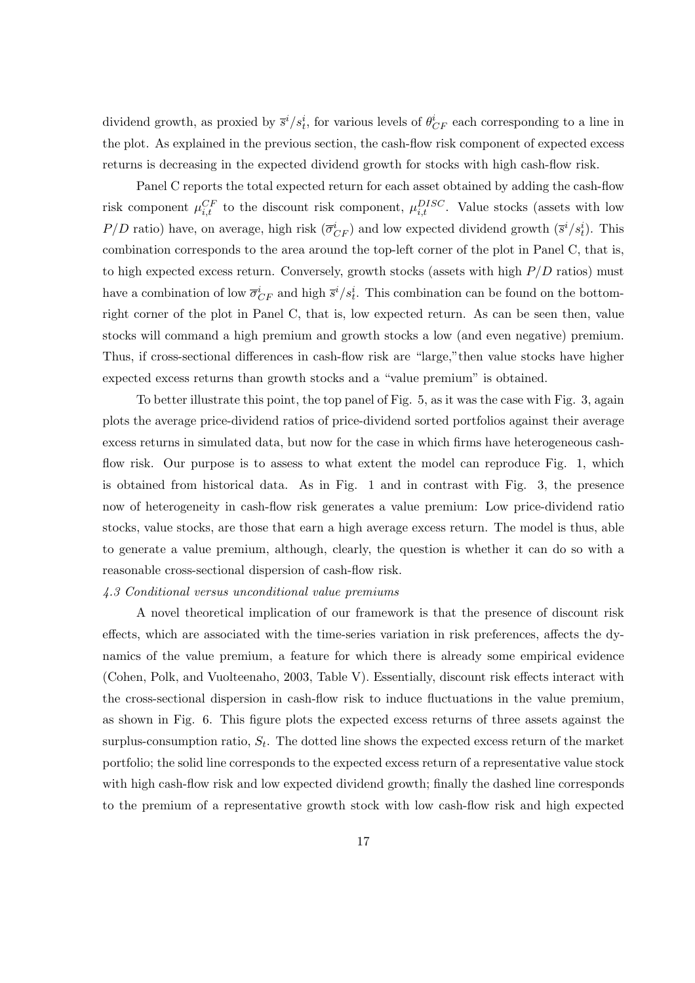dividend growth, as proxied by  $\bar{s}^i/s_t^i$ , for various levels of  $\theta_{CF}^i$  each corresponding to a line in the plot. As explained in the previous section, the cash-flow risk component of expected excess returns is decreasing in the expected dividend growth for stocks with high cash-flow risk.

Panel C reports the total expected return for each asset obtained by adding the cash-flow risk component  $\mu_{i,t}^{CF}$  to the discount risk component,  $\mu_{i,t}^{DISC}$ . Value stocks (assets with low  $P/D$  ratio) have, on average, high risk  $(\overline{\sigma}_{CF}^i)$  and low expected dividend growth  $(\overline{s}^i/s_t^i)$ . This combination corresponds to the area around the top-left corner of the plot in Panel C, that is, to high expected excess return. Conversely, growth stocks (assets with high  $P/D$  ratios) must have a combination of low  $\overline{\sigma}_{CF}^i$  and high  $\overline{s}^i/s_t^i$ . This combination can be found on the bottomright corner of the plot in Panel C, that is, low expected return. As can be seen then, value stocks will command a high premium and growth stocks a low (and even negative) premium. Thus, if cross-sectional differences in cash-flow risk are "large,"then value stocks have higher expected excess returns than growth stocks and a "value premium" is obtained.

To better illustrate this point, the top panel of Fig. 5, as it was the case with Fig. 3, again plots the average price-dividend ratios of price-dividend sorted portfolios against their average excess returns in simulated data, but now for the case in which firms have heterogeneous cashflow risk. Our purpose is to assess to what extent the model can reproduce Fig. 1, which is obtained from historical data. As in Fig. 1 and in contrast with Fig. 3, the presence now of heterogeneity in cash-flow risk generates a value premium: Low price-dividend ratio stocks, value stocks, are those that earn a high average excess return. The model is thus, able to generate a value premium, although, clearly, the question is whether it can do so with a reasonable cross-sectional dispersion of cash-flow risk.

# 4.3 Conditional versus unconditional value premiums

A novel theoretical implication of our framework is that the presence of discount risk effects, which are associated with the time-series variation in risk preferences, affects the dynamics of the value premium, a feature for which there is already some empirical evidence (Cohen, Polk, and Vuolteenaho, 2003, Table V). Essentially, discount risk effects interact with the cross-sectional dispersion in cash-flow risk to induce fluctuations in the value premium, as shown in Fig. 6. This figure plots the expected excess returns of three assets against the surplus-consumption ratio,  $S_t$ . The dotted line shows the expected excess return of the market portfolio; the solid line corresponds to the expected excess return of a representative value stock with high cash-flow risk and low expected dividend growth; finally the dashed line corresponds to the premium of a representative growth stock with low cash-flow risk and high expected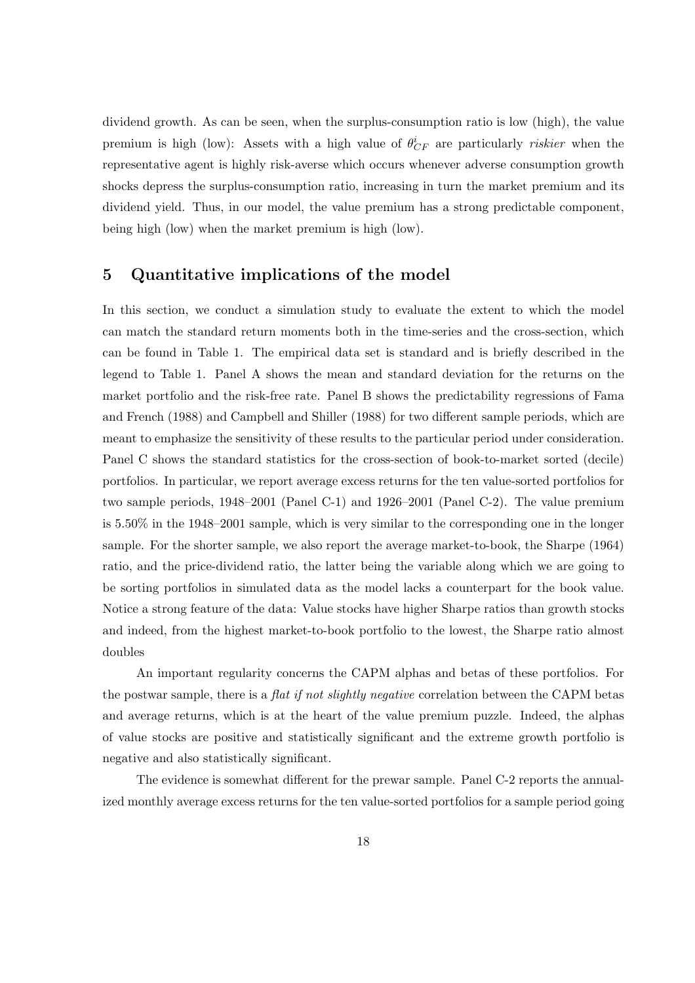dividend growth. As can be seen, when the surplus-consumption ratio is low (high), the value premium is high (low): Assets with a high value of  $\theta_{CF}^{i}$  are particularly *riskier* when the representative agent is highly risk-averse which occurs whenever adverse consumption growth shocks depress the surplus-consumption ratio, increasing in turn the market premium and its dividend yield. Thus, in our model, the value premium has a strong predictable component, being high (low) when the market premium is high (low).

# 5 Quantitative implications of the model

In this section, we conduct a simulation study to evaluate the extent to which the model can match the standard return moments both in the time-series and the cross-section, which can be found in Table 1. The empirical data set is standard and is briefly described in the legend to Table 1. Panel A shows the mean and standard deviation for the returns on the market portfolio and the risk-free rate. Panel B shows the predictability regressions of Fama and French (1988) and Campbell and Shiller (1988) for two different sample periods, which are meant to emphasize the sensitivity of these results to the particular period under consideration. Panel C shows the standard statistics for the cross-section of book-to-market sorted (decile) portfolios. In particular, we report average excess returns for the ten value-sorted portfolios for two sample periods, 1948–2001 (Panel C-1) and 1926–2001 (Panel C-2). The value premium is 5.50% in the 1948–2001 sample, which is very similar to the corresponding one in the longer sample. For the shorter sample, we also report the average market-to-book, the Sharpe (1964) ratio, and the price-dividend ratio, the latter being the variable along which we are going to be sorting portfolios in simulated data as the model lacks a counterpart for the book value. Notice a strong feature of the data: Value stocks have higher Sharpe ratios than growth stocks and indeed, from the highest market-to-book portfolio to the lowest, the Sharpe ratio almost doubles

An important regularity concerns the CAPM alphas and betas of these portfolios. For the postwar sample, there is a flat if not slightly negative correlation between the CAPM betas and average returns, which is at the heart of the value premium puzzle. Indeed, the alphas of value stocks are positive and statistically significant and the extreme growth portfolio is negative and also statistically significant.

The evidence is somewhat different for the prewar sample. Panel C-2 reports the annualized monthly average excess returns for the ten value-sorted portfolios for a sample period going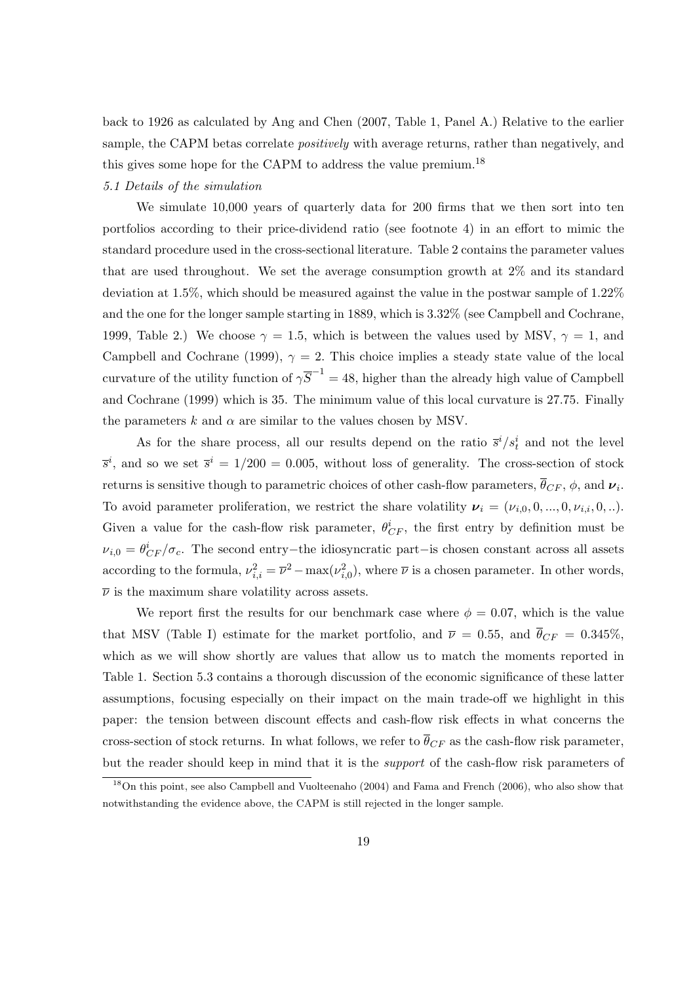back to 1926 as calculated by Ang and Chen (2007, Table 1, Panel A.) Relative to the earlier sample, the CAPM betas correlate *positively* with average returns, rather than negatively, and this gives some hope for the CAPM to address the value premium.<sup>18</sup>

## 5.1 Details of the simulation

We simulate 10,000 years of quarterly data for 200 firms that we then sort into ten portfolios according to their price-dividend ratio (see footnote 4) in an effort to mimic the standard procedure used in the cross-sectional literature. Table 2 contains the parameter values that are used throughout. We set the average consumption growth at 2% and its standard deviation at 1.5%, which should be measured against the value in the postwar sample of 1.22% and the one for the longer sample starting in 1889, which is 3.32% (see Campbell and Cochrane, 1999, Table 2.) We choose  $\gamma = 1.5$ , which is between the values used by MSV,  $\gamma = 1$ , and Campbell and Cochrane (1999),  $\gamma = 2$ . This choice implies a steady state value of the local curvature of the utility function of  $\gamma \overline{S}^{-1} = 48$ , higher than the already high value of Campbell and Cochrane (1999) which is 35. The minimum value of this local curvature is 27.75. Finally the parameters k and  $\alpha$  are similar to the values chosen by MSV.

As for the share process, all our results depend on the ratio  $\bar{s}^i/s_t^i$  and not the level  $\bar{s}^i$ , and so we set  $\bar{s}^i = 1/200 = 0.005$ , without loss of generality. The cross-section of stock returns is sensitive though to parametric choices of other cash-flow parameters,  $\theta_{CF}$ ,  $\phi$ , and  $\nu_i$ . To avoid parameter proliferation, we restrict the share volatility  $v_i = (\nu_{i,0}, 0, ..., 0, \nu_{i,i}, 0, ...)$ . Given a value for the cash-flow risk parameter,  $\theta_{CF}^i$ , the first entry by definition must be  $\nu_{i,0} = \theta_{CF}^{i}/\sigma_c$ . The second entry-the idiosyncratic part-is chosen constant across all assets according to the formula,  $\nu_{i,i}^2 = \overline{\nu}^2 - \max(\nu_{i,0}^2)$ , where  $\overline{\nu}$  is a chosen parameter. In other words,  $\overline{\nu}$  is the maximum share volatility across assets.

We report first the results for our benchmark case where  $\phi = 0.07$ , which is the value that MSV (Table I) estimate for the market portfolio, and  $\overline{\nu} = 0.55$ , and  $\overline{\theta}_{CF} = 0.345\%$ , which as we will show shortly are values that allow us to match the moments reported in Table 1. Section 5.3 contains a thorough discussion of the economic significance of these latter assumptions, focusing especially on their impact on the main trade-off we highlight in this paper: the tension between discount effects and cash-flow risk effects in what concerns the cross-section of stock returns. In what follows, we refer to  $\bar{\theta}_{CF}$  as the cash-flow risk parameter, but the reader should keep in mind that it is the support of the cash-flow risk parameters of

<sup>18</sup>On this point, see also Campbell and Vuolteenaho (2004) and Fama and French (2006), who also show that notwithstanding the evidence above, the CAPM is still rejected in the longer sample.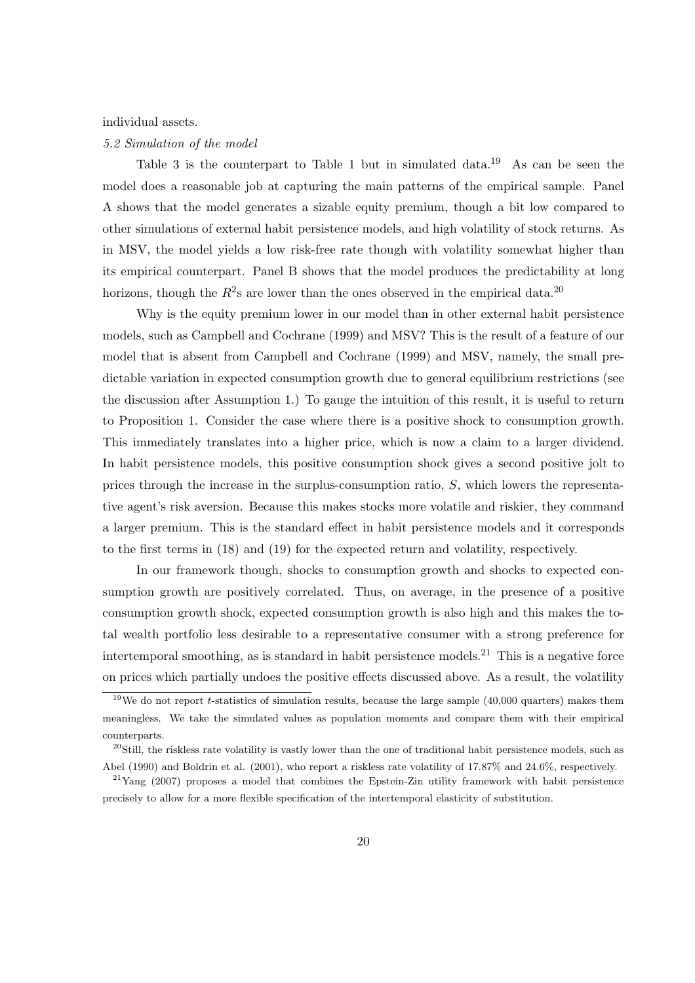### individual assets.

#### 5.2 Simulation of the model

Table 3 is the counterpart to Table 1 but in simulated data.<sup>19</sup> As can be seen the model does a reasonable job at capturing the main patterns of the empirical sample. Panel A shows that the model generates a sizable equity premium, though a bit low compared to other simulations of external habit persistence models, and high volatility of stock returns. As in MSV, the model yields a low risk-free rate though with volatility somewhat higher than its empirical counterpart. Panel B shows that the model produces the predictability at long horizons, though the  $R^2$ s are lower than the ones observed in the empirical data.<sup>20</sup>

Why is the equity premium lower in our model than in other external habit persistence models, such as Campbell and Cochrane (1999) and MSV? This is the result of a feature of our model that is absent from Campbell and Cochrane (1999) and MSV, namely, the small predictable variation in expected consumption growth due to general equilibrium restrictions (see the discussion after Assumption 1.) To gauge the intuition of this result, it is useful to return to Proposition 1. Consider the case where there is a positive shock to consumption growth. This immediately translates into a higher price, which is now a claim to a larger dividend. In habit persistence models, this positive consumption shock gives a second positive jolt to prices through the increase in the surplus-consumption ratio, S, which lowers the representative agent's risk aversion. Because this makes stocks more volatile and riskier, they command a larger premium. This is the standard effect in habit persistence models and it corresponds to the first terms in (18) and (19) for the expected return and volatility, respectively.

In our framework though, shocks to consumption growth and shocks to expected consumption growth are positively correlated. Thus, on average, in the presence of a positive consumption growth shock, expected consumption growth is also high and this makes the total wealth portfolio less desirable to a representative consumer with a strong preference for intertemporal smoothing, as is standard in habit persistence models.<sup>21</sup> This is a negative force on prices which partially undoes the positive effects discussed above. As a result, the volatility

 $19$ We do not report *t*-statistics of simulation results, because the large sample (40,000 quarters) makes them meaningless. We take the simulated values as population moments and compare them with their empirical counterparts.

 $^{20}$ Still, the riskless rate volatility is vastly lower than the one of traditional habit persistence models, such as Abel (1990) and Boldrin et al. (2001), who report a riskless rate volatility of 17.87% and 24.6%, respectively.

 $^{21}$ Yang (2007) proposes a model that combines the Epstein-Zin utility framework with habit persistence precisely to allow for a more flexible specification of the intertemporal elasticity of substitution.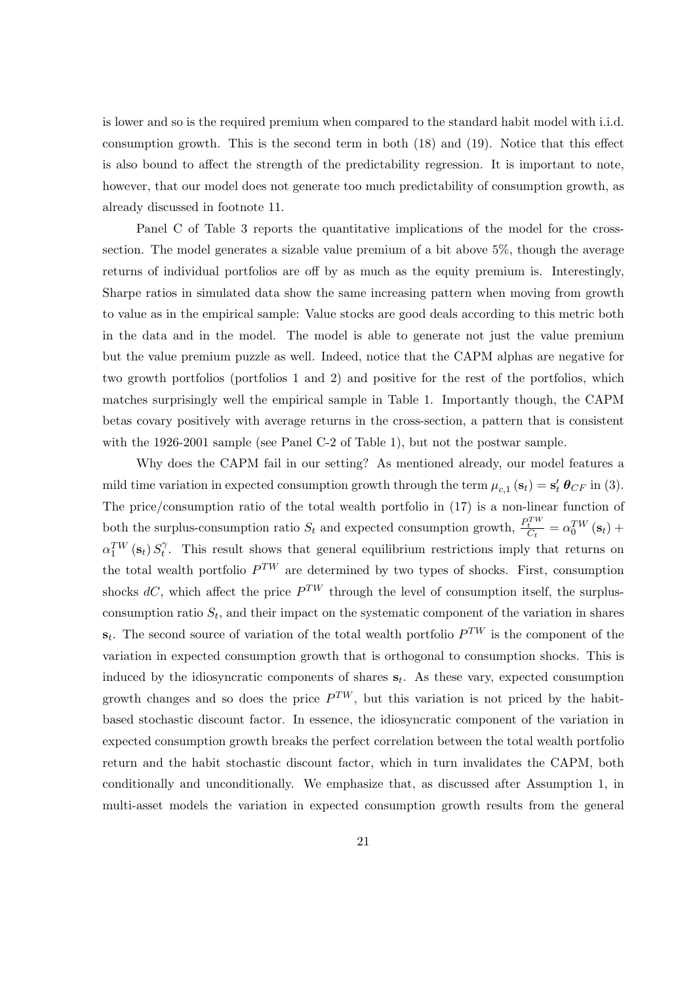is lower and so is the required premium when compared to the standard habit model with i.i.d. consumption growth. This is the second term in both (18) and (19). Notice that this effect is also bound to affect the strength of the predictability regression. It is important to note, however, that our model does not generate too much predictability of consumption growth, as already discussed in footnote 11.

Panel C of Table 3 reports the quantitative implications of the model for the crosssection. The model generates a sizable value premium of a bit above 5%, though the average returns of individual portfolios are off by as much as the equity premium is. Interestingly, Sharpe ratios in simulated data show the same increasing pattern when moving from growth to value as in the empirical sample: Value stocks are good deals according to this metric both in the data and in the model. The model is able to generate not just the value premium but the value premium puzzle as well. Indeed, notice that the CAPM alphas are negative for two growth portfolios (portfolios 1 and 2) and positive for the rest of the portfolios, which matches surprisingly well the empirical sample in Table 1. Importantly though, the CAPM betas covary positively with average returns in the cross-section, a pattern that is consistent with the 1926-2001 sample (see Panel C-2 of Table 1), but not the postwar sample.

Why does the CAPM fail in our setting? As mentioned already, our model features a mild time variation in expected consumption growth through the term  $\mu_{c,1}(\mathbf{s}_t) = \mathbf{s}'_t \boldsymbol{\theta}_{CF}$  in (3). The price/consumption ratio of the total wealth portfolio in (17) is a non-linear function of both the surplus-consumption ratio  $S_t$  and expected consumption growth,  $\frac{P_t^{TW}}{C_t}$  $\frac{t}{C_t} = \alpha_0^{TW} (\mathbf{s}_t) +$  $\alpha_{1}^{TW}\left(\mathbf{s}_{t}\right)S_{t}^{\gamma}$  $t<sub>t</sub>$ . This result shows that general equilibrium restrictions imply that returns on the total wealth portfolio  $P^{TW}$  are determined by two types of shocks. First, consumption shocks  $dC$ , which affect the price  $P^{TW}$  through the level of consumption itself, the surplusconsumption ratio  $S_t$ , and their impact on the systematic component of the variation in shares  $\mathbf{s}_t$ . The second source of variation of the total wealth portfolio  $P^{TW}$  is the component of the variation in expected consumption growth that is orthogonal to consumption shocks. This is induced by the idiosyncratic components of shares  $s_t$ . As these vary, expected consumption growth changes and so does the price  $P^{TW}$ , but this variation is not priced by the habitbased stochastic discount factor. In essence, the idiosyncratic component of the variation in expected consumption growth breaks the perfect correlation between the total wealth portfolio return and the habit stochastic discount factor, which in turn invalidates the CAPM, both conditionally and unconditionally. We emphasize that, as discussed after Assumption 1, in multi-asset models the variation in expected consumption growth results from the general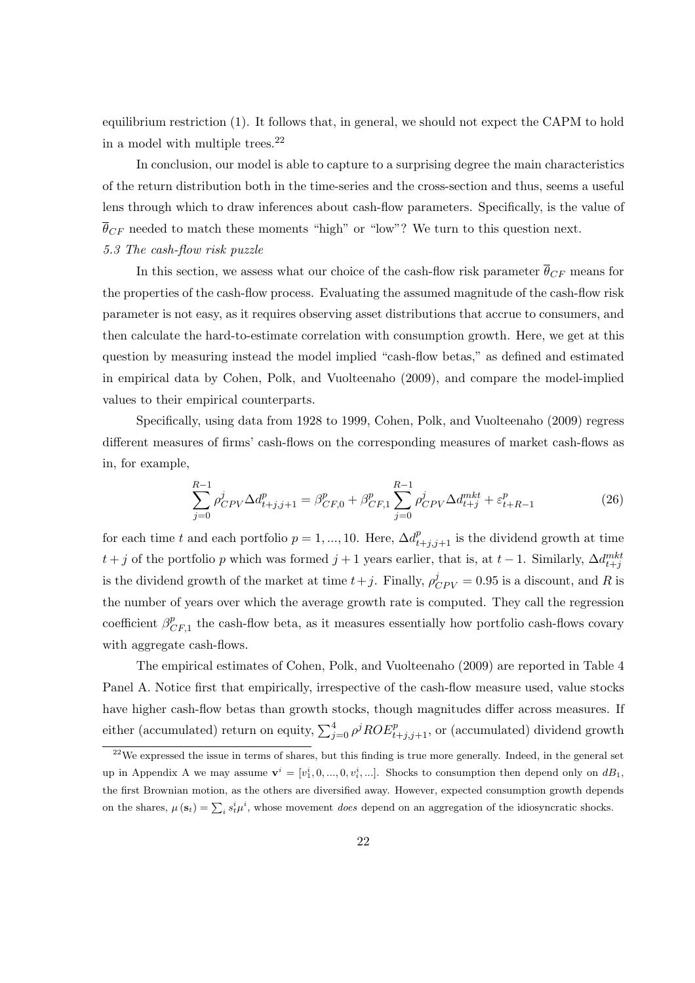equilibrium restriction (1). It follows that, in general, we should not expect the CAPM to hold in a model with multiple trees.<sup>22</sup>

In conclusion, our model is able to capture to a surprising degree the main characteristics of the return distribution both in the time-series and the cross-section and thus, seems a useful lens through which to draw inferences about cash-flow parameters. Specifically, is the value of  $\overline{\theta}_{CF}$  needed to match these moments "high" or "low"? We turn to this question next. 5.3 The cash-flow risk puzzle

In this section, we assess what our choice of the cash-flow risk parameter  $\bar{\theta}_{CF}$  means for the properties of the cash-flow process. Evaluating the assumed magnitude of the cash-flow risk parameter is not easy, as it requires observing asset distributions that accrue to consumers, and then calculate the hard-to-estimate correlation with consumption growth. Here, we get at this question by measuring instead the model implied "cash-flow betas," as defined and estimated in empirical data by Cohen, Polk, and Vuolteenaho (2009), and compare the model-implied values to their empirical counterparts.

Specifically, using data from 1928 to 1999, Cohen, Polk, and Vuolteenaho (2009) regress different measures of firms' cash-flows on the corresponding measures of market cash-flows as in, for example,

$$
\sum_{j=0}^{R-1} \rho_{CPV}^j \Delta d_{t+j,j+1}^p = \beta_{CF,0}^p + \beta_{CF,1}^p \sum_{j=0}^{R-1} \rho_{CPV}^j \Delta d_{t+j}^{mkt} + \varepsilon_{t+R-1}^p
$$
\n(26)

for each time t and each portfolio  $p = 1, ..., 10$ . Here,  $\Delta d_{t+j,j+1}^p$  is the dividend growth at time  $t + j$  of the portfolio p which was formed  $j + 1$  years earlier, that is, at  $t - 1$ . Similarly,  $\Delta d_{t+j}^{mkt}$ is the dividend growth of the market at time  $t+j$ . Finally,  $\rho_{CPV}^j = 0.95$  is a discount, and R is the number of years over which the average growth rate is computed. They call the regression coefficient  $\beta_{\epsilon}^p$  $_{CF,1}^{p}$  the cash-flow beta, as it measures essentially how portfolio cash-flows covary with aggregate cash-flows.

The empirical estimates of Cohen, Polk, and Vuolteenaho (2009) are reported in Table 4 Panel A. Notice first that empirically, irrespective of the cash-flow measure used, value stocks have higher cash-flow betas than growth stocks, though magnitudes differ across measures. If either (accumulated) return on equity,  $\sum_{j=0}^{4} \rho^{j} ROE_{t+j,j+1}^{p}$ , or (accumulated) dividend growth

 $\frac{22}{2}$ We expressed the issue in terms of shares, but this finding is true more generally. Indeed, in the general set up in Appendix A we may assume  $\mathbf{v}^i = [v_1^i, 0, ..., 0, v_i^i, ...].$  Shocks to consumption then depend only on  $dB_1$ , the first Brownian motion, as the others are diversified away. However, expected consumption growth depends on the shares,  $\mu(\mathbf{s}_t) = \sum_i s_t^i \mu^i$ , whose movement *does* depend on an aggregation of the idiosyncratic shocks.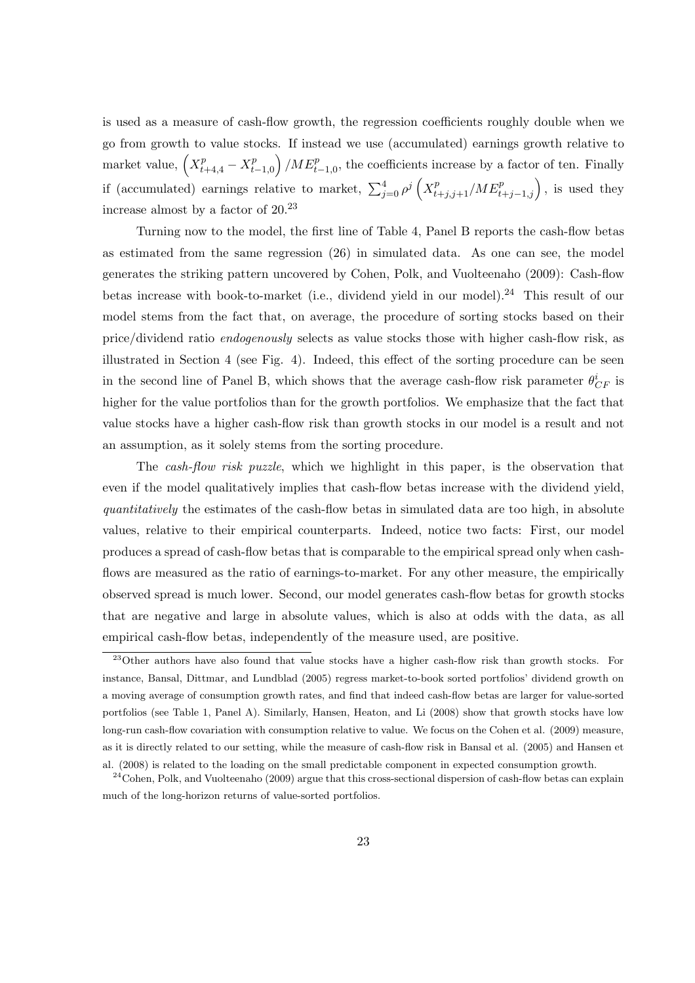is used as a measure of cash-flow growth, the regression coefficients roughly double when we go from growth to value stocks. If instead we use (accumulated) earnings growth relative to ´ go from growth to value steep  $\binom{p}{t-1,0}$  /M $E_{t-1,0}^p$ , the coefficients increase by a factor of ten. Finally if (accumulated) earnings relative to market,  $\sum_{j=0}^{4} \rho^j \left( X_{t+j,j+1}^p / M E_{t+j-1,j}^p \right)$ , is used they  $\ddot{\phantom{0}}$ increase almost by a factor of  $20^{23}$ 

Turning now to the model, the first line of Table 4, Panel B reports the cash-flow betas as estimated from the same regression (26) in simulated data. As one can see, the model generates the striking pattern uncovered by Cohen, Polk, and Vuolteenaho (2009): Cash-flow betas increase with book-to-market (i.e., dividend yield in our model).<sup>24</sup> This result of our model stems from the fact that, on average, the procedure of sorting stocks based on their price/dividend ratio endogenously selects as value stocks those with higher cash-flow risk, as illustrated in Section 4 (see Fig. 4). Indeed, this effect of the sorting procedure can be seen in the second line of Panel B, which shows that the average cash-flow risk parameter  $\theta_{CF}^{i}$  is higher for the value portfolios than for the growth portfolios. We emphasize that the fact that value stocks have a higher cash-flow risk than growth stocks in our model is a result and not an assumption, as it solely stems from the sorting procedure.

The cash-flow risk puzzle, which we highlight in this paper, is the observation that even if the model qualitatively implies that cash-flow betas increase with the dividend yield, quantitatively the estimates of the cash-flow betas in simulated data are too high, in absolute values, relative to their empirical counterparts. Indeed, notice two facts: First, our model produces a spread of cash-flow betas that is comparable to the empirical spread only when cashflows are measured as the ratio of earnings-to-market. For any other measure, the empirically observed spread is much lower. Second, our model generates cash-flow betas for growth stocks that are negative and large in absolute values, which is also at odds with the data, as all empirical cash-flow betas, independently of the measure used, are positive.

<sup>23</sup>Other authors have also found that value stocks have a higher cash-flow risk than growth stocks. For instance, Bansal, Dittmar, and Lundblad (2005) regress market-to-book sorted portfolios' dividend growth on a moving average of consumption growth rates, and find that indeed cash-flow betas are larger for value-sorted portfolios (see Table 1, Panel A). Similarly, Hansen, Heaton, and Li (2008) show that growth stocks have low long-run cash-flow covariation with consumption relative to value. We focus on the Cohen et al. (2009) measure, as it is directly related to our setting, while the measure of cash-flow risk in Bansal et al. (2005) and Hansen et al. (2008) is related to the loading on the small predictable component in expected consumption growth.

 $24$ Cohen, Polk, and Vuolteenaho (2009) argue that this cross-sectional dispersion of cash-flow betas can explain much of the long-horizon returns of value-sorted portfolios.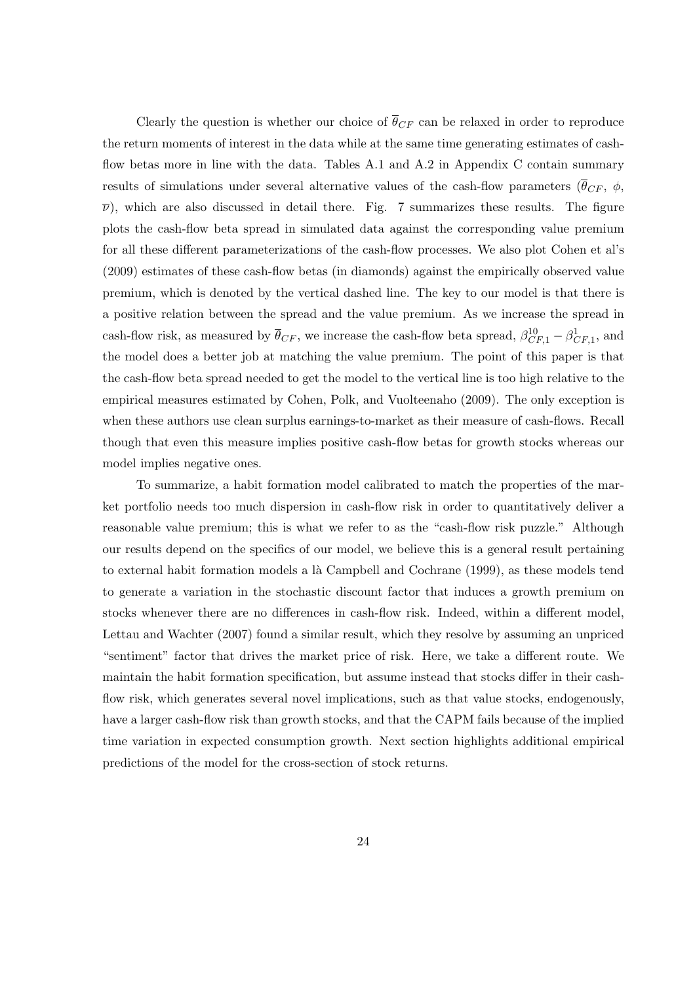Clearly the question is whether our choice of  $\bar{\theta}_{CF}$  can be relaxed in order to reproduce the return moments of interest in the data while at the same time generating estimates of cashflow betas more in line with the data. Tables A.1 and A.2 in Appendix C contain summary results of simulations under several alternative values of the cash-flow parameters ( $\bar{\theta}_{CF}$ ,  $\phi$ ,  $\bar{\nu}$ ), which are also discussed in detail there. Fig. 7 summarizes these results. The figure plots the cash-flow beta spread in simulated data against the corresponding value premium for all these different parameterizations of the cash-flow processes. We also plot Cohen et al's (2009) estimates of these cash-flow betas (in diamonds) against the empirically observed value premium, which is denoted by the vertical dashed line. The key to our model is that there is a positive relation between the spread and the value premium. As we increase the spread in cash-flow risk, as measured by  $\bar{\theta}_{CF}$ , we increase the cash-flow beta spread,  $\beta_{CF,1}^{10} - \beta_{CF,1}^1$ , and the model does a better job at matching the value premium. The point of this paper is that the cash-flow beta spread needed to get the model to the vertical line is too high relative to the empirical measures estimated by Cohen, Polk, and Vuolteenaho (2009). The only exception is when these authors use clean surplus earnings-to-market as their measure of cash-flows. Recall though that even this measure implies positive cash-flow betas for growth stocks whereas our model implies negative ones.

To summarize, a habit formation model calibrated to match the properties of the market portfolio needs too much dispersion in cash-flow risk in order to quantitatively deliver a reasonable value premium; this is what we refer to as the "cash-flow risk puzzle." Although our results depend on the specifics of our model, we believe this is a general result pertaining to external habit formation models a là Campbell and Cochrane (1999), as these models tend to generate a variation in the stochastic discount factor that induces a growth premium on stocks whenever there are no differences in cash-flow risk. Indeed, within a different model, Lettau and Wachter (2007) found a similar result, which they resolve by assuming an unpriced "sentiment" factor that drives the market price of risk. Here, we take a different route. We maintain the habit formation specification, but assume instead that stocks differ in their cashflow risk, which generates several novel implications, such as that value stocks, endogenously, have a larger cash-flow risk than growth stocks, and that the CAPM fails because of the implied time variation in expected consumption growth. Next section highlights additional empirical predictions of the model for the cross-section of stock returns.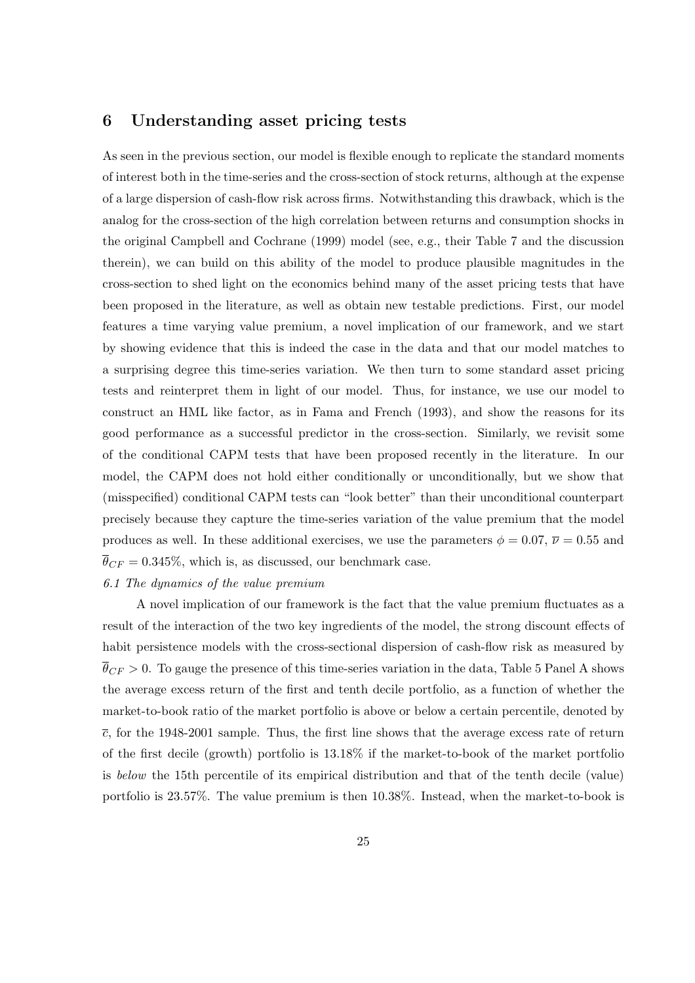# 6 Understanding asset pricing tests

As seen in the previous section, our model is flexible enough to replicate the standard moments of interest both in the time-series and the cross-section of stock returns, although at the expense of a large dispersion of cash-flow risk across firms. Notwithstanding this drawback, which is the analog for the cross-section of the high correlation between returns and consumption shocks in the original Campbell and Cochrane (1999) model (see, e.g., their Table 7 and the discussion therein), we can build on this ability of the model to produce plausible magnitudes in the cross-section to shed light on the economics behind many of the asset pricing tests that have been proposed in the literature, as well as obtain new testable predictions. First, our model features a time varying value premium, a novel implication of our framework, and we start by showing evidence that this is indeed the case in the data and that our model matches to a surprising degree this time-series variation. We then turn to some standard asset pricing tests and reinterpret them in light of our model. Thus, for instance, we use our model to construct an HML like factor, as in Fama and French (1993), and show the reasons for its good performance as a successful predictor in the cross-section. Similarly, we revisit some of the conditional CAPM tests that have been proposed recently in the literature. In our model, the CAPM does not hold either conditionally or unconditionally, but we show that (misspecified) conditional CAPM tests can "look better" than their unconditional counterpart precisely because they capture the time-series variation of the value premium that the model produces as well. In these additional exercises, we use the parameters  $\phi = 0.07$ ,  $\overline{\nu} = 0.55$  and  $\overline{\theta}_{CF} = 0.345\%$ , which is, as discussed, our benchmark case.

# 6.1 The dynamics of the value premium

A novel implication of our framework is the fact that the value premium fluctuates as a result of the interaction of the two key ingredients of the model, the strong discount effects of habit persistence models with the cross-sectional dispersion of cash-flow risk as measured by  $\theta_{CF} > 0$ . To gauge the presence of this time-series variation in the data, Table 5 Panel A shows the average excess return of the first and tenth decile portfolio, as a function of whether the market-to-book ratio of the market portfolio is above or below a certain percentile, denoted by  $\bar{c}$ , for the 1948-2001 sample. Thus, the first line shows that the average excess rate of return of the first decile (growth) portfolio is 13.18% if the market-to-book of the market portfolio is below the 15th percentile of its empirical distribution and that of the tenth decile (value) portfolio is 23.57%. The value premium is then 10.38%. Instead, when the market-to-book is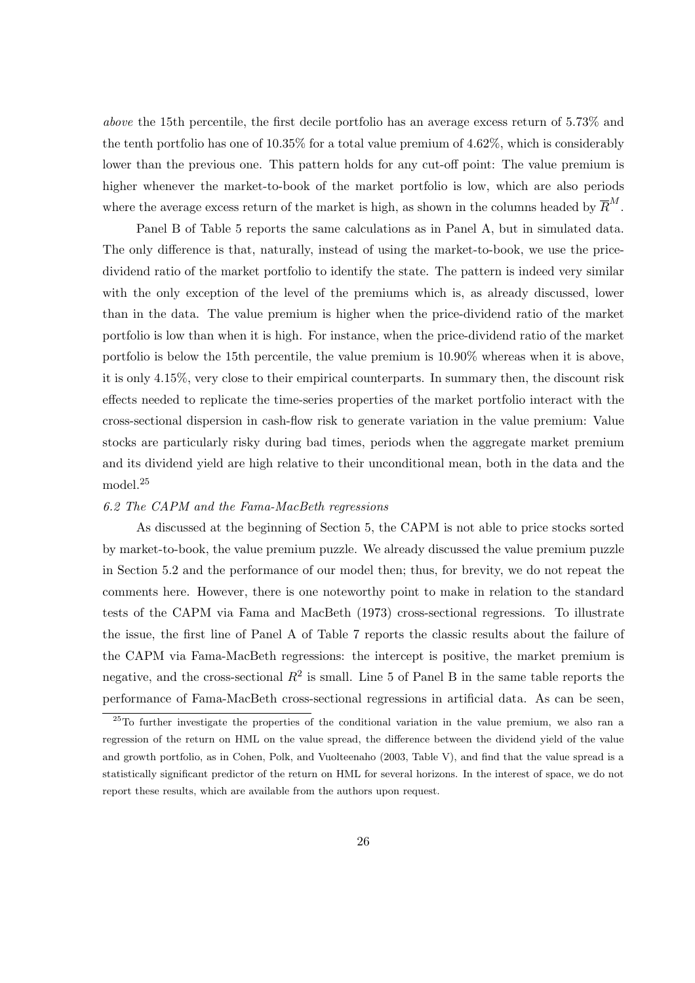above the 15th percentile, the first decile portfolio has an average excess return of 5.73% and the tenth portfolio has one of 10.35% for a total value premium of 4.62%, which is considerably lower than the previous one. This pattern holds for any cut-off point: The value premium is higher whenever the market-to-book of the market portfolio is low, which are also periods where the average excess return of the market is high, as shown in the columns headed by  $\overline{R}^M$ .

Panel B of Table 5 reports the same calculations as in Panel A, but in simulated data. The only difference is that, naturally, instead of using the market-to-book, we use the pricedividend ratio of the market portfolio to identify the state. The pattern is indeed very similar with the only exception of the level of the premiums which is, as already discussed, lower than in the data. The value premium is higher when the price-dividend ratio of the market portfolio is low than when it is high. For instance, when the price-dividend ratio of the market portfolio is below the 15th percentile, the value premium is 10.90% whereas when it is above, it is only 4.15%, very close to their empirical counterparts. In summary then, the discount risk effects needed to replicate the time-series properties of the market portfolio interact with the cross-sectional dispersion in cash-flow risk to generate variation in the value premium: Value stocks are particularly risky during bad times, periods when the aggregate market premium and its dividend yield are high relative to their unconditional mean, both in the data and the model.<sup>25</sup>

#### 6.2 The CAPM and the Fama-MacBeth regressions

As discussed at the beginning of Section 5, the CAPM is not able to price stocks sorted by market-to-book, the value premium puzzle. We already discussed the value premium puzzle in Section 5.2 and the performance of our model then; thus, for brevity, we do not repeat the comments here. However, there is one noteworthy point to make in relation to the standard tests of the CAPM via Fama and MacBeth (1973) cross-sectional regressions. To illustrate the issue, the first line of Panel A of Table 7 reports the classic results about the failure of the CAPM via Fama-MacBeth regressions: the intercept is positive, the market premium is negative, and the cross-sectional  $R^2$  is small. Line 5 of Panel B in the same table reports the performance of Fama-MacBeth cross-sectional regressions in artificial data. As can be seen,

<sup>25</sup>To further investigate the properties of the conditional variation in the value premium, we also ran a regression of the return on HML on the value spread, the difference between the dividend yield of the value and growth portfolio, as in Cohen, Polk, and Vuolteenaho (2003, Table V), and find that the value spread is a statistically significant predictor of the return on HML for several horizons. In the interest of space, we do not report these results, which are available from the authors upon request.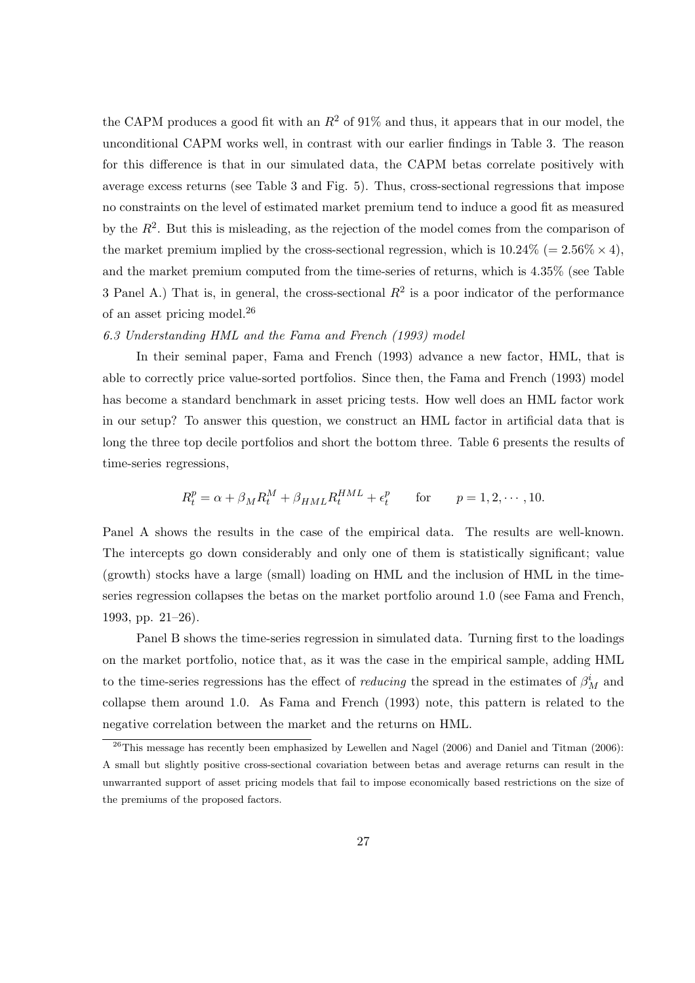the CAPM produces a good fit with an  $R^2$  of 91% and thus, it appears that in our model, the unconditional CAPM works well, in contrast with our earlier findings in Table 3. The reason for this difference is that in our simulated data, the CAPM betas correlate positively with average excess returns (see Table 3 and Fig. 5). Thus, cross-sectional regressions that impose no constraints on the level of estimated market premium tend to induce a good fit as measured by the  $R^2$ . But this is misleading, as the rejection of the model comes from the comparison of the market premium implied by the cross-sectional regression, which is  $10.24\%$  (=  $2.56\% \times 4$ ), and the market premium computed from the time-series of returns, which is 4.35% (see Table 3 Panel A.) That is, in general, the cross-sectional  $R^2$  is a poor indicator of the performance of an asset pricing model. $^{26}$ 

## 6.3 Understanding HML and the Fama and French (1993) model

In their seminal paper, Fama and French (1993) advance a new factor, HML, that is able to correctly price value-sorted portfolios. Since then, the Fama and French (1993) model has become a standard benchmark in asset pricing tests. How well does an HML factor work in our setup? To answer this question, we construct an HML factor in artificial data that is long the three top decile portfolios and short the bottom three. Table 6 presents the results of time-series regressions,

$$
R_t^p = \alpha + \beta_M R_t^M + \beta_{HML} R_t^{HML} + \epsilon_t^p \quad \text{for} \quad p = 1, 2, \cdots, 10.
$$

Panel A shows the results in the case of the empirical data. The results are well-known. The intercepts go down considerably and only one of them is statistically significant; value (growth) stocks have a large (small) loading on HML and the inclusion of HML in the timeseries regression collapses the betas on the market portfolio around 1.0 (see Fama and French, 1993, pp. 21–26).

Panel B shows the time-series regression in simulated data. Turning first to the loadings on the market portfolio, notice that, as it was the case in the empirical sample, adding HML to the time-series regressions has the effect of *reducing* the spread in the estimates of  $\beta^i_M$  and collapse them around 1.0. As Fama and French (1993) note, this pattern is related to the negative correlation between the market and the returns on HML.

 $^{26}$ This message has recently been emphasized by Lewellen and Nagel (2006) and Daniel and Titman (2006): A small but slightly positive cross-sectional covariation between betas and average returns can result in the unwarranted support of asset pricing models that fail to impose economically based restrictions on the size of the premiums of the proposed factors.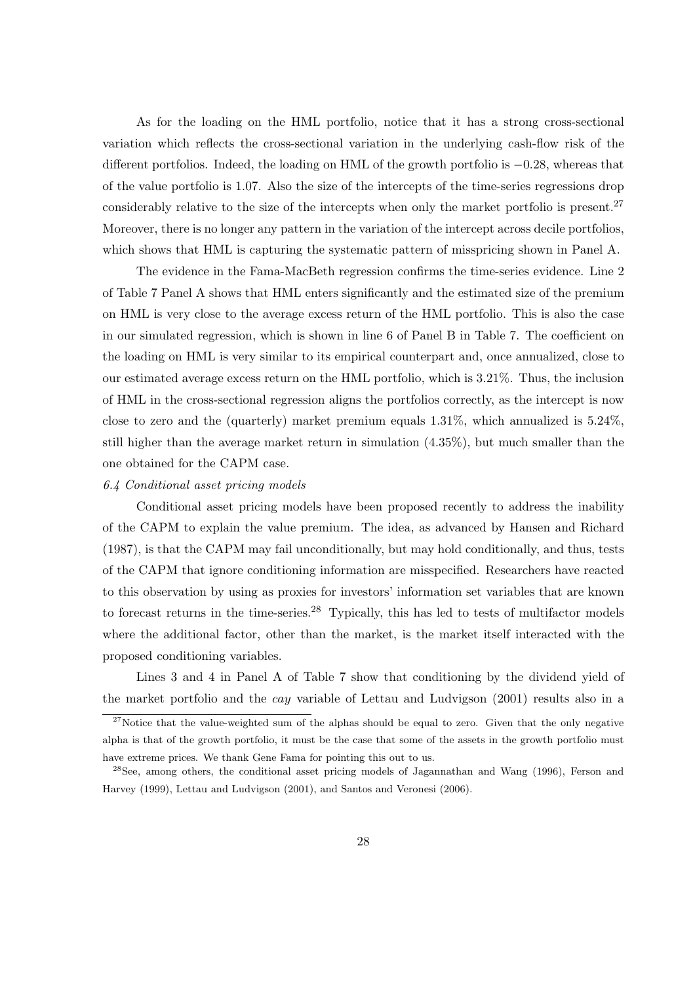As for the loading on the HML portfolio, notice that it has a strong cross-sectional variation which reflects the cross-sectional variation in the underlying cash-flow risk of the different portfolios. Indeed, the loading on HML of the growth portfolio is −0.28, whereas that of the value portfolio is 1.07. Also the size of the intercepts of the time-series regressions drop considerably relative to the size of the intercepts when only the market portfolio is present.<sup>27</sup> Moreover, there is no longer any pattern in the variation of the intercept across decile portfolios, which shows that HML is capturing the systematic pattern of misspricing shown in Panel A.

The evidence in the Fama-MacBeth regression confirms the time-series evidence. Line 2 of Table 7 Panel A shows that HML enters significantly and the estimated size of the premium on HML is very close to the average excess return of the HML portfolio. This is also the case in our simulated regression, which is shown in line 6 of Panel B in Table 7. The coefficient on the loading on HML is very similar to its empirical counterpart and, once annualized, close to our estimated average excess return on the HML portfolio, which is 3.21%. Thus, the inclusion of HML in the cross-sectional regression aligns the portfolios correctly, as the intercept is now close to zero and the (quarterly) market premium equals 1.31%, which annualized is 5.24%, still higher than the average market return in simulation (4.35%), but much smaller than the one obtained for the CAPM case.

#### 6.4 Conditional asset pricing models

Conditional asset pricing models have been proposed recently to address the inability of the CAPM to explain the value premium. The idea, as advanced by Hansen and Richard (1987), is that the CAPM may fail unconditionally, but may hold conditionally, and thus, tests of the CAPM that ignore conditioning information are misspecified. Researchers have reacted to this observation by using as proxies for investors' information set variables that are known to forecast returns in the time-series.<sup>28</sup> Typically, this has led to tests of multifactor models where the additional factor, other than the market, is the market itself interacted with the proposed conditioning variables.

Lines 3 and 4 in Panel A of Table 7 show that conditioning by the dividend yield of the market portfolio and the cay variable of Lettau and Ludvigson (2001) results also in a

 $^{27}$ Notice that the value-weighted sum of the alphas should be equal to zero. Given that the only negative alpha is that of the growth portfolio, it must be the case that some of the assets in the growth portfolio must have extreme prices. We thank Gene Fama for pointing this out to us.

<sup>&</sup>lt;sup>28</sup>See, among others, the conditional asset pricing models of Jagannathan and Wang (1996), Ferson and Harvey (1999), Lettau and Ludvigson (2001), and Santos and Veronesi (2006).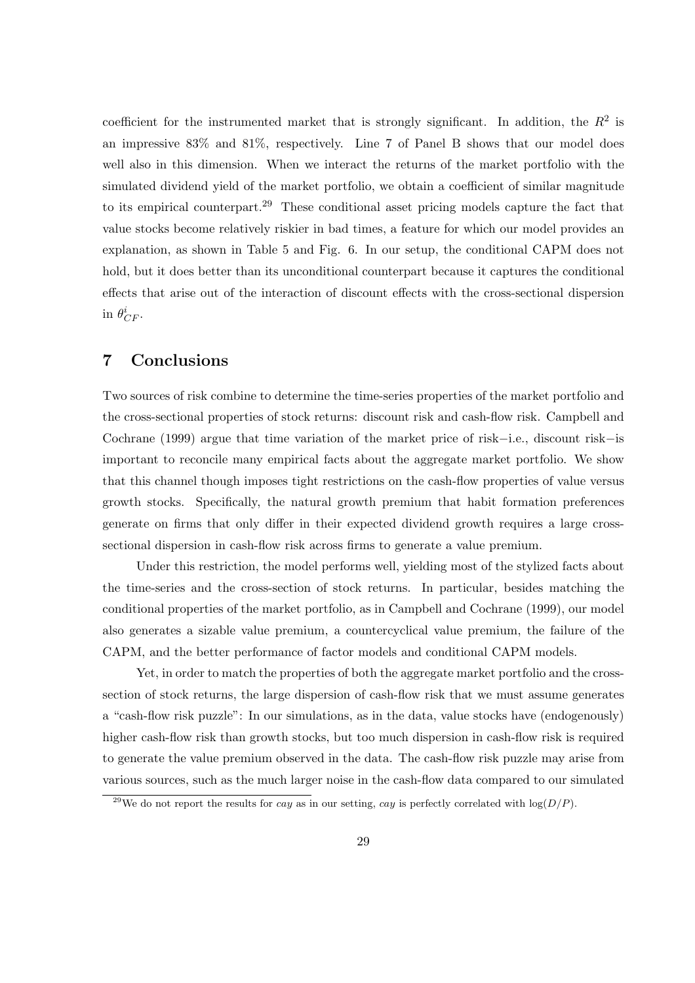coefficient for the instrumented market that is strongly significant. In addition, the  $R^2$  is an impressive 83% and 81%, respectively. Line 7 of Panel B shows that our model does well also in this dimension. When we interact the returns of the market portfolio with the simulated dividend yield of the market portfolio, we obtain a coefficient of similar magnitude to its empirical counterpart.<sup>29</sup> These conditional asset pricing models capture the fact that value stocks become relatively riskier in bad times, a feature for which our model provides an explanation, as shown in Table 5 and Fig. 6. In our setup, the conditional CAPM does not hold, but it does better than its unconditional counterpart because it captures the conditional effects that arise out of the interaction of discount effects with the cross-sectional dispersion in  $\theta_{CF}^i$ .

# 7 Conclusions

Two sources of risk combine to determine the time-series properties of the market portfolio and the cross-sectional properties of stock returns: discount risk and cash-flow risk. Campbell and Cochrane (1999) argue that time variation of the market price of risk−i.e., discount risk−is important to reconcile many empirical facts about the aggregate market portfolio. We show that this channel though imposes tight restrictions on the cash-flow properties of value versus growth stocks. Specifically, the natural growth premium that habit formation preferences generate on firms that only differ in their expected dividend growth requires a large crosssectional dispersion in cash-flow risk across firms to generate a value premium.

Under this restriction, the model performs well, yielding most of the stylized facts about the time-series and the cross-section of stock returns. In particular, besides matching the conditional properties of the market portfolio, as in Campbell and Cochrane (1999), our model also generates a sizable value premium, a countercyclical value premium, the failure of the CAPM, and the better performance of factor models and conditional CAPM models.

Yet, in order to match the properties of both the aggregate market portfolio and the crosssection of stock returns, the large dispersion of cash-flow risk that we must assume generates a "cash-flow risk puzzle": In our simulations, as in the data, value stocks have (endogenously) higher cash-flow risk than growth stocks, but too much dispersion in cash-flow risk is required to generate the value premium observed in the data. The cash-flow risk puzzle may arise from various sources, such as the much larger noise in the cash-flow data compared to our simulated

<sup>&</sup>lt;sup>29</sup>We do not report the results for *cay* as in our setting, *cay* is perfectly correlated with  $log(D/P)$ .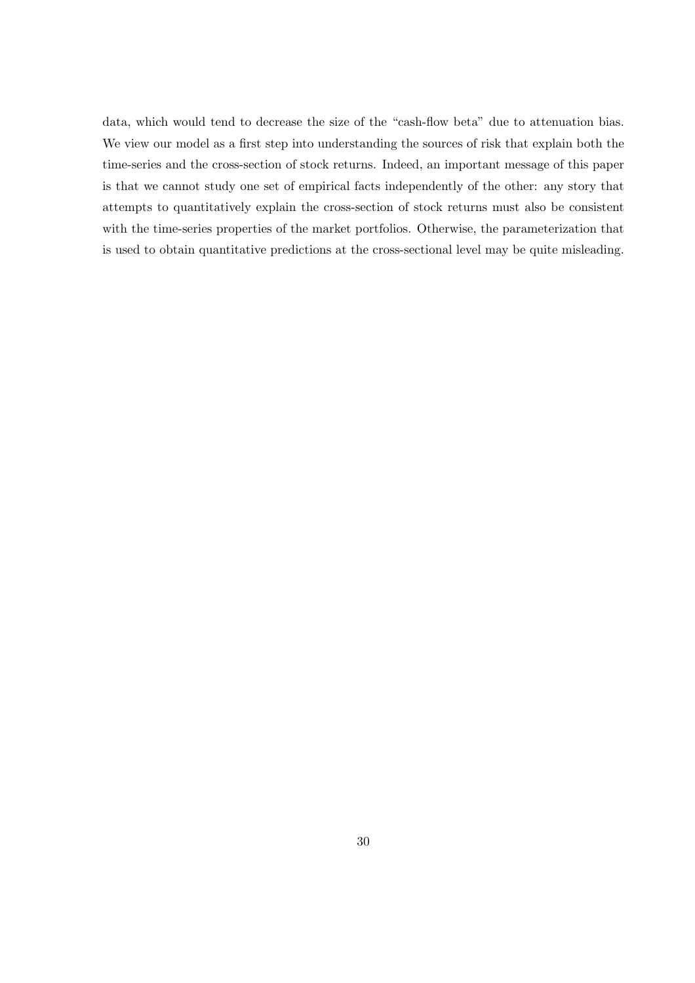data, which would tend to decrease the size of the "cash-flow beta" due to attenuation bias. We view our model as a first step into understanding the sources of risk that explain both the time-series and the cross-section of stock returns. Indeed, an important message of this paper is that we cannot study one set of empirical facts independently of the other: any story that attempts to quantitatively explain the cross-section of stock returns must also be consistent with the time-series properties of the market portfolios. Otherwise, the parameterization that is used to obtain quantitative predictions at the cross-sectional level may be quite misleading.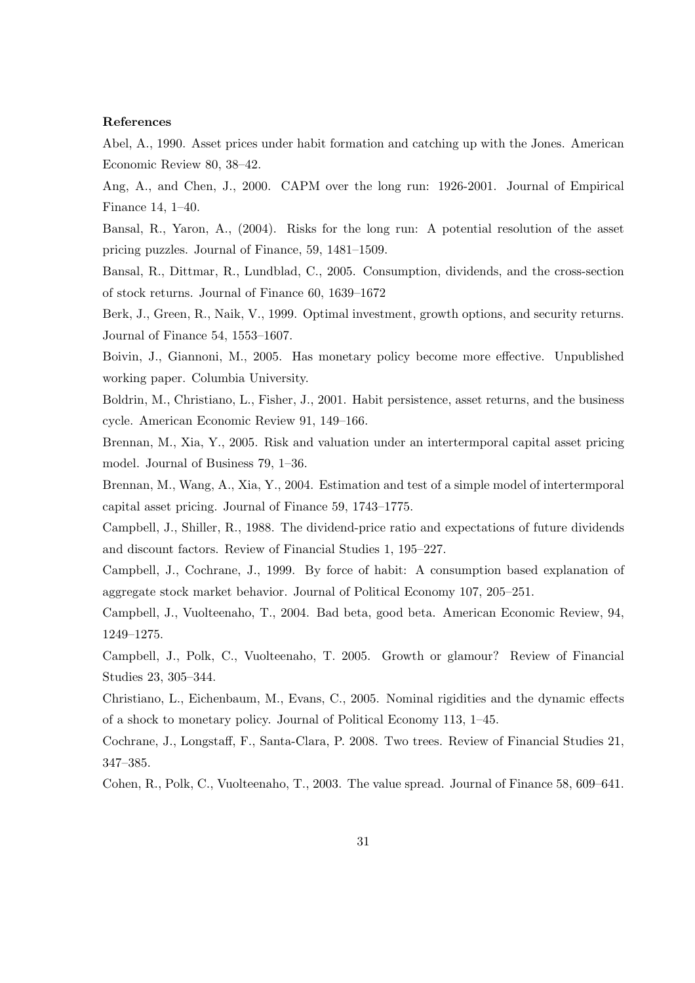# References

Abel, A., 1990. Asset prices under habit formation and catching up with the Jones. American Economic Review 80, 38–42.

Ang, A., and Chen, J., 2000. CAPM over the long run: 1926-2001. Journal of Empirical Finance 14, 1–40.

Bansal, R., Yaron, A., (2004). Risks for the long run: A potential resolution of the asset pricing puzzles. Journal of Finance, 59, 1481–1509.

Bansal, R., Dittmar, R., Lundblad, C., 2005. Consumption, dividends, and the cross-section of stock returns. Journal of Finance 60, 1639–1672

Berk, J., Green, R., Naik, V., 1999. Optimal investment, growth options, and security returns. Journal of Finance 54, 1553–1607.

Boivin, J., Giannoni, M., 2005. Has monetary policy become more effective. Unpublished working paper. Columbia University.

Boldrin, M., Christiano, L., Fisher, J., 2001. Habit persistence, asset returns, and the business cycle. American Economic Review 91, 149–166.

Brennan, M., Xia, Y., 2005. Risk and valuation under an intertermporal capital asset pricing model. Journal of Business 79, 1–36.

Brennan, M., Wang, A., Xia, Y., 2004. Estimation and test of a simple model of intertermporal capital asset pricing. Journal of Finance 59, 1743–1775.

Campbell, J., Shiller, R., 1988. The dividend-price ratio and expectations of future dividends and discount factors. Review of Financial Studies 1, 195–227.

Campbell, J., Cochrane, J., 1999. By force of habit: A consumption based explanation of aggregate stock market behavior. Journal of Political Economy 107, 205–251.

Campbell, J., Vuolteenaho, T., 2004. Bad beta, good beta. American Economic Review, 94, 1249–1275.

Campbell, J., Polk, C., Vuolteenaho, T. 2005. Growth or glamour? Review of Financial Studies 23, 305–344.

Christiano, L., Eichenbaum, M., Evans, C., 2005. Nominal rigidities and the dynamic effects of a shock to monetary policy. Journal of Political Economy 113, 1–45.

Cochrane, J., Longstaff, F., Santa-Clara, P. 2008. Two trees. Review of Financial Studies 21, 347–385.

Cohen, R., Polk, C., Vuolteenaho, T., 2003. The value spread. Journal of Finance 58, 609–641.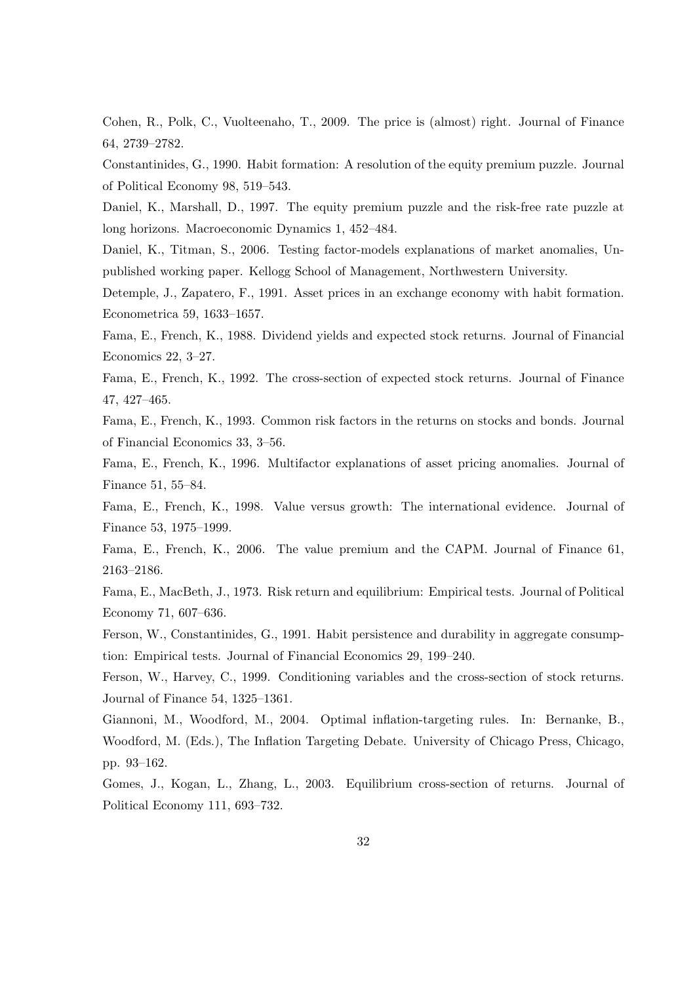Cohen, R., Polk, C., Vuolteenaho, T., 2009. The price is (almost) right. Journal of Finance 64, 2739–2782.

Constantinides, G., 1990. Habit formation: A resolution of the equity premium puzzle. Journal of Political Economy 98, 519–543.

Daniel, K., Marshall, D., 1997. The equity premium puzzle and the risk-free rate puzzle at long horizons. Macroeconomic Dynamics 1, 452–484.

Daniel, K., Titman, S., 2006. Testing factor-models explanations of market anomalies, Unpublished working paper. Kellogg School of Management, Northwestern University.

Detemple, J., Zapatero, F., 1991. Asset prices in an exchange economy with habit formation. Econometrica 59, 1633–1657.

Fama, E., French, K., 1988. Dividend yields and expected stock returns. Journal of Financial Economics 22, 3–27.

Fama, E., French, K., 1992. The cross-section of expected stock returns. Journal of Finance 47, 427–465.

Fama, E., French, K., 1993. Common risk factors in the returns on stocks and bonds. Journal of Financial Economics 33, 3–56.

Fama, E., French, K., 1996. Multifactor explanations of asset pricing anomalies. Journal of Finance 51, 55–84.

Fama, E., French, K., 1998. Value versus growth: The international evidence. Journal of Finance 53, 1975–1999.

Fama, E., French, K., 2006. The value premium and the CAPM. Journal of Finance 61, 2163–2186.

Fama, E., MacBeth, J., 1973. Risk return and equilibrium: Empirical tests. Journal of Political Economy 71, 607–636.

Ferson, W., Constantinides, G., 1991. Habit persistence and durability in aggregate consumption: Empirical tests. Journal of Financial Economics 29, 199–240.

Ferson, W., Harvey, C., 1999. Conditioning variables and the cross-section of stock returns. Journal of Finance 54, 1325–1361.

Giannoni, M., Woodford, M., 2004. Optimal inflation-targeting rules. In: Bernanke, B., Woodford, M. (Eds.), The Inflation Targeting Debate. University of Chicago Press, Chicago, pp. 93–162.

Gomes, J., Kogan, L., Zhang, L., 2003. Equilibrium cross-section of returns. Journal of Political Economy 111, 693–732.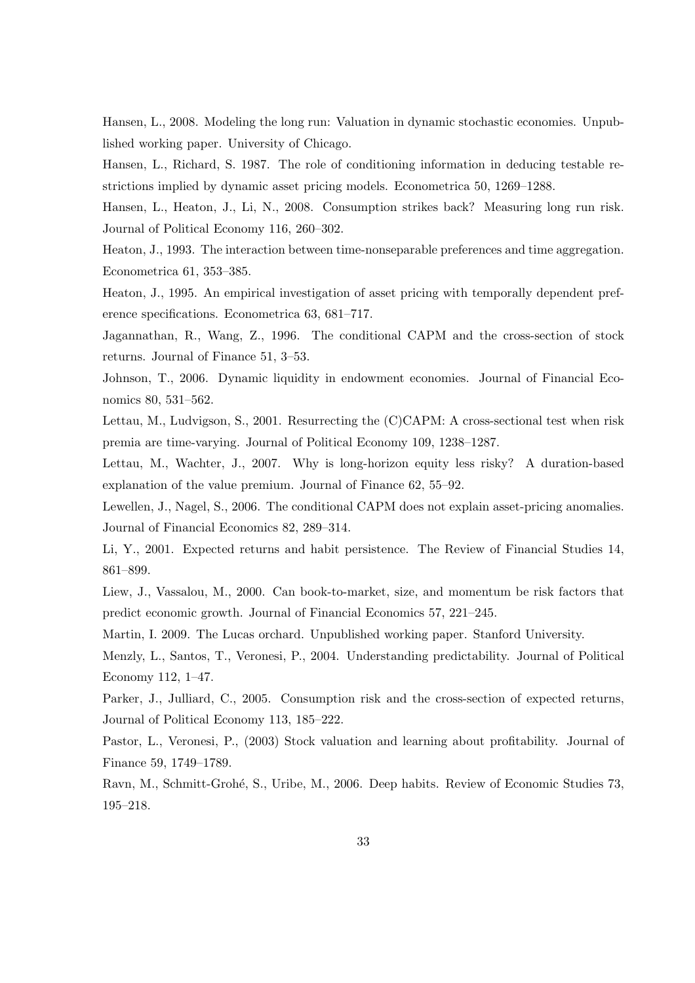Hansen, L., 2008. Modeling the long run: Valuation in dynamic stochastic economies. Unpublished working paper. University of Chicago.

Hansen, L., Richard, S. 1987. The role of conditioning information in deducing testable restrictions implied by dynamic asset pricing models. Econometrica 50, 1269–1288.

Hansen, L., Heaton, J., Li, N., 2008. Consumption strikes back? Measuring long run risk. Journal of Political Economy 116, 260–302.

Heaton, J., 1993. The interaction between time-nonseparable preferences and time aggregation. Econometrica 61, 353–385.

Heaton, J., 1995. An empirical investigation of asset pricing with temporally dependent preference specifications. Econometrica 63, 681–717.

Jagannathan, R., Wang, Z., 1996. The conditional CAPM and the cross-section of stock returns. Journal of Finance 51, 3–53.

Johnson, T., 2006. Dynamic liquidity in endowment economies. Journal of Financial Economics 80, 531–562.

Lettau, M., Ludvigson, S., 2001. Resurrecting the (C)CAPM: A cross-sectional test when risk premia are time-varying. Journal of Political Economy 109, 1238–1287.

Lettau, M., Wachter, J., 2007. Why is long-horizon equity less risky? A duration-based explanation of the value premium. Journal of Finance 62, 55–92.

Lewellen, J., Nagel, S., 2006. The conditional CAPM does not explain asset-pricing anomalies. Journal of Financial Economics 82, 289–314.

Li, Y., 2001. Expected returns and habit persistence. The Review of Financial Studies 14, 861–899.

Liew, J., Vassalou, M., 2000. Can book-to-market, size, and momentum be risk factors that predict economic growth. Journal of Financial Economics 57, 221–245.

Martin, I. 2009. The Lucas orchard. Unpublished working paper. Stanford University.

Menzly, L., Santos, T., Veronesi, P., 2004. Understanding predictability. Journal of Political Economy 112, 1–47.

Parker, J., Julliard, C., 2005. Consumption risk and the cross-section of expected returns, Journal of Political Economy 113, 185–222.

Pastor, L., Veronesi, P., (2003) Stock valuation and learning about profitability. Journal of Finance 59, 1749–1789.

Ravn, M., Schmitt-Grohé, S., Uribe, M., 2006. Deep habits. Review of Economic Studies 73, 195–218.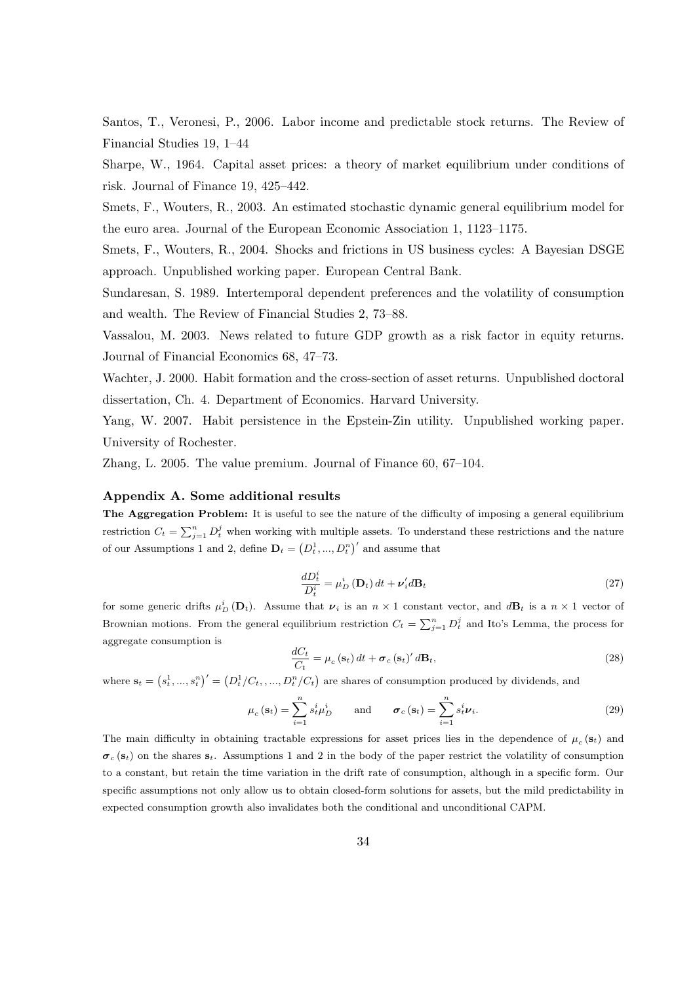Santos, T., Veronesi, P., 2006. Labor income and predictable stock returns. The Review of Financial Studies 19, 1–44

Sharpe, W., 1964. Capital asset prices: a theory of market equilibrium under conditions of risk. Journal of Finance 19, 425–442.

Smets, F., Wouters, R., 2003. An estimated stochastic dynamic general equilibrium model for the euro area. Journal of the European Economic Association 1, 1123–1175.

Smets, F., Wouters, R., 2004. Shocks and frictions in US business cycles: A Bayesian DSGE approach. Unpublished working paper. European Central Bank.

Sundaresan, S. 1989. Intertemporal dependent preferences and the volatility of consumption and wealth. The Review of Financial Studies 2, 73–88.

Vassalou, M. 2003. News related to future GDP growth as a risk factor in equity returns. Journal of Financial Economics 68, 47–73.

Wachter, J. 2000. Habit formation and the cross-section of asset returns. Unpublished doctoral dissertation, Ch. 4. Department of Economics. Harvard University.

Yang, W. 2007. Habit persistence in the Epstein-Zin utility. Unpublished working paper. University of Rochester.

Zhang, L. 2005. The value premium. Journal of Finance 60, 67–104.

#### Appendix A. Some additional results

The Aggregation Problem: It is useful to see the nature of the difficulty of imposing a general equilibrium restriction  $C_t = \sum_{j=1}^n D_t^j$  when working with multiple assets. To understand these restrictions and the nature of our Assumptions 1 and 2, define  $\mathbf{D}_t = (D_t^1, ..., D_t^n)'$  and assume that

$$
\frac{dD_t^i}{D_t^i} = \mu_D^i \left(\mathbf{D}_t\right) dt + \nu_i^{\prime} d\mathbf{B}_t \tag{27}
$$

for some generic drifts  $\mu_D^i(\mathbf{D}_t)$ . Assume that  $\nu_i$  is an  $n \times 1$  constant vector, and  $d\mathbf{B}_t$  is a  $n \times 1$  vector of Brownian motions. From the general equilibrium restriction  $C_t = \sum_{j=1}^n D_t^j$  and Ito's Lemma, the process for aggregate consumption is

$$
\frac{dC_t}{C_t} = \mu_c(\mathbf{s}_t) dt + \boldsymbol{\sigma}_c(\mathbf{s}_t)' d\mathbf{B}_t,
$$
\n(28)

where  $\mathbf{s}_t = (s_t^1, ..., s_t^n)' = (D_t^1/C_t, ..., D_t^n/C_t)$  are shares of consumption produced by dividends, and

$$
\mu_c(\mathbf{s}_t) = \sum_{i=1}^n s_t^i \mu_D^i \quad \text{and} \quad \boldsymbol{\sigma}_c(\mathbf{s}_t) = \sum_{i=1}^n s_t^i \boldsymbol{\nu}_i. \tag{29}
$$

The main difficulty in obtaining tractable expressions for asset prices lies in the dependence of  $\mu_c(\mathbf{s}_t)$  and  $\sigma_c$  (s<sub>t</sub>) on the shares s<sub>t</sub>. Assumptions 1 and 2 in the body of the paper restrict the volatility of consumption to a constant, but retain the time variation in the drift rate of consumption, although in a specific form. Our specific assumptions not only allow us to obtain closed-form solutions for assets, but the mild predictability in expected consumption growth also invalidates both the conditional and unconditional CAPM.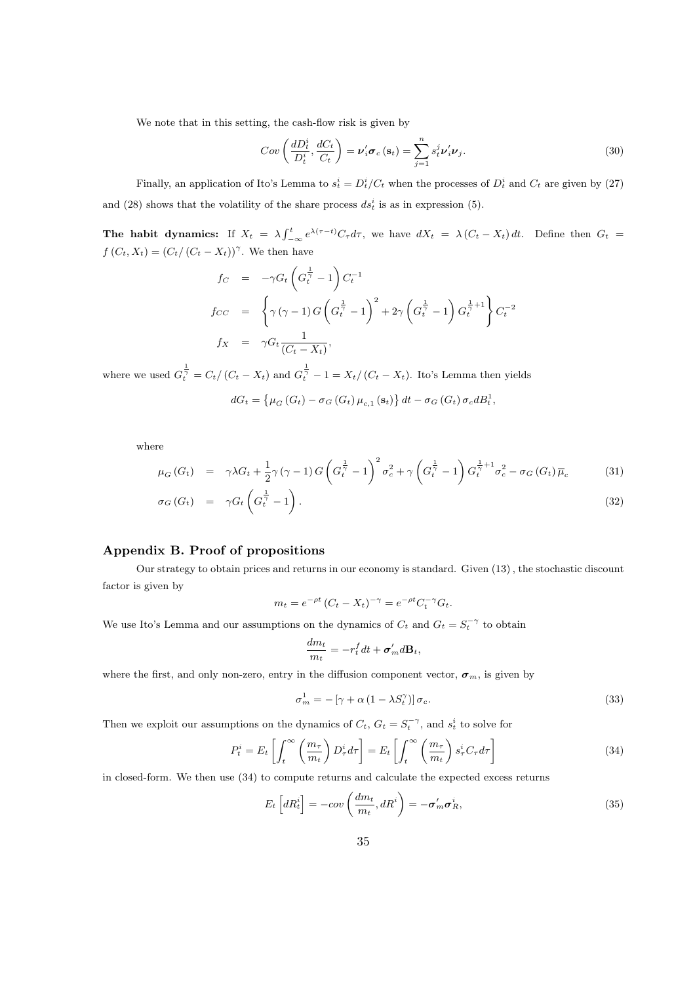We note that in this setting, the cash-flow risk is given by

$$
Cov\left(\frac{dD_t^i}{D_t^i}, \frac{dC_t}{C_t}\right) = \nu_i' \sigma_c\left(\mathbf{s}_t\right) = \sum_{j=1}^n s_t^j \nu_i' \nu_j.
$$
\n(30)

Finally, an application of Ito's Lemma to  $s_t^i = D_t^i/C_t$  when the processes of  $D_t^i$  and  $C_t$  are given by (27) and (28) shows that the volatility of the share process  $ds_t^i$  is as in expression (5).

The habit dynamics: If  $X_t = \lambda \int_{-\infty}^t e^{\lambda(\tau-t)} C_\tau d\tau$ , we have  $dX_t = \lambda (C_t - X_t) dt$ . Define then  $G_t =$  $f(C_t, X_t) = (C_t / (C_t - X_t))^{\gamma}$ . We then have

$$
f_C = -\gamma G_t \left( G_t^{\frac{1}{\gamma}} - 1 \right) C_t^{-1}
$$
  
\n
$$
f_{CC} = \left\{ \gamma (\gamma - 1) G \left( G_t^{\frac{1}{\gamma}} - 1 \right)^2 + 2\gamma \left( G_t^{\frac{1}{\gamma}} - 1 \right) G_t^{\frac{1}{\gamma} + 1} \right\} C_t^{-2}
$$
  
\n
$$
f_X = \gamma G_t \frac{1}{(C_t - X_t)},
$$

where we used  $G_t^{\frac{1}{\gamma}} = C_t/(C_t - X_t)$  and  $G_t^{\frac{1}{\gamma}} - 1 = X_t/(C_t - X_t)$ . Ito's Lemma then yields

$$
dG_t = \left\{ \mu_G \left( G_t \right) - \sigma_G \left( G_t \right) \mu_{c,1} \left( \mathbf{s}_t \right) \right\} dt - \sigma_G \left( G_t \right) \sigma_c dB_t^1,
$$

where

$$
\mu_G\left(G_t\right) = \gamma \lambda G_t + \frac{1}{2}\gamma \left(\gamma - 1\right)G\left(G_t^{\frac{1}{\gamma}} - 1\right)^2 \sigma_c^2 + \gamma \left(G_t^{\frac{1}{\gamma}} - 1\right)G_t^{\frac{1}{\gamma}+1}\sigma_c^2 - \sigma_G\left(G_t\right)\overline{\mu}_c \tag{31}
$$

$$
\sigma_G(G_t) = \gamma G_t \left( G_t^{\frac{1}{\gamma}} - 1 \right). \tag{32}
$$

# Appendix B. Proof of propositions

Our strategy to obtain prices and returns in our economy is standard. Given (13) , the stochastic discount factor is given by

$$
m_t = e^{-\rho t} (C_t - X_t)^{-\gamma} = e^{-\rho t} C_t^{-\gamma} G_t.
$$

We use Ito's Lemma and our assumptions on the dynamics of  $C_t$  and  $G_t = S_t^{-\gamma}$  to obtain

$$
\frac{dm_t}{m_t} = -r_t^f dt + \sigma'_m d\mathbf{B}_t,
$$

where the first, and only non-zero, entry in the diffusion component vector,  $\sigma_m$ , is given by

$$
\sigma_m^1 = -\left[\gamma + \alpha \left(1 - \lambda S_t^{\gamma}\right)\right] \sigma_c. \tag{33}
$$

Then we exploit our assumptions on the dynamics of  $C_t$ ,  $G_t = S_t^{-\gamma}$ , and  $s_t^i$  to solve for

$$
P_t^i = E_t \left[ \int_t^\infty \left( \frac{m_\tau}{m_t} \right) D_\tau^i d\tau \right] = E_t \left[ \int_t^\infty \left( \frac{m_\tau}{m_t} \right) s_\tau^i C_\tau d\tau \right]
$$
(34)

in closed-form. We then use (34) to compute returns and calculate the expected excess returns

$$
E_t\left[dR_t^i\right] = -cov\left(\frac{dm_t}{m_t}, dR^i\right) = -\sigma'_m \sigma_R^i,
$$
\n(35)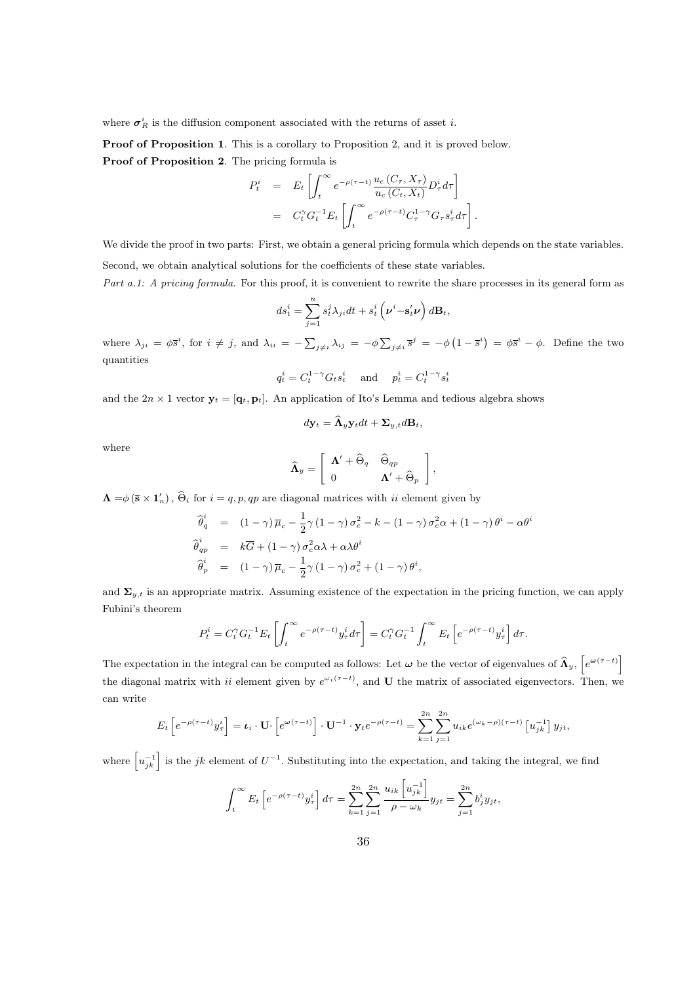where  $\sigma_R^i$  is the diffusion component associated with the returns of asset *i*.

Proof of Proposition 1. This is a corollary to Proposition 2, and it is proved below. Proof of Proposition 2. The pricing formula is

$$
P_t^i = E_t \left[ \int_t^\infty e^{-\rho(\tau - t)} \frac{u_c(C_\tau, X_\tau)}{u_c(C_t, X_t)} D_\tau^i d\tau \right]
$$
  
=  $C_t^\gamma G_t^{-1} E_t \left[ \int_t^\infty e^{-\rho(\tau - t)} C_\tau^{1-\gamma} G_\tau s_\tau^i d\tau \right].$ 

We divide the proof in two parts: First, we obtain a general pricing formula which depends on the state variables. Second, we obtain analytical solutions for the coefficients of these state variables.

Part a.1: A pricing formula. For this proof, it is convenient to rewrite the share processes in its general form as " "

$$
ds_t^i = \sum_{j=1}^n s_t^j \lambda_{ji} dt + s_t^i \left( \boldsymbol{\nu}^i - \mathbf{s}_t^i \boldsymbol{\nu} \right) d\mathbf{B}_t,
$$

where  $\lambda_{ji} = \phi \overline{s}^i$ , for  $i \neq j$ , and  $\lambda_{ii} = -\sum$  $\sum_{j\neq i}\lambda_{ij} = -\phi\sum_{j\neq j}$  $j \neq i$   $\overline{s}^j = -\phi \left(1 - \overline{s}^i\right) = \phi \overline{s}^i - \phi$ . Define the two quantities

$$
q^i_t = C^{1-\gamma}_t G_t s^i_t \quad \text{ and } \quad p^i_t = C^{1-\gamma}_t s^i_t
$$

and the  $2n \times 1$  vector  $\mathbf{y}_t = [\mathbf{q}_t, \mathbf{p}_t]$ . An application of Ito's Lemma and tedious algebra shows

$$
d\mathbf{y}_t = \widehat{\mathbf{\Lambda}}_y \mathbf{y}_t dt + \mathbf{\Sigma}_{y,t} d\mathbf{B}_t,
$$

where

$$
\widehat{\mathbf{\Lambda}}_{y} = \left[ \begin{array}{cc} \mathbf{\Lambda}' + \widehat{\Theta}_{q} & \widehat{\Theta}_{qp} \\ 0 & \mathbf{\Lambda}' + \widehat{\Theta}_{p} \end{array} \right],
$$

 $\Lambda = \phi (\bar{\mathbf{s}} \times \mathbf{1}'_n)$ ,  $\widehat{\Theta}_i$  for  $i = q, p, qp$  are diagonal matrices with  $ii$  element given by

$$
\begin{aligned}\n\widehat{\theta}_{q}^{i} &= (1 - \gamma) \, \overline{\mu}_{c} - \frac{1}{2} \gamma \, (1 - \gamma) \, \sigma_{c}^{2} - k - (1 - \gamma) \, \sigma_{c}^{2} \alpha + (1 - \gamma) \, \theta^{i} - \alpha \theta^{i} \\
\widehat{\theta}_{qp}^{i} &= k \overline{G} + (1 - \gamma) \, \sigma_{c}^{2} \alpha \lambda + \alpha \lambda \theta^{i} \\
\widehat{\theta}_{p}^{i} &= (1 - \gamma) \, \overline{\mu}_{c} - \frac{1}{2} \gamma \, (1 - \gamma) \, \sigma_{c}^{2} + (1 - \gamma) \, \theta^{i},\n\end{aligned}
$$

and  $\Sigma_{y,t}$  is an appropriate matrix. Assuming existence of the expectation in the pricing function, we can apply Fubini's theorem

$$
P_t^i = C_t^{\gamma} G_t^{-1} E_t \left[ \int_t^{\infty} e^{-\rho(\tau - t)} y_{\tau}^i d\tau \right] = C_t^{\gamma} G_t^{-1} \int_t^{\infty} E_t \left[ e^{-\rho(\tau - t)} y_{\tau}^i \right] d\tau.
$$

The expectation in the integral can be computed as follows: Let  $\omega$  be the vector of eigenvalues of  $\widehat{\Lambda}_y$ ,  $\big\lceil$  $e^{\boldsymbol{\omega}(\tau-t)}$ the diagonal matrix with ii element given by  $e^{\omega_i(\tau-t)}$ , and U the matrix of associated eigenvectors. Then, we can write

$$
E_t\left[e^{-\rho(\tau-t)}y_\tau^i\right] = \iota_i \cdot \mathbf{U} \cdot \left[e^{\omega(\tau-t)}\right] \cdot \mathbf{U}^{-1} \cdot \mathbf{y}_t e^{-\rho(\tau-t)} = \sum_{k=1}^{2n} \sum_{j=1}^{2n} u_{ik} e^{(\omega_k - \rho)(\tau-t)} \left[u_{jk}^{-1}\right] y_{jt},
$$

where  $\left[u_{jk}^{-1}\right]$  is the jk element of  $U^{-1}$ . Substituting into the expectation, and taking the integral, we find

$$
\int_{t}^{\infty} E_{t} \left[ e^{-\rho(\tau - t)} y_{\tau}^{i} \right] d\tau = \sum_{k=1}^{2n} \sum_{j=1}^{2n} \frac{u_{ik} \left[ u_{jk}^{-1} \right]}{\rho - \omega_{k}} y_{jt} = \sum_{j=1}^{2n} b_{j}^{i} y_{jt},
$$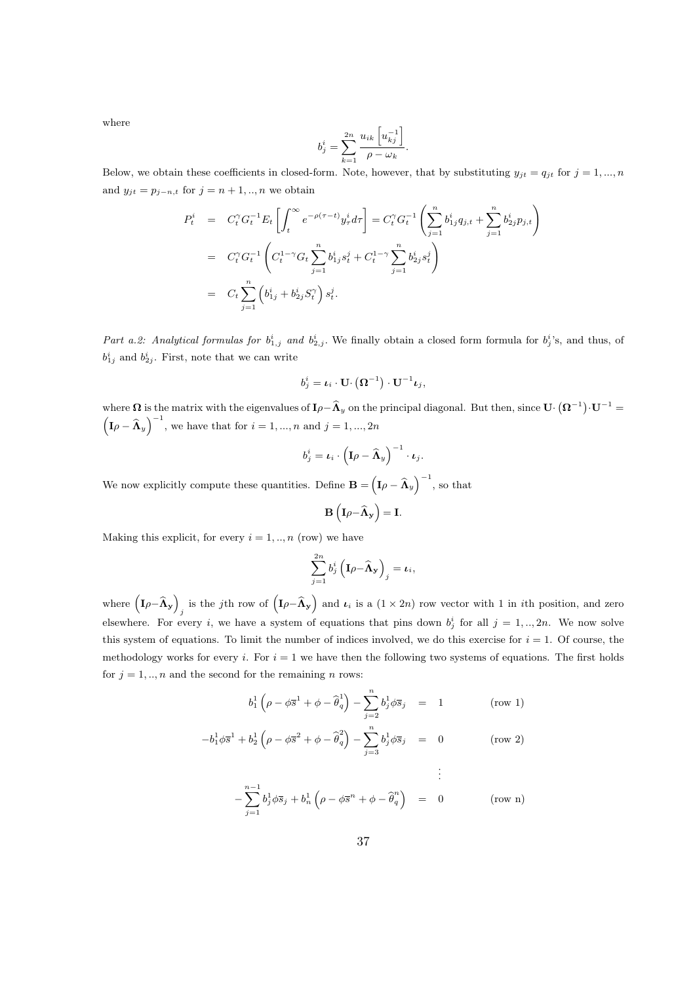where

$$
b_j^i = \sum_{k=1}^{2n} \frac{u_{ik} \left[ u_{kj}^{-1} \right]}{\rho - \omega_k}.
$$

Below, we obtain these coefficients in closed-form. Note, however, that by substituting  $y_{jt} = q_{jt}$  for  $j = 1, ..., n$ and  $y_{jt} = p_{j-n,t}$  for  $j = n + 1, ..., n$  we obtain

$$
P_t^i = C_t^{\gamma} G_t^{-1} E_t \left[ \int_t^{\infty} e^{-\rho(\tau - t)} y_\tau^i d\tau \right] = C_t^{\gamma} G_t^{-1} \left( \sum_{j=1}^n b_{1j}^i q_{j,t} + \sum_{j=1}^n b_{2j}^i p_{j,t} \right)
$$
  
\n
$$
= C_t^{\gamma} G_t^{-1} \left( C_t^{1-\gamma} G_t \sum_{j=1}^n b_{1j}^i s_t^j + C_t^{1-\gamma} \sum_{j=1}^n b_{2j}^i s_t^j \right)
$$
  
\n
$$
= C_t \sum_{j=1}^n \left( b_{1j}^i + b_{2j}^i S_t^{\gamma} \right) s_t^j.
$$

Part a.2: Analytical formulas for  $b_{1,j}^i$  and  $b_{2,j}^i$ . We finally obtain a closed form formula for  $b_j^i$ 's, and thus, of  $b_{1j}^i$  and  $b_{2j}^i$ . First, note that we can write

$$
b_j^i = \boldsymbol{\iota}_i \cdot \mathbf{U} \cdot \left( \mathbf{\Omega}^{-1} \right) \cdot \mathbf{U}^{-1} \boldsymbol{\iota}_j,
$$

where  $\Omega$  is the matrix with the eigenvalues of  $I\rho-\widehat{\Lambda}_y$  on the principal diagonal. But then, since  $\mathbf{U} \cdot (\mathbf{\Omega}^{-1}) \cdot \mathbf{U}^{-1} =$  $\left(\mathbf{I}\rho - \widehat{\mathbf{\Lambda}}_{y}\right)^{-1}$ , we have that for  $i = 1, ..., n$  and  $j = 1, ..., 2n$ 

$$
b_j^i = \boldsymbol{\iota}_i \cdot \left(\mathbf{I} \rho - \widehat{\boldsymbol{\Lambda}}_y\right)^{-1} \cdot \boldsymbol{\iota}_j.
$$

We now explicitly compute these quantities. Define  $\mathbf{B} =$  $\left(\mathbf{I}\rho - \widehat{\mathbf{\Lambda}}_{y}\right)^{-1}$ , so that

$$
\mathbf{B}\left(\mathbf{I}\rho - \widehat{\mathbf{\Lambda}}_{\mathbf{y}}\right) = \mathbf{I}.
$$

Making this explicit, for every  $i = 1, ..., n$  (row) we have

$$
\sum_{j=1}^{2n} b_j^i \left( \mathbf{I} \rho - \widehat{\mathbf{\Lambda}}_{\mathbf{y}} \right)_j = \boldsymbol{\iota}_i,
$$

where  $(I_{\rho} - \hat{\Lambda}_{y})$ is the *j*th row of  $(I_{\rho} - \widehat{\mathbf{\Lambda}}_{\mathbf{y}})$ and  $\iota_i$  is a  $(1 \times 2n)$  row vector with 1 in *i*th position, and zero elsewhere. For every i, we have a system of equations that pins down  $b_j^i$  for all  $j = 1, ..., 2n$ . We now solve this system of equations. To limit the number of indices involved, we do this exercise for  $i = 1$ . Of course, the methodology works for every i. For  $i = 1$  we have then the following two systems of equations. The first holds for  $j = 1, ..., n$  and the second for the remaining n rows:

$$
b_1^1 \left( \rho - \phi \overline{s}^1 + \phi - \widehat{\theta}_q^1 \right) - \sum_{j=2}^n b_j^1 \phi \overline{s}_j = 1 \quad (\text{row 1})
$$

$$
-b_1^1 \phi \overline{s}^1 + b_2^1 \left( \rho - \phi \overline{s}^2 + \phi - \widehat{\theta}_q^2 \right) - \sum_{j=3}^n b_j^1 \phi \overline{s}_j = 0 \qquad \qquad \text{(row 2)}
$$

$$
-\sum_{j=1}^{n-1} b_j^1 \phi \overline{s}_j + b_n^1 \left(\rho - \phi \overline{s}^n + \phi - \widehat{\theta}_q^n\right) = 0 \qquad \text{(row n)}
$$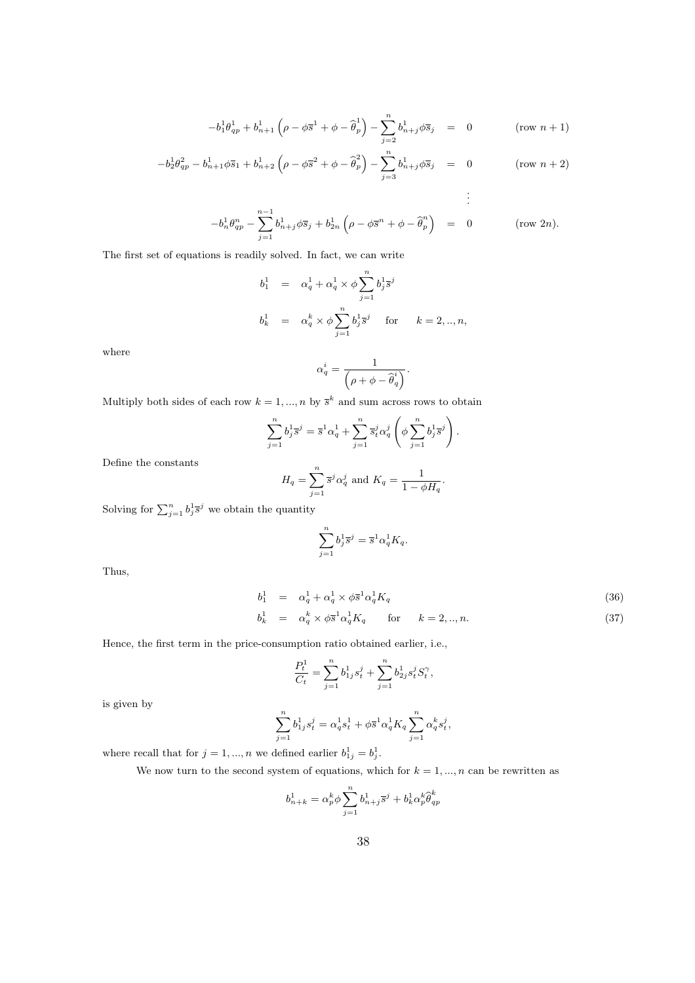$$
-b_1^1 \theta_{qp}^1 + b_{n+1}^1 \left(\rho - \phi \overline{s}^1 + \phi - \widehat{\theta}_p^1\right) - \sum_{j=2}^n b_{n+j}^1 \phi \overline{s}_j = 0 \qquad (\text{row } n+1)
$$

$$
-b_2^1 \theta_{qp}^2 - b_{n+1}^1 \phi \overline{s}_1 + b_{n+2}^1 \left( \rho - \phi \overline{s}^2 + \phi - \widehat{\theta}_p^2 \right) - \sum_{j=3}^n b_{n+j}^1 \phi \overline{s}_j = 0 \qquad (\text{row } n+2)
$$

$$
-b_n^1 \theta_{qp}^n - \sum_{j=1}^{n-1} b_{n+j}^1 \phi \overline{s}_j + b_{2n}^1 \left( \rho - \phi \overline{s}^n + \phi - \widehat{\theta}_p^n \right) = 0 \quad (\text{row } 2n).
$$

The first set of equations is readily solved. In fact, we can write

$$
\begin{array}{rcl} b^1_1&=&\alpha^1_q+\alpha^1_q\times\phi\sum\limits_{j=1}^nb^1_j\overline{s}^j\\[3mm] b^1_k&=&\alpha^k_q\times\phi\sum\limits_{j=1}^nb^1_j\overline{s}^j\quad\mbox{ for }\quad k=2,..,n, \end{array}
$$

where

$$
\alpha_q^i = \frac{1}{\left(\rho + \phi - \widehat{\theta}_q^i\right)}.
$$

Multiply both sides of each row  $k = 1, ..., n$  by  $\bar{s}^k$  and sum across rows to obtain

$$
\sum_{j=1}^n b_j^1 \overline{s}^j = \overline{s}^1 \alpha_q^1 + \sum_{j=1}^n \overline{s}_t^j \alpha_q^j \left( \phi \sum_{j=1}^n b_j^1 \overline{s}^j \right).
$$

Define the constants

$$
H_q = \sum_{j=1}^n \bar{s}^j \alpha_q^j \text{ and } K_q = \frac{1}{1 - \phi H_q}.
$$

Solving for  $\sum_{j=1}^n b_j^1 \bar{s}^j$  we obtain the quantity

$$
\sum_{j=1}^n b_j^1 \overline{s}^j = \overline{s}^1 \alpha_q^1 K_q.
$$

Thus,

$$
b_1^1 = \alpha_q^1 + \alpha_q^1 \times \phi_3^{-1} \alpha_q^1 K_q \tag{36}
$$

$$
b_k^1 = \alpha_q^k \times \phi \overline{s}^1 \alpha_q^1 K_q \quad \text{for} \quad k = 2, ..., n. \tag{37}
$$

Hence, the first term in the price-consumption ratio obtained earlier, i.e.,

$$
\frac{P_t^1}{C_t} = \sum_{j=1}^n b_{1j}^1 s_t^j + \sum_{j=1}^n b_{2j}^1 s_t^j S_t^{\gamma},
$$

is given by

$$
\sum_{j=1}^n b_{1j}^1 s_t^j = \alpha_q^1 s_t^1 + \phi \overline{s}^1 \alpha_q^1 K_q \sum_{j=1}^n \alpha_q^k s_t^j,
$$

where recall that for  $j = 1, ..., n$  we defined earlier  $b_{1j}^1 = b_j^1$ .

We now turn to the second system of equations, which for  $k = 1, ..., n$  can be rewritten as

$$
b_{n+k}^1=\alpha_p^k\phi\sum_{j=1}^nb_{n+j}^1\bar{s}^j+b_k^1\alpha_p^k\widehat{\theta}^k_{qp}
$$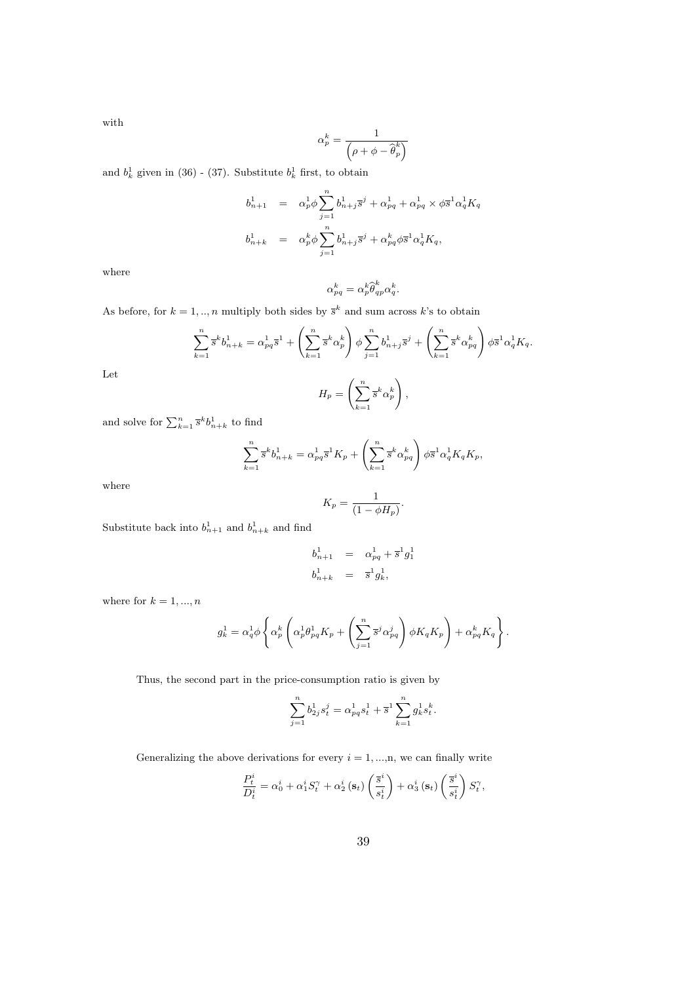with

$$
\alpha_p^k = \frac{1}{\left(\rho + \phi - \widehat{\boldsymbol \theta}_p^k\right)}
$$

and  $b_k^1$  given in (36) - (37). Substitute  $b_k^1$  first, to obtain

$$
b_{n+1}^1 = \alpha_p^1 \phi \sum_{j=1}^n b_{n+j}^1 \overline{s}^j + \alpha_{pq}^1 + \alpha_{pq}^1 \times \phi \overline{s}^1 \alpha_q^1 K_q
$$
  

$$
b_{n+k}^1 = \alpha_p^k \phi \sum_{j=1}^n b_{n+j}^1 \overline{s}^j + \alpha_{pq}^k \phi \overline{s}^1 \alpha_q^1 K_q,
$$

where

$$
\alpha_{pq}^k = \alpha_p^k \widehat{\theta}_{qp}^k \alpha_q^k.
$$

As before, for  $k = 1, ..., n$  multiply both sides by  $\bar{s}^k$  and sum across k's to obtain

$$
\sum_{k=1}^{n} \bar{s}^{k} b_{n+k}^{1} = \alpha_{pq}^{1} \bar{s}^{1} + \left(\sum_{k=1}^{n} \bar{s}^{k} \alpha_{p}^{k}\right) \phi \sum_{j=1}^{n} b_{n+j}^{1} \bar{s}^{j} + \left(\sum_{k=1}^{n} \bar{s}^{k} \alpha_{pq}^{k}\right) \phi \bar{s}^{1} \alpha_{q}^{1} K_{q}.
$$

Let

$$
H_p = \left(\sum_{k=1}^n \overline{s}^k \alpha_p^k\right),
$$

and solve for  $\sum_{k=1}^{n} \bar{s}^{k} b_{n+k}^{1}$  to find

$$
\sum_{k=1}^{n} \bar{s}^{k} b_{n+k}^{1} = \alpha_{pq}^{1} \bar{s}^{1} K_{p} + \left(\sum_{k=1}^{n} \bar{s}^{k} \alpha_{pq}^{k}\right) \phi \bar{s}^{1} \alpha_{q}^{1} K_{q} K_{p},
$$

where

$$
K_p = \frac{1}{(1 - \phi H_p)}.
$$

Substitute back into  $b_{n+1}^1$  and  $b_{n+k}^1$  and find

$$
b_{n+1}^1 = \alpha_{pq}^1 + \overline{s}^1 g_1^1
$$
  

$$
b_{n+k}^1 = \overline{s}^1 g_k^1,
$$

where for  $k = 1, ..., n$ 

$$
g_k^1 = \alpha_q^1 \phi \left\{ \alpha_p^k \left( \alpha_p^1 \theta_{pq}^1 K_p + \left( \sum_{j=1}^n \overline{s}^j \alpha_{pq}^j \right) \phi K_q K_p \right) + \alpha_{pq}^k K_q \right\}.
$$

Thus, the second part in the price-consumption ratio is given by

$$
\sum_{j=1}^{n} b_{2j}^{1} s_{t}^{j} = \alpha_{pq}^{1} s_{t}^{1} + \overline{s}^{1} \sum_{k=1}^{n} g_{k}^{1} s_{t}^{k}.
$$

Generalizing the above derivations for every  $i = 1, ..., n$ , we can finally write

$$
\frac{P_t^i}{D_t^i} = \alpha_0^i + \alpha_1^i S_t^\gamma + \alpha_2^i\left(\mathbf{s}_t\right) \left(\frac{\overline{s}^i}{s_t^i}\right) + \alpha_3^i\left(\mathbf{s}_t\right) \left(\frac{\overline{s}^i}{s_t^i}\right) S_t^\gamma,
$$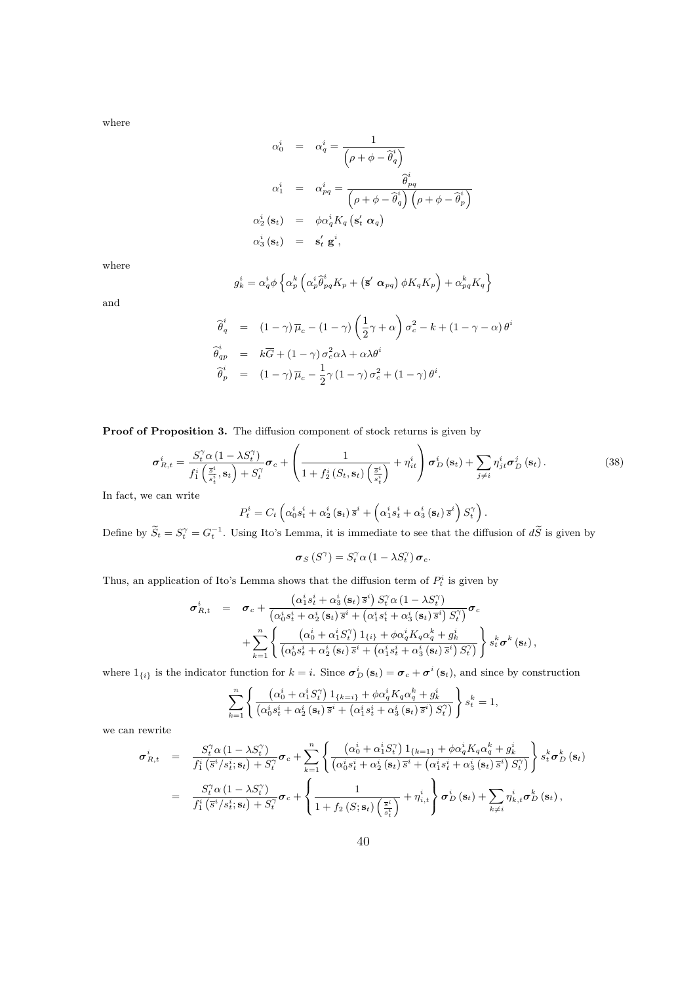where

$$
\alpha_0^i = \alpha_q^i = \frac{1}{\left(\rho + \phi - \hat{\theta}_q^i\right)}
$$
\n
$$
\alpha_1^i = \alpha_{pq}^i = \frac{\hat{\theta}_{pq}^i}{\left(\rho + \phi - \hat{\theta}_q^i\right)\left(\rho + \phi - \hat{\theta}_p^i\right)}
$$
\n
$$
\alpha_2^i \left(\mathbf{s}_t\right) = \phi \alpha_q^i K_q \left(\mathbf{s}_t^i \ \alpha_q\right)
$$
\n
$$
\alpha_3^i \left(\mathbf{s}_t\right) = \mathbf{s}_t^i \ \mathbf{g}^i,
$$

where

$$
g_{k}^{i}=\alpha_{q}^{i}\phi\left\{\alpha_{p}^{k}\left(\alpha_{p}^{i}\widehat{\theta}_{pq}^{i}K_{p}+\left(\mathbf{\overline{s}}^{\prime}\;\boldsymbol{\alpha}_{pq}\right)\phi K_{q}K_{p}\right)+\alpha_{pq}^{k}K_{q}\right\}
$$

and

$$
\begin{array}{rcl}\n\widehat{\theta}_q^i & = & \left(1-\gamma\right)\overline{\mu}_c - \left(1-\gamma\right)\left(\frac{1}{2}\gamma + \alpha\right)\sigma_c^2 - k + \left(1-\gamma - \alpha\right)\theta^i \\
\widehat{\theta}_{qp}^i & = & k\overline{G} + \left(1-\gamma\right)\sigma_c^2\alpha\lambda + \alpha\lambda\theta^i \\
\widehat{\theta}_p^i & = & \left(1-\gamma\right)\overline{\mu}_c - \frac{1}{2}\gamma\left(1-\gamma\right)\sigma_c^2 + \left(1-\gamma\right)\theta^i.\n\end{array}
$$

Proof of Proposition 3. The diffusion component of stock returns is given by

$$
\sigma_{R,t}^{i} = \frac{S_t^{\gamma} \alpha \left(1 - \lambda S_t^{\gamma}\right)}{f_1^{i}\left(\frac{\overline{s}_t^{i}}{s_t^{i}}, \mathbf{s}_t\right) + S_t^{\gamma}} \sigma_c + \left(\frac{1}{1 + f_2^{i}\left(S_t, \mathbf{s}_t\right)\left(\frac{\overline{s}_t^{i}}{s_t^{i}}\right)} + \eta_{it}^{i}\right) \sigma_D^{i}\left(\mathbf{s}_t\right) + \sum_{j \neq i} \eta_{jt}^{i} \sigma_D^{j}\left(\mathbf{s}_t\right).
$$
\n(38)

In fact, we can write

$$
P_t^i = C_t \left( \alpha_0^i s_t^i + \alpha_2^i \left( \mathbf{s}_t \right) \overline{s}^i + \left( \alpha_1^i s_t^i + \alpha_3^i \left( \mathbf{s}_t \right) \overline{s}^i \right) S_t^{\gamma} \right).
$$

Define by  $\widetilde{S}_t = S_t^{\gamma} = G_t^{-1}$ . Using Ito's Lemma, it is immediate to see that the diffusion of  $d\widetilde{S}$  is given by

$$
\boldsymbol{\sigma}_{S}\left(S^{\gamma}\right)=S_{t}^{\gamma}\alpha\left(1-\lambda S_{t}^{\gamma}\right)\boldsymbol{\sigma}_{c}.
$$

Thus, an application of Ito's Lemma shows that the diffusion term of  $P_t^i$  is given by

$$
\sigma_{R,t}^{i} = \sigma_{c} + \frac{\left(\alpha_{1}^{i}s_{t}^{i} + \alpha_{3}^{i}\left(\mathbf{s}_{t}\right)\bar{s}^{i}\right)S_{t}^{\gamma}\alpha\left(1-\lambda S_{t}^{\gamma}\right)}{\left(\alpha_{0}^{i}s_{t}^{i} + \alpha_{2}^{i}\left(\mathbf{s}_{t}\right)\bar{s}^{i} + \left(\alpha_{1}^{i}s_{t}^{i} + \alpha_{3}^{i}\left(\mathbf{s}_{t}\right)\bar{s}^{i}\right)S_{t}^{\gamma}\right)}\sigma_{c} + \sum_{k=1}^{n} \left\{\frac{\left(\alpha_{0}^{i} + \alpha_{1}^{i}S_{t}^{\gamma}\right)1_{\{i\}} + \phi\alpha_{q}^{i}K_{q}\alpha_{q}^{k} + g_{k}^{i}}{\left(\alpha_{0}^{i}s_{t}^{i} + \alpha_{2}^{i}\left(\mathbf{s}_{t}\right)\bar{s}^{i} + \left(\alpha_{1}^{i}s_{t}^{i} + \alpha_{3}^{i}\left(\mathbf{s}_{t}\right)\bar{s}^{i}\right)S_{t}^{\gamma}\right)}\right\}s_{t}^{k}\sigma^{k}\left(\mathbf{s}_{t}\right),
$$

where  $1_{\{i\}}$  is the indicator function for  $k = i$ . Since  $\sigma_D^i(\mathbf{s}_t) = \sigma_c + \sigma^i(\mathbf{s}_t)$ , and since by construction

$$
\sum_{k=1}^n\left\{\frac{\left(\alpha_0^i+\alpha_1^iS_t^{\gamma}\right)1_{\{k=i\}}+\phi\alpha_q^iK_q\alpha_q^k+g_k^i}{\left(\alpha_0^is_t^i+\alpha_2^i\left(\mathbf{s}_t\right)\overline{s}^i+\left(\alpha_1^is_t^i+\alpha_3^i\left(\mathbf{s}_t\right)\overline{s}^i\right)S_t^{\gamma}\right)}\right\}s_t^k=1,
$$

we can rewrite

$$
\sigma_{R,t}^{i} = \frac{S_t^{\gamma} \alpha (1 - \lambda S_t^{\gamma})}{f_1^{i} (\bar{s}^{i}/s_t^{i}; \mathbf{s}_t) + S_t^{\gamma}} \sigma_c + \sum_{k=1}^n \left\{ \frac{(\alpha_0^{i} + \alpha_1^{i} S_t^{\gamma}) 1_{\{k=1\}} + \phi \alpha_q^{i} K_q \alpha_q^{k} + g_k^{i}}{(\alpha_0^{i} s_t^{i} + \alpha_2^{i} (\mathbf{s}_t) \bar{s}^{i} + (\alpha_1^{i} s_t^{i} + \alpha_3^{i} (\mathbf{s}_t) \bar{s}^{i}) S_t^{\gamma}}) \right\} s_t^{k} \sigma_D^{k}(\mathbf{s}_t)
$$
\n
$$
= \frac{S_t^{\gamma} \alpha (1 - \lambda S_t^{\gamma})}{f_1^{i} (\bar{s}^{i}/s_t^{i}; \mathbf{s}_t) + S_t^{\gamma}} \sigma_c + \left\{ \frac{1}{1 + f_2(S_t^{\gamma} s_t) \left( \frac{\bar{s}_t^{i}}{s_t^{i}} \right)} + \eta_{i,t}^{i} \right\} \sigma_D^{i}(\mathbf{s}_t) + \sum_{k \neq i} \eta_{k,t}^{i} \sigma_D^{k}(\mathbf{s}_t),
$$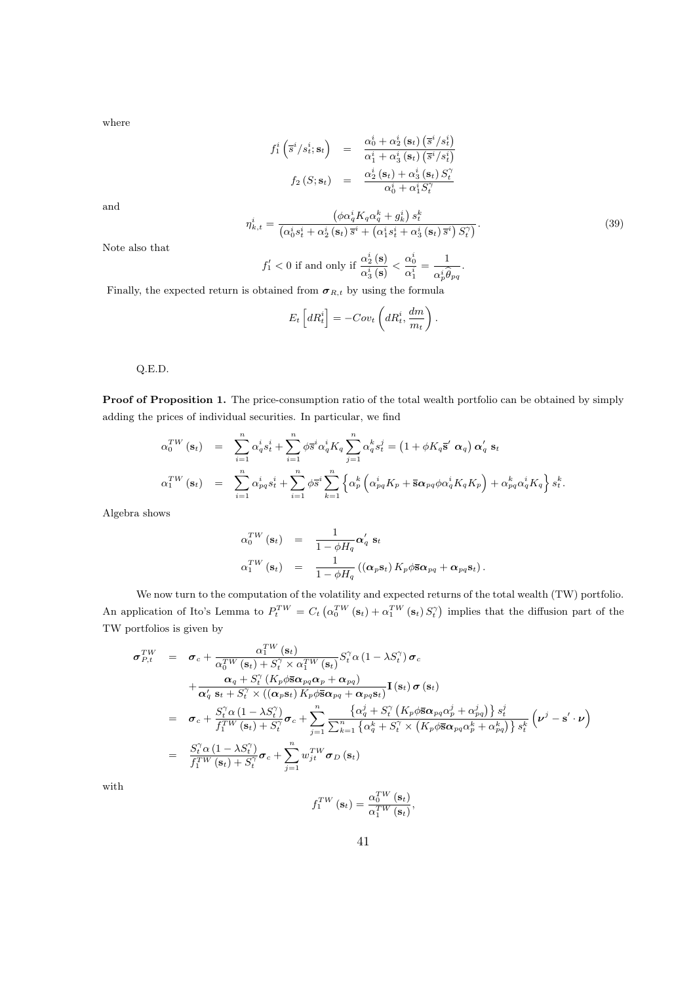where

$$
f_1^i\left(\overline{s}^i/s_t^i; \mathbf{s}_t\right) = \frac{\alpha_0^i + \alpha_2^i\left(\mathbf{s}_t\right)\left(\overline{s}^i/s_t^i\right)}{\alpha_1^i + \alpha_3^i\left(\mathbf{s}_t\right)\left(\overline{s}^i/s_t^i\right)}
$$

$$
f_2\left(S; \mathbf{s}_t\right) = \frac{\alpha_2^i\left(\mathbf{s}_t\right) + \alpha_3^i\left(\mathbf{s}_t\right)S_t^{\gamma}}{\alpha_0^i + \alpha_1^iS_t^{\gamma}}
$$

and

$$
\eta_{k,t}^{i} = \frac{\left(\phi\alpha_q^i K_q \alpha_q^k + g_k^i\right) s_t^k}{\left(\alpha_0^i s_t^i + \alpha_2^i \left(\mathbf{s}_t\right) \overline{s}^i + \left(\alpha_1^i s_t^i + \alpha_3^i \left(\mathbf{s}_t\right) \overline{s}^i\right) S_t^{\gamma}\right)}.
$$
\n(39)

Note also that

$$
f_1' < 0 \text{ if and only if } \frac{\alpha_2^i(\mathbf{s})}{\alpha_3^i(\mathbf{s})} < \frac{\alpha_0^i}{\alpha_1^i} = \frac{1}{\alpha_p^i \widehat{\theta}_{pq}}.
$$

Finally, the expected return is obtained from  $\sigma_{R,t}$  by using the formula

$$
E_t\left[dR_t^i\right] = -Cov_t\left(dR_t^i, \frac{dm}{m_t}\right).
$$

Q.E.D.

Proof of Proposition 1. The price-consumption ratio of the total wealth portfolio can be obtained by simply adding the prices of individual securities. In particular, we find

$$
\alpha_0^{TW}(\mathbf{s}_t) = \sum_{i=1}^n \alpha_q^i s_t^i + \sum_{i=1}^n \phi \overline{s}^i \alpha_q^i K_q \sum_{j=1}^n \alpha_q^k s_t^j = (1 + \phi K_q \overline{\mathbf{s}}' \alpha_q) \alpha_q' \mathbf{s}_t
$$
  

$$
\alpha_1^{TW}(\mathbf{s}_t) = \sum_{i=1}^n \alpha_{pq}^i s_t^i + \sum_{i=1}^n \phi \overline{s}^i \sum_{k=1}^n \left\{ \alpha_p^k \left( \alpha_{pq}^i K_p + \overline{\mathbf{s}} \alpha_{pq} \phi \alpha_q^i K_q K_p \right) + \alpha_{pq}^k \alpha_q^i K_q \right\} s_t^k.
$$

Algebra shows

$$
\alpha_0^{TW}(\mathbf{s}_t) = \frac{1}{1 - \phi H_q} \alpha'_q \mathbf{s}_t
$$
  
\n
$$
\alpha_1^{TW}(\mathbf{s}_t) = \frac{1}{1 - \phi H_q} ((\alpha_p \mathbf{s}_t) K_p \phi \overline{\mathbf{s}} \alpha_{pq} + \alpha_{pq} \mathbf{s}_t).
$$

We now turn to the computation of the volatility and expected returns of the total wealth (TW) portfolio. An application of Ito's Lemma to  $P_t^{TW} = C_t \left( \alpha_0^{TW} (\mathbf{s}_t) + \alpha_1^{TW} (\mathbf{s}_t) S_t^{\gamma} \right)$ ´ implies that the diffusion part of the TW portfolios is given by

$$
\sigma_{P,t}^{TW} = \sigma_c + \frac{\alpha_1^{TW}(\mathbf{s}_t)}{\alpha_0^{TW}(\mathbf{s}_t) + S_t^{\gamma} \times \alpha_1^{TW}(\mathbf{s}_t)} S_t^{\gamma} \alpha (1 - \lambda S_t^{\gamma}) \sigma_c \n+ \frac{\alpha_q + S_t^{\gamma} (K_p \phi \bar{\mathbf{s}} \alpha_{pq} \alpha_p + \alpha_{pq})}{\alpha_q' \mathbf{s}_t + S_t^{\gamma} \times ((\alpha_p \mathbf{s}_t) K_p \phi \bar{\mathbf{s}} \alpha_{pq} + \alpha_{pq} \mathbf{s}_t)} \mathbf{I}(\mathbf{s}_t) \sigma (\mathbf{s}_t) \n= \sigma_c + \frac{S_t^{\gamma} \alpha (1 - \lambda S_t^{\gamma})}{f_1^{TW}(\mathbf{s}_t) + S_t^{\gamma}} \sigma_c + \sum_{j=1}^n \frac{\{\alpha_q^j + S_t^{\gamma} (K_p \phi \bar{\mathbf{s}} \alpha_{pq} \alpha_p^j + \alpha_{pq}^j)\} s_t^j}{\sum_{k=1}^n \{\alpha_q^k + S_t^{\gamma} \times (K_p \phi \bar{\mathbf{s}} \alpha_{pq} \alpha_p^k + \alpha_{pq}^k)\} s_t^k} (\nu^j - \mathbf{s}' \cdot \nu) \n= \frac{S_t^{\gamma} \alpha (1 - \lambda S_t^{\gamma})}{f_1^{TW}(\mathbf{s}_t) + S_t^{\gamma}} \sigma_c + \sum_{j=1}^n w_{jt}^{TW} \sigma_D(\mathbf{s}_t)
$$

with

$$
f_1^{TW}(\mathbf{s}_t) = \frac{\alpha_0^{TW}(\mathbf{s}_t)}{\alpha_1^{TW}(\mathbf{s}_t)},
$$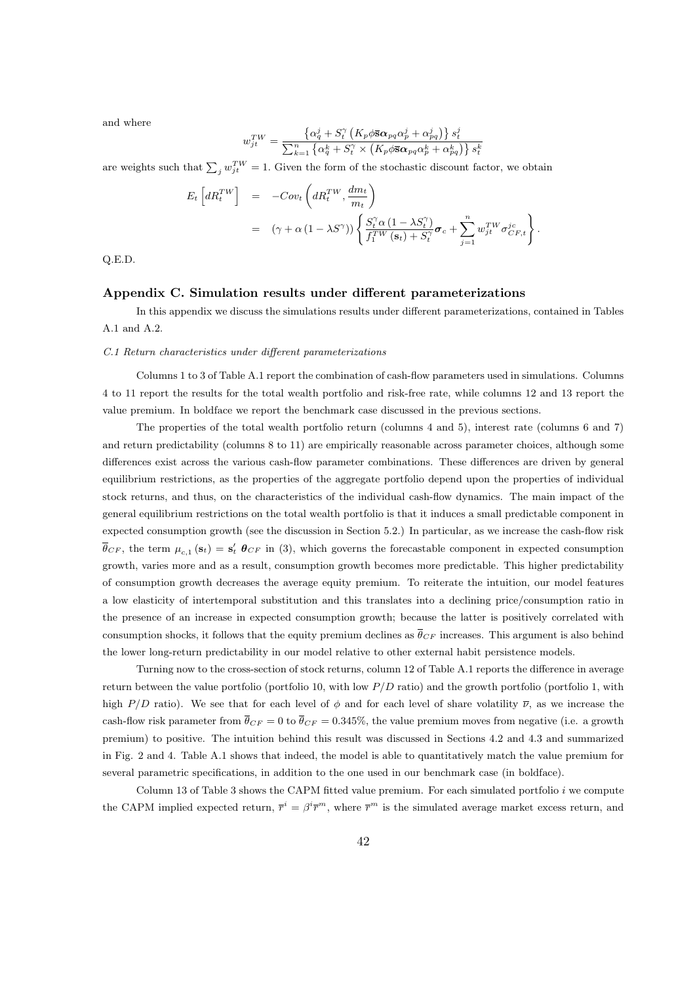and where

$$
w_{jt}^{TW} = \frac{\left\{\alpha_q^j + S_t^{\gamma} \left(K_p \phi \overline{\mathbf{s}} \alpha_{pq} \alpha_p^j + \alpha_{pq}^j\right)\right\} s_t^j}{\sum_{k=1}^n \left\{\alpha_q^k + S_t^{\gamma} \times \left(K_p \phi \overline{\mathbf{s}} \alpha_{pq} \alpha_p^k + \alpha_{pq}^k\right)\right\} s_t^k}
$$

are weights such that  $\sum_j w_{jt}^{TW} = 1$ . Given the form of the stochastic discount factor, we obtain

$$
E_t \left[ dR_t^{TW} \right] = -Cov_t \left( dR_t^{TW}, \frac{dm_t}{m_t} \right)
$$
  
= 
$$
(\gamma + \alpha (1 - \lambda S^{\gamma})) \left\{ \frac{S_t^{\gamma} \alpha (1 - \lambda S_t^{\gamma})}{f_1^{TW}(\mathbf{s}_t) + S_t^{\gamma}} \boldsymbol{\sigma}_c + \sum_{j=1}^n w_{jt}^{TW} \boldsymbol{\sigma}_{CF,t}^{jc} \right\}.
$$

Q.E.D.

#### Appendix C. Simulation results under different parameterizations

In this appendix we discuss the simulations results under different parameterizations, contained in Tables A.1 and A.2.

#### C.1 Return characteristics under different parameterizations

Columns 1 to 3 of Table A.1 report the combination of cash-flow parameters used in simulations. Columns 4 to 11 report the results for the total wealth portfolio and risk-free rate, while columns 12 and 13 report the value premium. In boldface we report the benchmark case discussed in the previous sections.

The properties of the total wealth portfolio return (columns 4 and 5), interest rate (columns 6 and 7) and return predictability (columns 8 to 11) are empirically reasonable across parameter choices, although some differences exist across the various cash-flow parameter combinations. These differences are driven by general equilibrium restrictions, as the properties of the aggregate portfolio depend upon the properties of individual stock returns, and thus, on the characteristics of the individual cash-flow dynamics. The main impact of the general equilibrium restrictions on the total wealth portfolio is that it induces a small predictable component in expected consumption growth (see the discussion in Section 5.2.) In particular, as we increase the cash-flow risk  $\bar{\theta}_{CF}$ , the term  $\mu_{c,1}$  (s<sub>t</sub>) = s'<sub>t</sub>  $\theta_{CF}$  in (3), which governs the forecastable component in expected consumption growth, varies more and as a result, consumption growth becomes more predictable. This higher predictability of consumption growth decreases the average equity premium. To reiterate the intuition, our model features a low elasticity of intertemporal substitution and this translates into a declining price/consumption ratio in the presence of an increase in expected consumption growth; because the latter is positively correlated with consumption shocks, it follows that the equity premium declines as  $\bar{\theta}_{CF}$  increases. This argument is also behind the lower long-return predictability in our model relative to other external habit persistence models.

Turning now to the cross-section of stock returns, column 12 of Table A.1 reports the difference in average return between the value portfolio (portfolio 10, with low  $P/D$  ratio) and the growth portfolio (portfolio 1, with high P/D ratio). We see that for each level of  $\phi$  and for each level of share volatility  $\overline{\nu}$ , as we increase the cash-flow risk parameter from  $\bar{\theta}_{CF} = 0$  to  $\bar{\theta}_{CF} = 0.345\%$ , the value premium moves from negative (i.e. a growth premium) to positive. The intuition behind this result was discussed in Sections 4.2 and 4.3 and summarized in Fig. 2 and 4. Table A.1 shows that indeed, the model is able to quantitatively match the value premium for several parametric specifications, in addition to the one used in our benchmark case (in boldface).

Column 13 of Table 3 shows the CAPM fitted value premium. For each simulated portfolio i we compute the CAPM implied expected return,  $\bar{r}^i = \beta^i \bar{r}^m$ , where  $\bar{r}^m$  is the simulated average market excess return, and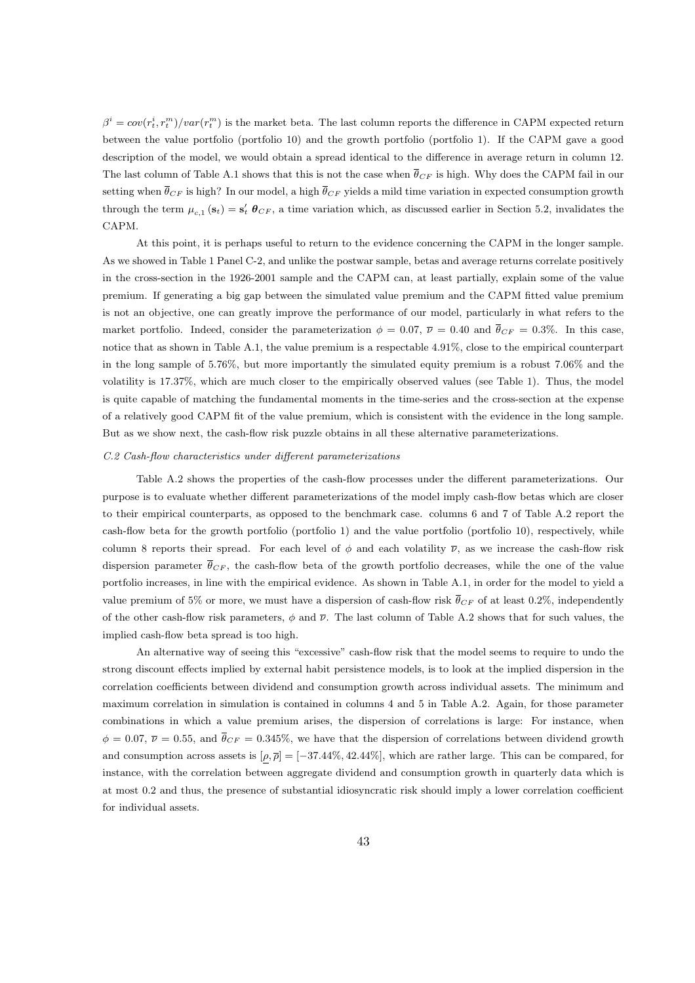$\beta^i = cov(r_t^i, r_t^m)/var(r_t^m)$  is the market beta. The last column reports the difference in CAPM expected return between the value portfolio (portfolio 10) and the growth portfolio (portfolio 1). If the CAPM gave a good description of the model, we would obtain a spread identical to the difference in average return in column 12. The last column of Table A.1 shows that this is not the case when  $\overline{\theta}_{CF}$  is high. Why does the CAPM fail in our setting when  $\bar{\theta}_{CF}$  is high? In our model, a high  $\bar{\theta}_{CF}$  yields a mild time variation in expected consumption growth through the term  $\mu_{c,1}(\mathbf{s}_t) = \mathbf{s}'_t \boldsymbol{\theta}_{CF}$ , a time variation which, as discussed earlier in Section 5.2, invalidates the **CAPM** 

At this point, it is perhaps useful to return to the evidence concerning the CAPM in the longer sample. As we showed in Table 1 Panel C-2, and unlike the postwar sample, betas and average returns correlate positively in the cross-section in the 1926-2001 sample and the CAPM can, at least partially, explain some of the value premium. If generating a big gap between the simulated value premium and the CAPM fitted value premium is not an objective, one can greatly improve the performance of our model, particularly in what refers to the market portfolio. Indeed, consider the parameterization  $\phi = 0.07$ ,  $\overline{\nu} = 0.40$  and  $\overline{\theta}_{CF} = 0.3\%$ . In this case, notice that as shown in Table A.1, the value premium is a respectable 4.91%, close to the empirical counterpart in the long sample of 5.76%, but more importantly the simulated equity premium is a robust 7.06% and the volatility is 17.37%, which are much closer to the empirically observed values (see Table 1). Thus, the model is quite capable of matching the fundamental moments in the time-series and the cross-section at the expense of a relatively good CAPM fit of the value premium, which is consistent with the evidence in the long sample. But as we show next, the cash-flow risk puzzle obtains in all these alternative parameterizations.

#### C.2 Cash-flow characteristics under different parameterizations

Table A.2 shows the properties of the cash-flow processes under the different parameterizations. Our purpose is to evaluate whether different parameterizations of the model imply cash-flow betas which are closer to their empirical counterparts, as opposed to the benchmark case. columns 6 and 7 of Table A.2 report the cash-flow beta for the growth portfolio (portfolio 1) and the value portfolio (portfolio 10), respectively, while column 8 reports their spread. For each level of  $\phi$  and each volatility  $\overline{\nu}$ , as we increase the cash-flow risk dispersion parameter  $\bar{\theta}_{CF}$ , the cash-flow beta of the growth portfolio decreases, while the one of the value portfolio increases, in line with the empirical evidence. As shown in Table A.1, in order for the model to yield a value premium of 5% or more, we must have a dispersion of cash-flow risk  $\bar{\theta}_{CF}$  of at least 0.2%, independently of the other cash-flow risk parameters,  $\phi$  and  $\overline{\nu}$ . The last column of Table A.2 shows that for such values, the implied cash-flow beta spread is too high.

An alternative way of seeing this "excessive" cash-flow risk that the model seems to require to undo the strong discount effects implied by external habit persistence models, is to look at the implied dispersion in the correlation coefficients between dividend and consumption growth across individual assets. The minimum and maximum correlation in simulation is contained in columns 4 and 5 in Table A.2. Again, for those parameter combinations in which a value premium arises, the dispersion of correlations is large: For instance, when  $\phi = 0.07$ ,  $\overline{\nu} = 0.55$ , and  $\overline{\theta}_{CF} = 0.345\%$ , we have that the dispersion of correlations between dividend growth and consumption across assets is  $[\rho, \overline{\rho}] = [-37.44\%, 42.44\%]$ , which are rather large. This can be compared, for instance, with the correlation between aggregate dividend and consumption growth in quarterly data which is at most 0.2 and thus, the presence of substantial idiosyncratic risk should imply a lower correlation coefficient for individual assets.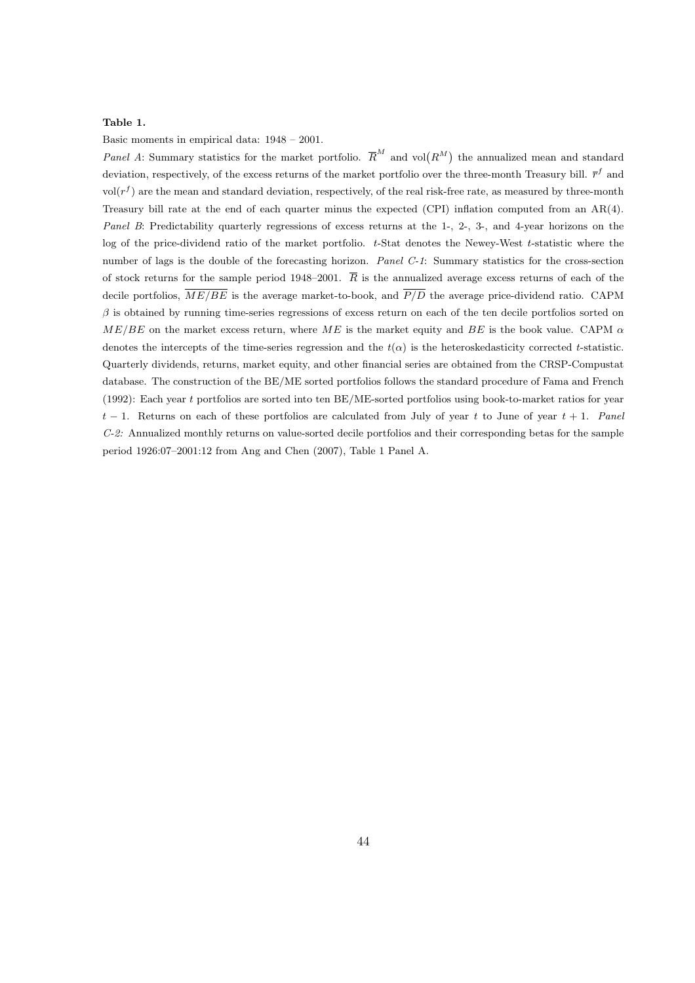## Table 1.

Basic moments in empirical data: 1948 – 2001.

Panel A: Summary statistics for the market portfolio.  $\overline{R}^M$  and vol $(R^M)$  the annualized mean and standard deviation, respectively, of the excess returns of the market portfolio over the three-month Treasury bill.  $\bar{r}^f$  and  $\text{vol}(r^f)$  are the mean and standard deviation, respectively, of the real risk-free rate, as measured by three-month Treasury bill rate at the end of each quarter minus the expected (CPI) inflation computed from an AR(4). Panel B: Predictability quarterly regressions of excess returns at the 1-, 2-, 3-, and 4-year horizons on the log of the price-dividend ratio of the market portfolio. t-Stat denotes the Newey-West t-statistic where the number of lags is the double of the forecasting horizon. Panel C-1: Summary statistics for the cross-section of stock returns for the sample period 1948–2001.  $\overline{R}$  is the annualized average excess returns of each of the decile portfolios,  $\overline{ME/BE}$  is the average market-to-book, and  $\overline{P/D}$  the average price-dividend ratio. CAPM  $\beta$  is obtained by running time-series regressions of excess return on each of the ten decile portfolios sorted on  $ME/BE$  on the market excess return, where ME is the market equity and BE is the book value. CAPM  $\alpha$ denotes the intercepts of the time-series regression and the  $t(\alpha)$  is the heteroskedasticity corrected t-statistic. Quarterly dividends, returns, market equity, and other financial series are obtained from the CRSP-Compustat database. The construction of the BE/ME sorted portfolios follows the standard procedure of Fama and French (1992): Each year t portfolios are sorted into ten BE/ME-sorted portfolios using book-to-market ratios for year  $t-1$ . Returns on each of these portfolios are calculated from July of year t to June of year  $t+1$ . Panel C-2: Annualized monthly returns on value-sorted decile portfolios and their corresponding betas for the sample period 1926:07–2001:12 from Ang and Chen (2007), Table 1 Panel A.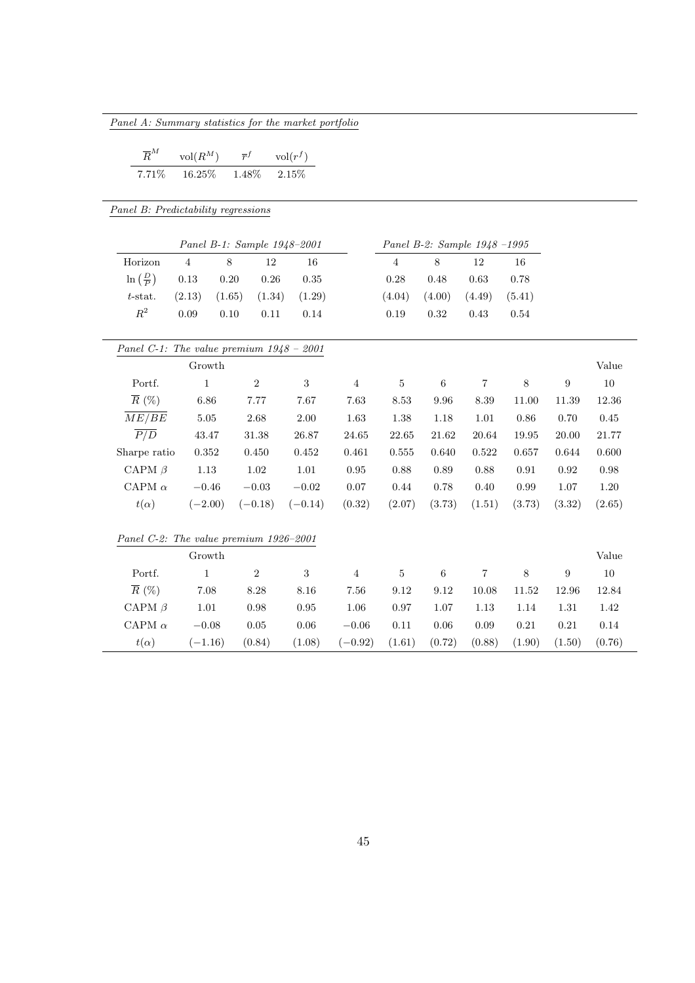| $\overline{R}^M$<br>$\overline{r}^f$<br>$vol(R^M)$<br>$\mathrm{vol}(r^f)$ |                    |                             |          |             |                |            |                              |                   |            |                  |            |
|---------------------------------------------------------------------------|--------------------|-----------------------------|----------|-------------|----------------|------------|------------------------------|-------------------|------------|------------------|------------|
| 7.71%                                                                     | 16.25%             | 1.48%                       | 2.15%    |             |                |            |                              |                   |            |                  |            |
|                                                                           |                    |                             |          |             |                |            |                              |                   |            |                  |            |
| Panel B: Predictability regressions                                       |                    |                             |          |             |                |            |                              |                   |            |                  |            |
|                                                                           |                    | Panel B-1: Sample 1948-2001 |          |             |                |            | Panel B-2: Sample 1948 -1995 |                   |            |                  |            |
| Horizon                                                                   | $\overline{4}$     | 8                           | 12       | 16          |                | $\sqrt{4}$ | $8\,$                        | 12                | 16         |                  |            |
| $\ln\left(\frac{D}{P}\right)$                                             | $0.13\,$           | $0.20\,$                    | $0.26\,$ | $0.35\,$    |                | $0.28\,$   | 0.48                         | $\,0.63\,$        | $0.78\,$   |                  |            |
| $t$ -stat.                                                                | (2.13)             | (1.65)                      | (1.34)   | (1.29)      |                | (4.04)     | (4.00)                       | (4.49)            | (5.41)     |                  |            |
| $\mathbb{R}^2$                                                            | $0.09\,$           | $0.10\,$                    | 0.11     | $0.14\,$    |                | 0.19       | $\rm 0.32$                   | $0.43\,$          | $0.54\,$   |                  |            |
|                                                                           |                    |                             |          |             |                |            |                              |                   |            |                  |            |
| Panel C-1: The value premium $1948 - 2001$                                | ${\rm Growth}$     |                             |          |             |                |            |                              |                   |            |                  | Value      |
| Portf.                                                                    | $\,1$              | $\boldsymbol{2}$            |          | $\,3$       | $\,4\,$        | $\bf 5$    | $\,6\,$                      | $\scriptstyle{7}$ | $8\,$      | $\boldsymbol{9}$ | $10\,$     |
| $\overline{R}$ (%)                                                        | 6.86               |                             |          | 7.67        |                |            |                              |                   |            |                  |            |
| $\overline{ME/BE}$                                                        | $5.05\,$           | 7.77                        |          |             | 7.63           | 8.53       | 9.96                         | 8.39              | 11.00      | 11.39            | 12.36      |
| $\overline{P/D}$                                                          |                    | 2.68                        |          | 2.00        | 1.63           | 1.38       | 1.18                         | $1.01\,$          | $0.86\,$   | 0.70             | 0.45       |
|                                                                           | $\phantom{0}43.47$ | $31.38\,$                   |          | $26.87\,$   | 24.65          | 22.65      | 21.62                        | $20.64\,$         | 19.95      | 20.00            | 21.77      |
| Sharpe ratio                                                              | $\rm 0.352$        | 0.450                       |          | $\,0.452\,$ | 0.461          | 0.555      | 0.640                        | 0.522             | 0.657      | 0.644            | 0.600      |
| CAPM $\beta$                                                              | $1.13\,$           | $1.02\,$                    |          | $1.01\,$    | 0.95           | 0.88       | 0.89                         | 0.88              | 0.91       | 0.92             | $\rm 0.98$ |
| CAPM $\alpha$                                                             | $-0.46$            | $-0.03$                     |          | $-0.02$     | 0.07           | $0.44\,$   | 0.78                         | 0.40              | 0.99       | 1.07             | $1.20\,$   |
| $t(\alpha)$                                                               | $(-2.00)$          | $(-0.18)$                   |          | $(-0.14)$   | (0.32)         | (2.07)     | (3.73)                       | (1.51)            | (3.73)     | (3.32)           | (2.65)     |
| Panel C-2: The value premium 1926-2001                                    |                    |                             |          |             |                |            |                              |                   |            |                  |            |
|                                                                           | Growth             |                             |          |             |                |            |                              |                   |            |                  | Value      |
| Portf.                                                                    | $\mathbf{1}$       | $\boldsymbol{2}$            |          | 3           | $\overline{4}$ | $\bf 5$    | $\,6$                        | 7                 | 8          | 9                | $10\,$     |
| $\overline{R}$ (%)                                                        | 7.08               | $8.28\,$                    |          | 8.16        | 7.56           | 9.12       | 9.12                         | 10.08             | 11.52      | 12.96            | 12.84      |
| CAPM $\beta$                                                              | $1.01\,$           | 0.98                        |          | 0.95        | 1.06           | $0.97\,$   | $1.07\,$                     | $1.13\,$          | 1.14       | 1.31             | 1.42       |
| CAPM $\alpha$                                                             | $-0.08$            | $0.05\,$                    |          | $0.06\,$    | $\!-0.06$      | $0.11\,$   | 0.06                         | $0.09\,$          | $\rm 0.21$ | $0.21\,$         | $0.14\,$   |
| $t(\alpha)$                                                               | $(-1.16)$          | (0.84)                      |          | (1.08)      | $(-0.92)$      | (1.61)     | (0.72)                       | (0.88)            | (1.90)     | (1.50)           | (0.76)     |

Panel A: Summary statistics for the market portfolio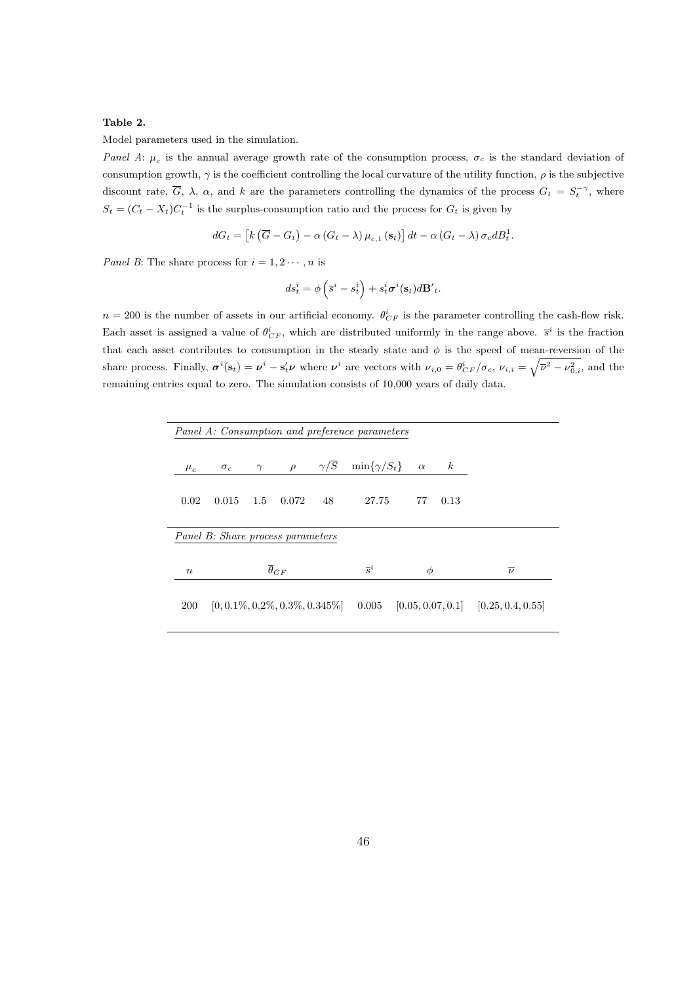# Table 2.

Model parameters used in the simulation.

Panel A:  $\mu_c$  is the annual average growth rate of the consumption process,  $\sigma_c$  is the standard deviation of consumption growth,  $\gamma$  is the coefficient controlling the local curvature of the utility function,  $\rho$  is the subjective discount rate,  $\overline{G}$ ,  $\lambda$ ,  $\alpha$ , and k are the parameters controlling the dynamics of the process  $G_t = S_t^{-\gamma}$ , where  $S_t = (C_t - X_t)C_t^{-1}$  is the surplus-consumption ratio and the process for  $G_t$  is given by

$$
dG_t = [k(\overline{G} - G_t) - \alpha(G_t - \lambda) \mu_{c,1}(\mathbf{s}_t)] dt - \alpha(G_t - \lambda) \sigma_c dB_t^1.
$$

*Panel B*: The share process for  $i = 1, 2 \cdots, n$  is

$$
ds_t^i = \phi\left(\overline{s}^i - s_t^i\right) + s_t^i \sigma^i(\mathbf{s}_t) d\mathbf{B}'_t.
$$

 $n = 200$  is the number of assets in our artificial economy.  $\theta_{CF}^i$  is the parameter controlling the cash-flow risk. Each asset is assigned a value of  $\theta_{CF}^i$ , which are distributed uniformly in the range above.  $\bar{s}^i$  is the fraction that each asset contributes to consumption in the steady state and  $\phi$  is the speed of mean-reversion of the share process. Finally,  $\sigma^{i}(\mathbf{s}_{t}) = \boldsymbol{\nu}^{i} - \mathbf{s}'_{t}\boldsymbol{\nu}$  where  $\boldsymbol{\nu}^{i}$  are vectors with  $\nu_{i,0} = \theta_{CF}^{i}/\sigma_{c}, \nu_{i,i} = \sqrt{\overline{\nu}^{2} - \nu_{0,i}^{2}}$ , and the remaining entries equal to zero. The simulation consists of 10,000 years of daily data.

|                  | Panel A: Consumption and preference parameters |          |                                     |                       |                      |          |                  |                                         |
|------------------|------------------------------------------------|----------|-------------------------------------|-----------------------|----------------------|----------|------------------|-----------------------------------------|
| $\mu_c$          | $\sigma_c$                                     | $\gamma$ | $\rho$                              | $\gamma/\overline{S}$ | $\min\{\gamma/S_t\}$ | $\alpha$ | $\boldsymbol{k}$ |                                         |
| 0.02             | 0.015                                          | 1.5      | 0.072                               | 48                    | 27.75                | 77       | 0.13             |                                         |
|                  | Panel B: Share process parameters              |          |                                     |                       |                      |          |                  |                                         |
| $\boldsymbol{n}$ |                                                |          | $\overline{\theta}_{CF}$            |                       | $\overline{s}^i$     | Φ        |                  | $\overline{\nu}$                        |
| <b>200</b>       |                                                |          | $[0, 0.1\%, 0.2\%, 0.3\%, 0.345\%]$ |                       | 0.005                |          |                  | $[0.05, 0.07, 0.1]$ $[0.25, 0.4, 0.55]$ |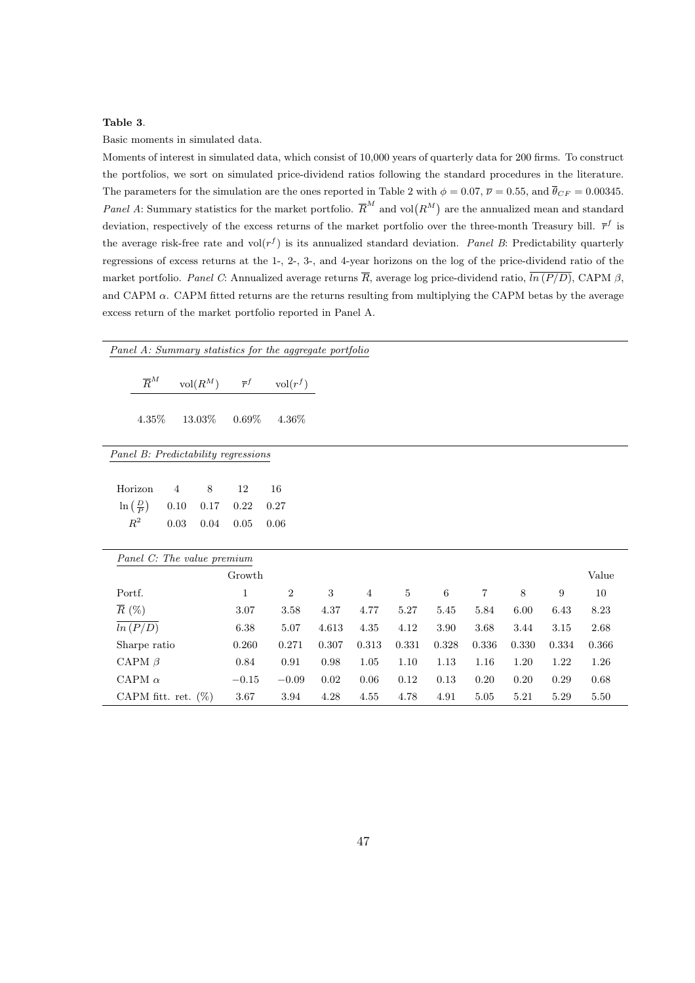# Table 3.

Basic moments in simulated data.

Moments of interest in simulated data, which consist of 10,000 years of quarterly data for 200 firms. To construct the portfolios, we sort on simulated price-dividend ratios following the standard procedures in the literature. The parameters for the simulation are the ones reported in Table 2 with  $\phi = 0.07$ ,  $\overline{\nu} = 0.55$ , and  $\overline{\theta}_{CF} = 0.00345$ . Panel A: Summary statistics for the market portfolio.  $\overline{R}^M$  and vol $(R^M)$  are the annualized mean and standard deviation, respectively of the excess returns of the market portfolio over the three-month Treasury bill.  $\bar{r}^f$  is the average risk-free rate and  $\text{vol}(r^f)$  is its annualized standard deviation. *Panel B*: Predictability quarterly regressions of excess returns at the 1-, 2-, 3-, and 4-year horizons on the log of the price-dividend ratio of the market portfolio. Panel C: Annualized average returns  $\overline{R}$ , average log price-dividend ratio,  $\overline{ln (P/D)}$ , CAPM  $\beta$ , and CAPM  $\alpha$ . CAPM fitted returns are the returns resulting from multiplying the CAPM betas by the average excess return of the market portfolio reported in Panel A.

|                               |                  |                        |                              |                                     | Panel A: Summary statistics for the aggregate portfolio |            |                |          |       |       |       |                  |       |
|-------------------------------|------------------|------------------------|------------------------------|-------------------------------------|---------------------------------------------------------|------------|----------------|----------|-------|-------|-------|------------------|-------|
|                               | $\overline{R}^M$ |                        | $\mathrm{vol}(\mathbb{R}^M)$ | $\overline{r}^f$                    | $\mathrm{vol}(r^f)$                                     |            |                |          |       |       |       |                  |       |
|                               | $4.35\%$         |                        | $13.03\%$                    | $0.69\%$                            | 4.36%                                                   |            |                |          |       |       |       |                  |       |
|                               |                  |                        |                              | Panel B: Predictability regressions |                                                         |            |                |          |       |       |       |                  |       |
| Horizon                       |                  | 4                      | 8                            | 12                                  | 16                                                      |            |                |          |       |       |       |                  |       |
| $\ln\left(\frac{D}{P}\right)$ |                  | 0.10                   | 0.17                         | 0.22                                | 0.27                                                    |            |                |          |       |       |       |                  |       |
| $\mathbb{R}^2$                |                  | 0.03                   | 0.04                         | 0.05                                | 0.06                                                    |            |                |          |       |       |       |                  |       |
|                               |                  |                        | Panel C: The value premium   |                                     |                                                         |            |                |          |       |       |       |                  |       |
|                               |                  |                        |                              | Growth                              |                                                         |            |                |          |       |       |       |                  | Value |
| Portf.                        |                  |                        |                              | $\mathbf{1}$                        | $\overline{2}$                                          | $\sqrt{3}$ | $\overline{4}$ | $\bf 5$  | 6     | 7     | 8     | $\boldsymbol{9}$ | 10    |
| $\overline{R}$ (%)            |                  |                        |                              | 3.07                                | 3.58                                                    | $4.37\,$   | 4.77           | $5.27\,$ | 5.45  | 5.84  | 6.00  | 6.43             | 8.23  |
|                               | ln(P/D)          |                        |                              | 6.38                                | 5.07                                                    | 4.613      | 4.35           | 4.12     | 3.90  | 3.68  | 3.44  | 3.15             | 2.68  |
|                               | Sharpe ratio     |                        |                              | 0.260                               | 0.271                                                   | 0.307      | 0.313          | 0.331    | 0.328 | 0.336 | 0.330 | 0.334            | 0.366 |
|                               | CAPM $\beta$     |                        |                              | 0.84                                | 0.91                                                    | 0.98       | 1.05           | 1.10     | 1.13  | 1.16  | 1.20  | 1.22             | 1.26  |
|                               | CAPM $\alpha$    |                        |                              | $-0.15$                             | $-0.09$                                                 | 0.02       | 0.06           | 0.12     | 0.13  | 0.20  | 0.20  | 0.29             | 0.68  |
|                               |                  | CAPM fitt. ret. $(\%)$ |                              | $3.67\,$                            | 3.94                                                    | 4.28       | 4.55           | 4.78     | 4.91  | 5.05  | 5.21  | 5.29             | 5.50  |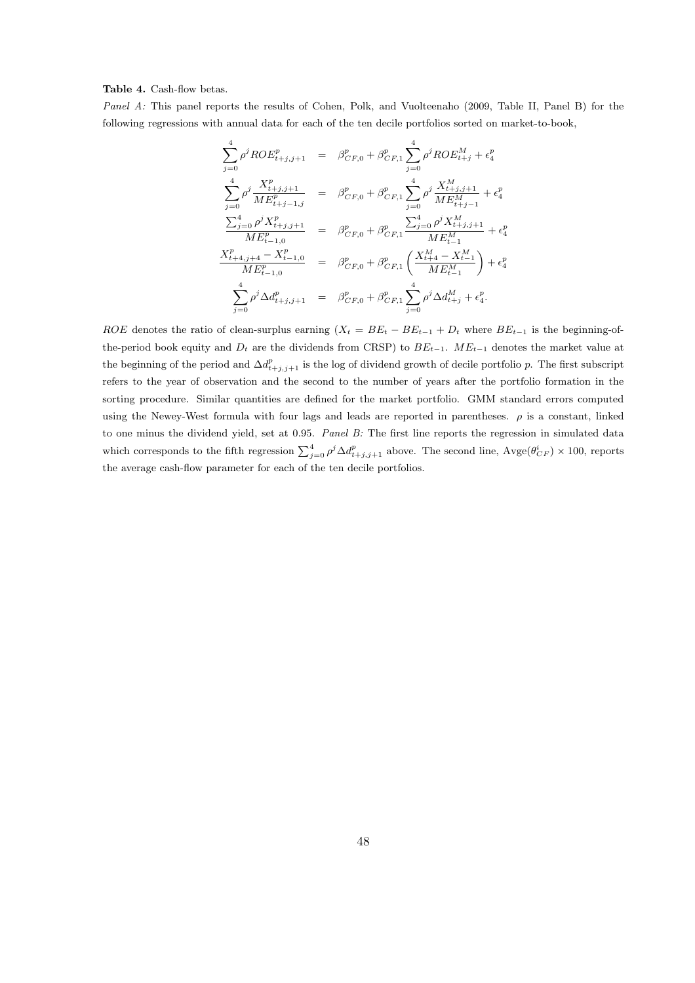#### Table 4. Cash-flow betas.

Panel A: This panel reports the results of Cohen, Polk, and Vuolteenaho (2009, Table II, Panel B) for the following regressions with annual data for each of the ten decile portfolios sorted on market-to-book,

$$
\sum_{j=0}^{4} \rho^{j} ROE_{t+j,j+1}^{p} = \beta_{CF,0}^{p} + \beta_{CF,1}^{p} \sum_{j=0}^{4} \rho^{j} ROE_{t+j}^{M} + \epsilon_{4}^{p}
$$
\n
$$
\sum_{j=0}^{4} \rho^{j} \frac{X_{t+j,j+1}^{p}}{ME_{t+j-1,j}^{p}} = \beta_{CF,0}^{p} + \beta_{CF,1}^{p} \sum_{j=0}^{4} \rho^{j} \frac{X_{t+j,j+1}^{M}}{ME_{t+j-1}^{M}} + \epsilon_{4}^{p}
$$
\n
$$
\frac{\sum_{j=0}^{4} \rho^{j} X_{t+j,j+1}^{p}}{ME_{t-1,0}^{p}} = \beta_{CF,0}^{p} + \beta_{CF,1}^{p} \frac{\sum_{j=0}^{4} \rho^{j} X_{t+j,j+1}^{M}}{ME_{t-1}^{M}} + \epsilon_{4}^{p}
$$
\n
$$
\frac{X_{t+4,j+4}^{p} - X_{t-1,0}^{p}}{ME_{t-1,0}^{p}} = \beta_{CF,0}^{p} + \beta_{CF,1}^{p} \left( \frac{X_{t+4}^{M} - X_{t-1}^{M}}{ME_{t-1}^{M}} \right) + \epsilon_{4}^{p}
$$
\n
$$
\sum_{j=0}^{4} \rho^{j} \Delta d_{t+j,j+1}^{p} = \beta_{CF,0}^{p} + \beta_{CF,1}^{p} \sum_{j=0}^{4} \rho^{j} \Delta d_{t+j}^{M} + \epsilon_{4}^{p}.
$$

ROE denotes the ratio of clean-surplus earning  $(X_t = BE_t - BE_{t-1} + D_t$  where  $BE_{t-1}$  is the beginning-ofthe-period book equity and  $D_t$  are the dividends from CRSP) to  $BE_{t-1}$ .  $ME_{t-1}$  denotes the market value at the beginning of the period and  $\Delta d_{t+j,j+1}^p$  is the log of dividend growth of decile portfolio p. The first subscript refers to the year of observation and the second to the number of years after the portfolio formation in the sorting procedure. Similar quantities are defined for the market portfolio. GMM standard errors computed using the Newey-West formula with four lags and leads are reported in parentheses.  $\rho$  is a constant, linked to one minus the dividend yield, set at 0.95. Panel B: The first line reports the regression in simulated data which corresponds to the fifth regression  $\sum_{j=0}^{4} \rho^{j} \Delta d_{t+j,j+1}^{p}$  above. The second line,  $\text{Avge}(\theta_{CF}^{i}) \times 100$ , reports the average cash-flow parameter for each of the ten decile portfolios.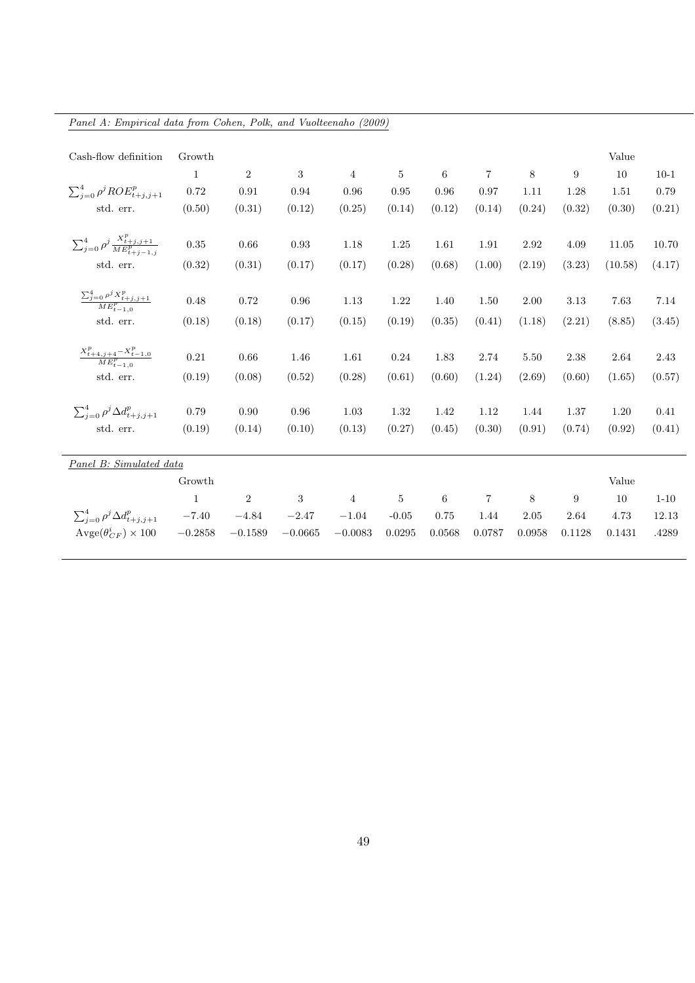| Panel A: Empirical data from Cohen, Polk, and Vuolteenaho (2009) |              |                  |            |                |                |        |                |        |        |         |          |
|------------------------------------------------------------------|--------------|------------------|------------|----------------|----------------|--------|----------------|--------|--------|---------|----------|
|                                                                  |              |                  |            |                |                |        |                |        |        |         |          |
| Cash-flow definition                                             | Growth       |                  |            |                |                |        |                |        |        | Value   |          |
|                                                                  | 1            | $\boldsymbol{2}$ | 3          | $\overline{4}$ | $\overline{5}$ | 6      | $\overline{7}$ | 8      | 9      | 10      | $10-1$   |
| $\sum_{i=0}^4 \rho^j ROE_{t+i,j+1}^p$                            | $0.72\,$     | 0.91             | 0.94       | 0.96           | 0.95           | 0.96   | 0.97           | 1.11   | 1.28   | 1.51    | 0.79     |
| std. err.                                                        | (0.50)       | (0.31)           | (0.12)     | (0.25)         | (0.14)         | (0.12) | (0.14)         | (0.24) | (0.32) | (0.30)  | (0.21)   |
|                                                                  |              |                  |            |                |                |        |                |        |        |         |          |
| $\sum_{j=0}^{4} \rho^j \frac{X_{t+j,j+1}^p}{ME_{t+j-1,j}^p}$     | 0.35         | 0.66             | 0.93       | 1.18           | 1.25           | 1.61   | 1.91           | 2.92   | 4.09   | 11.05   | 10.70    |
| std. err.                                                        | (0.32)       | (0.31)           | (0.17)     | (0.17)         | (0.28)         | (0.68) | (1.00)         | (2.19) | (3.23) | (10.58) | (4.17)   |
|                                                                  |              |                  |            |                |                |        |                |        |        |         |          |
| $\frac{\sum_{j=0}^4 \rho^j X_{t+j,j+1}^p}{ME_{t-1,0}^p}$         | 0.48         | 0.72             | 0.96       | 1.13           | 1.22           | 1.40   | 1.50           | 2.00   | 3.13   | 7.63    | 7.14     |
| std. err.                                                        | (0.18)       | (0.18)           | (0.17)     | (0.15)         | (0.19)         | (0.35) | (0.41)         | (1.18) | (2.21) | (8.85)  | (3.45)   |
| $\frac{X_{t+4,j+4}^p - X_{t-1,0}^p}{ME_{t-1,0}^p}$               | 0.21         | 0.66             |            |                |                |        |                |        |        |         |          |
|                                                                  |              |                  | 1.46       | 1.61           | $0.24\,$       | 1.83   | 2.74           | 5.50   | 2.38   | 2.64    | 2.43     |
| std. err.                                                        | (0.19)       | (0.08)           | (0.52)     | (0.28)         | (0.61)         | (0.60) | (1.24)         | (2.69) | (0.60) | (1.65)  | (0.57)   |
| $\sum_{i=0}^4 \rho^j \Delta d_{t+j, j+1}^p$                      | 0.79         | 0.90             | $\rm 0.96$ | $1.03\,$       | 1.32           | 1.42   | 1.12           | 1.44   | 1.37   | 1.20    | 0.41     |
| std. err.                                                        | (0.19)       | (0.14)           | (0.10)     | (0.13)         | (0.27)         | (0.45) | (0.30)         | (0.91) | (0.74) | (0.92)  | (0.41)   |
|                                                                  |              |                  |            |                |                |        |                |        |        |         |          |
| Panel B: Simulated data                                          |              |                  |            |                |                |        |                |        |        |         |          |
|                                                                  | Growth       |                  |            |                |                |        |                |        |        | Value   |          |
|                                                                  | $\mathbf{1}$ | $\sqrt{2}$       | $\sqrt{3}$ | $\overline{4}$ | $\bf 5$        | 6      | $\overline{7}$ | 8      | 9      | 10      | $1 - 10$ |
| $\sum_{i=0}^4 \rho^j \Delta d_{t+j,j+1}^p$                       | $-7.40\,$    | $-4.84$          | $-2.47$    | $-1.04$        | $-0.05$        | 0.75   | 1.44           | 2.05   | 2.64   | 4.73    | 12.13    |
| $\text{Avge}(\theta_{CF}^i) \times 100$                          | $-0.2858$    | $-0.1589$        | $-0.0665$  | $-0.0083$      | 0.0295         | 0.0568 | 0.0787         | 0.0958 | 0.1128 | 0.1431  | .4289    |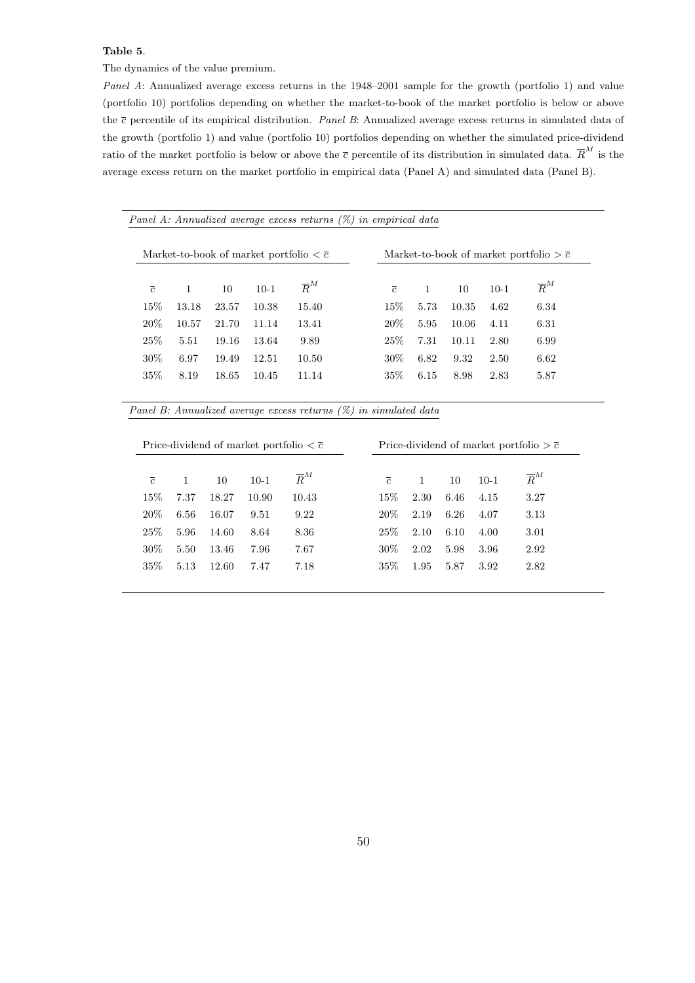#### Table 5.

The dynamics of the value premium.

Panel A: Annualized average excess returns in the 1948–2001 sample for the growth (portfolio 1) and value (portfolio 10) portfolios depending on whether the market-to-book of the market portfolio is below or above the  $\bar{c}$  percentile of its empirical distribution. *Panel B*: Annualized average excess returns in simulated data of the growth (portfolio 1) and value (portfolio 10) portfolios depending on whether the simulated price-dividend ratio of the market portfolio is below or above the  $\bar{c}$  percentile of its distribution in simulated data.  $\bar{R}^M$  is the average excess return on the market portfolio in empirical data (Panel A) and simulated data (Panel B).

| Panel A: Annualized average excess returns $(\%)$ in empirical data |  |  |  |  |
|---------------------------------------------------------------------|--|--|--|--|
|---------------------------------------------------------------------|--|--|--|--|

| $\overline{c}$<br>15\% | $\mathbf{1}$<br>13.18 | 10    | $10-1$ | $\overline{R}^M$ | $\overline{c}$ |              |       |        |                  |
|------------------------|-----------------------|-------|--------|------------------|----------------|--------------|-------|--------|------------------|
|                        |                       |       |        |                  |                | $\mathbf{1}$ | 10    | $10-1$ | $\overline{R}^M$ |
|                        |                       | 23.57 | 10.38  | 15.40            | $15\%$         | 5.73         | 10.35 | 4.62   | 6.34             |
| 20\%                   | 10.57                 | 21.70 | 11.14  | 13.41            | $20\%$         | 5.95         | 10.06 | 4.11   | 6.31             |
| 25\%                   | 5.51                  | 19.16 | 13.64  | 9.89             | $25\%$         | 7.31         | 10.11 | 2.80   | 6.99             |
| 30\%                   | 6.97                  | 19.49 | 12.51  | 10.50            | 30\%           | 6.82         | 9.32  | 2.50   | 6.62             |
| 35\%                   | 8.19                  | 18.65 | 10.45  | 11.14            | $35\%$         | 6.15         | 8.98  | 2.83   | 5.87             |

Panel B: Annualized average excess returns (%) in simulated data

|                | Price-dividend of market portfolio $\langle \bar{c} \rangle$ |       |        |                  |  |                | Price-dividend of market portfolio $\geq \overline{c}$ |      |        |                  |  |  |  |
|----------------|--------------------------------------------------------------|-------|--------|------------------|--|----------------|--------------------------------------------------------|------|--------|------------------|--|--|--|
| $\overline{c}$ | $\overline{1}$                                               | 10    | $10-1$ | $\overline{R}^M$ |  | $\overline{c}$ | 1                                                      | 10   | $10-1$ | $\overline{R}^M$ |  |  |  |
| 15\%           | 7.37                                                         | 18.27 | 10.90  | 10.43            |  | $15\%$         | 2.30                                                   | 6.46 | 4.15   | 3.27             |  |  |  |
| 20%            | 6.56                                                         | 16.07 | 9.51   | 9.22             |  | $20\%$         | 2.19                                                   | 6.26 | 4.07   | 3.13             |  |  |  |
| 25\%           | 5.96                                                         | 14.60 | 8.64   | 8.36             |  | 25%            | 2.10                                                   | 6.10 | 4.00   | 3.01             |  |  |  |
| 30\%           | 5.50                                                         | 13.46 | 7.96   | 7.67             |  | $30\%$         | 2.02                                                   | 5.98 | 3.96   | 2.92             |  |  |  |
| $35\%$         | 5.13                                                         | 12.60 | 7.47   | 7.18             |  | $35\%$         | 1.95                                                   | 5.87 | 3.92   | 2.82             |  |  |  |
|                |                                                              |       |        |                  |  |                |                                                        |      |        |                  |  |  |  |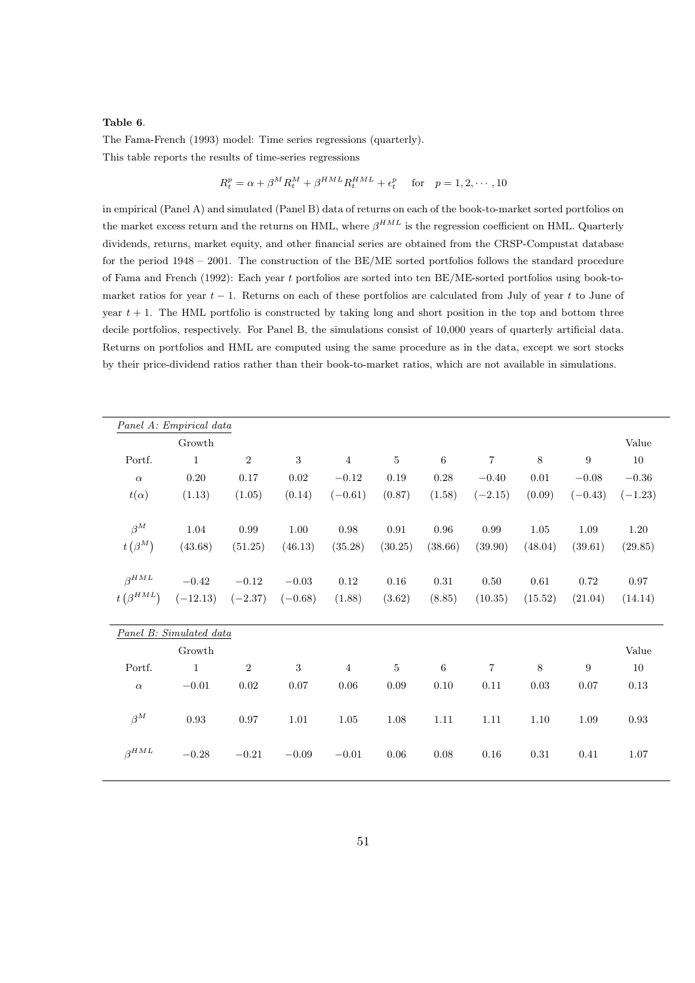#### Table 6.

The Fama-French (1993) model: Time series regressions (quarterly). This table reports the results of time-series regressions

$$
R_t^p = \alpha + \beta^M R_t^M + \beta^{HML} R_t^{HML} + \epsilon_t^p \quad \text{for} \quad p = 1, 2, \cdots, 10
$$

in empirical (Panel A) and simulated (Panel B) data of returns on each of the book-to-market sorted portfolios on the market excess return and the returns on HML, where  $\beta^{HML}$  is the regression coefficient on HML. Quarterly dividends, returns, market equity, and other financial series are obtained from the CRSP-Compustat database for the period 1948 – 2001. The construction of the BE/ME sorted portfolios follows the standard procedure of Fama and French (1992): Each year t portfolios are sorted into ten BE/ME-sorted portfolios using book-tomarket ratios for year  $t - 1$ . Returns on each of these portfolios are calculated from July of year t to June of year  $t + 1$ . The HML portfolio is constructed by taking long and short position in the top and bottom three decile portfolios, respectively. For Panel B, the simulations consist of 10,000 years of quarterly artificial data. Returns on portfolios and HML are computed using the same procedure as in the data, except we sort stocks by their price-dividend ratios rather than their book-to-market ratios, which are not available in simulations.

|                             | Panel A: Empirical data |                |            |                |                |          |                |         |           |           |
|-----------------------------|-------------------------|----------------|------------|----------------|----------------|----------|----------------|---------|-----------|-----------|
|                             | Growth                  |                |            |                |                |          |                |         |           | Value     |
| Portf.                      | $\mathbf{1}$            | $\,2$          | 3          | $\overline{4}$ | $5\,$          | $\,6\,$  | $\,7$          | 8       | 9         | 10        |
| $\alpha$                    | 0.20                    | $0.17\,$       | $\rm 0.02$ | $-0.12$        | $0.19\,$       | $0.28\,$ | $-0.40$        | 0.01    | $-0.08$   | $-0.36$   |
| $t(\alpha)$                 | (1.13)                  | (1.05)         | (0.14)     | $(-0.61)$      | (0.87)         | (1.58)   | $(-2.15)$      | (0.09)  | $(-0.43)$ | $(-1.23)$ |
|                             |                         |                |            |                |                |          |                |         |           |           |
| $\beta^M$                   | 1.04                    | $\,0.99\,$     | 1.00       | $0.98\,$       | $\rm 0.91$     | 0.96     | 0.99           | 1.05    | 1.09      | $1.20\,$  |
| $t\left(\beta^{M}\right)$   | (43.68)                 | (51.25)        | (46.13)    | (35.28)        | (30.25)        | (38.66)  | (39.90)        | (48.04) | (39.61)   | (29.85)   |
|                             |                         |                |            |                |                |          |                |         |           |           |
| $\beta^{HML}$               | $-0.42$                 | $-0.12$        | $-0.03$    | 0.12           | 0.16           | 0.31     | 0.50           | 0.61    | 0.72      | 0.97      |
| $t\left(\beta^{HML}\right)$ | $(-12.13)$              | $(-2.37)$      | $(-0.68)$  | (1.88)         | (3.62)         | (8.85)   | (10.35)        | (15.52) | (21.04)   | (14.14)   |
|                             |                         |                |            |                |                |          |                |         |           |           |
|                             | Panel B: Simulated data |                |            |                |                |          |                |         |           |           |
|                             | Growth                  |                |            |                |                |          |                |         |           | Value     |
| Portf.                      | $\mathbf{1}$            | $\overline{2}$ | $\sqrt{3}$ | $\overline{4}$ | $\overline{5}$ | $\,6\,$  | $\overline{7}$ | $\,8\,$ | 9         | 10        |
| $\alpha$                    | $-0.01$                 | 0.02           | 0.07       | 0.06           | 0.09           | 0.10     | 0.11           | 0.03    | 0.07      | 0.13      |
|                             |                         |                |            |                |                |          |                |         |           |           |
| $\beta^M$                   | $\rm 0.93$              | 0.97           | 1.01       | 1.05           | 1.08           | 1.11     | 1.11           | 1.10    | 1.09      | 0.93      |
|                             |                         |                |            |                |                |          |                |         |           |           |
| $\beta^{HML}$               | $-0.28$                 | $-0.21$        | $-0.09$    | $-0.01$        | 0.06           | 0.08     | 0.16           | 0.31    | 0.41      | 1.07      |
|                             |                         |                |            |                |                |          |                |         |           |           |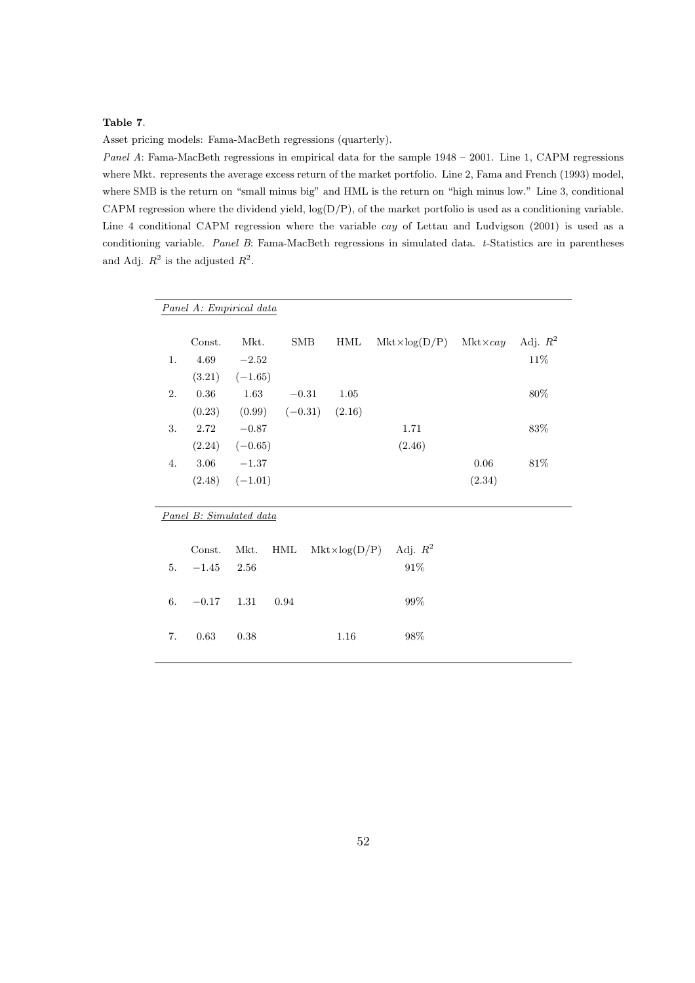# Table 7.

Asset pricing models: Fama-MacBeth regressions (quarterly).

Panel A: Fama-MacBeth regressions in empirical data for the sample 1948 – 2001. Line 1, CAPM regressions where Mkt. represents the average excess return of the market portfolio. Line 2, Fama and French (1993) model, where SMB is the return on "small minus big" and HML is the return on "high minus low." Line 3, conditional CAPM regression where the dividend yield,  $log(D/P)$ , of the market portfolio is used as a conditioning variable. Line 4 conditional CAPM regression where the variable cay of Lettau and Ludvigson (2001) is used as a conditioning variable. Panel B: Fama-MacBeth regressions in simulated data. t-Statistics are in parentheses and Adj.  $R^2$  is the adjusted  $R^2$ .

|    | Panel A: Empirical data |                    |            |                       |            |                                        |            |
|----|-------------------------|--------------------|------------|-----------------------|------------|----------------------------------------|------------|
|    |                         |                    |            |                       |            |                                        |            |
|    | Const.                  | Mkt.               | <b>SMB</b> | HML                   |            | $Mkt \times log(D/P)$ $Mkt \times cay$ | Adj. $R^2$ |
| 1. | 4.69                    | $-2.52$            |            |                       |            |                                        | 11%        |
|    |                         | $(3.21)$ $(-1.65)$ |            |                       |            |                                        |            |
| 2. | 0.36                    | 1.63               | $-0.31$    | 1.05                  |            |                                        | 80%        |
|    | (0.23)                  | $(0.99)$ $(-0.31)$ |            | (2.16)                |            |                                        |            |
| 3. | 2.72                    | $-0.87$            |            |                       | 1.71       |                                        | 83\%       |
|    |                         | $(2.24)$ $(-0.65)$ |            |                       | (2.46)     |                                        |            |
| 4. | 3.06                    | $-1.37$            |            |                       |            | 0.06                                   | 81\%       |
|    |                         | $(2.48)$ $(-1.01)$ |            |                       |            | (2.34)                                 |            |
|    |                         |                    |            |                       |            |                                        |            |
|    | Panel B: Simulated data |                    |            |                       |            |                                        |            |
|    |                         |                    |            |                       |            |                                        |            |
|    | Const.                  | Mkt.               | HML        | $Mkt \times log(D/P)$ | Adj. $R^2$ |                                        |            |
|    |                         |                    |            |                       |            |                                        |            |
| 5. | $-1.45$                 | 2.56               |            |                       | $91\%$     |                                        |            |
|    |                         |                    |            |                       |            |                                        |            |
| 6. | $-0.17$                 | $1.31\,$           | 0.94       |                       | 99%        |                                        |            |
|    |                         |                    |            |                       |            |                                        |            |
| 7. | 0.63                    | 0.38               |            | 1.16                  | 98%        |                                        |            |
|    |                         |                    |            |                       |            |                                        |            |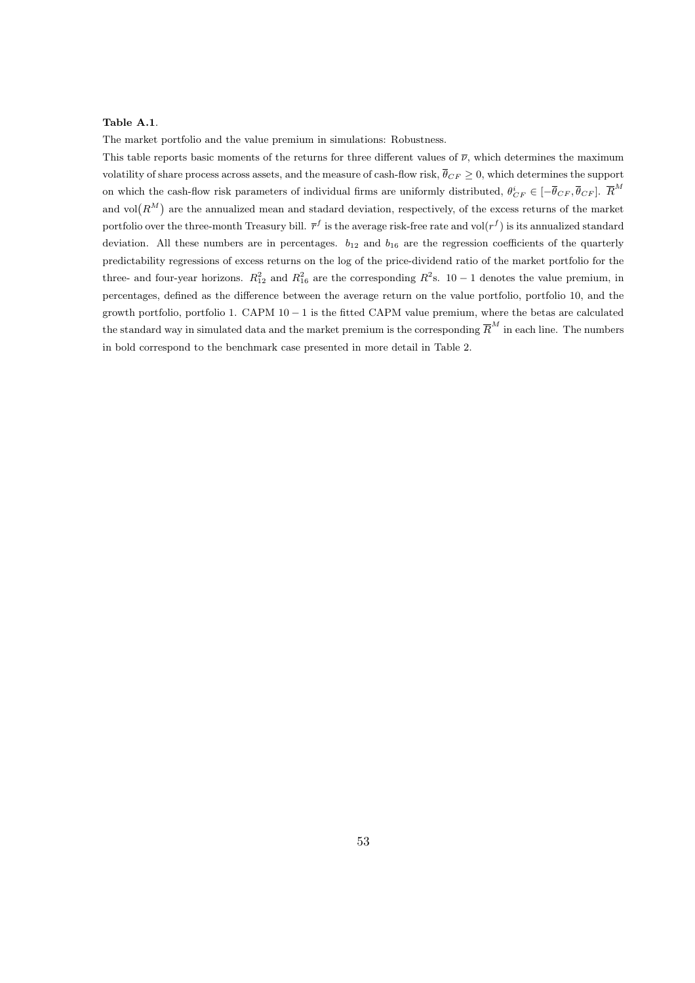### Table A.1.

The market portfolio and the value premium in simulations: Robustness.

This table reports basic moments of the returns for three different values of  $\bar{\nu}$ , which determines the maximum volatility of share process across assets, and the measure of cash-flow risk,  $\bar{\theta}_{CF} > 0$ , which determines the support on which the cash-flow risk parameters of individual firms are uniformly distributed,  $\theta_{CF}^i \in [-\overline{\theta}_{CF}, \overline{\theta}_{CF}]$ .  $\overline{R}^M$ and vol $(R^M)$  are the annualized mean and stadard deviation, respectively, of the excess returns of the market portfolio over the three-month Treasury bill.  $\bar{r}^f$  is the average risk-free rate and vol $(r^f)$  is its annualized standard deviation. All these numbers are in percentages.  $b_{12}$  and  $b_{16}$  are the regression coefficients of the quarterly predictability regressions of excess returns on the log of the price-dividend ratio of the market portfolio for the three- and four-year horizons.  $R_{12}^2$  and  $R_{16}^2$  are the corresponding  $R^2$ s. 10 – 1 denotes the value premium, in percentages, defined as the difference between the average return on the value portfolio, portfolio 10, and the growth portfolio, portfolio 1. CAPM 10 − 1 is the fitted CAPM value premium, where the betas are calculated the standard way in simulated data and the market premium is the corresponding  $\overline{R}^M$  in each line. The numbers in bold correspond to the benchmark case presented in more detail in Table 2.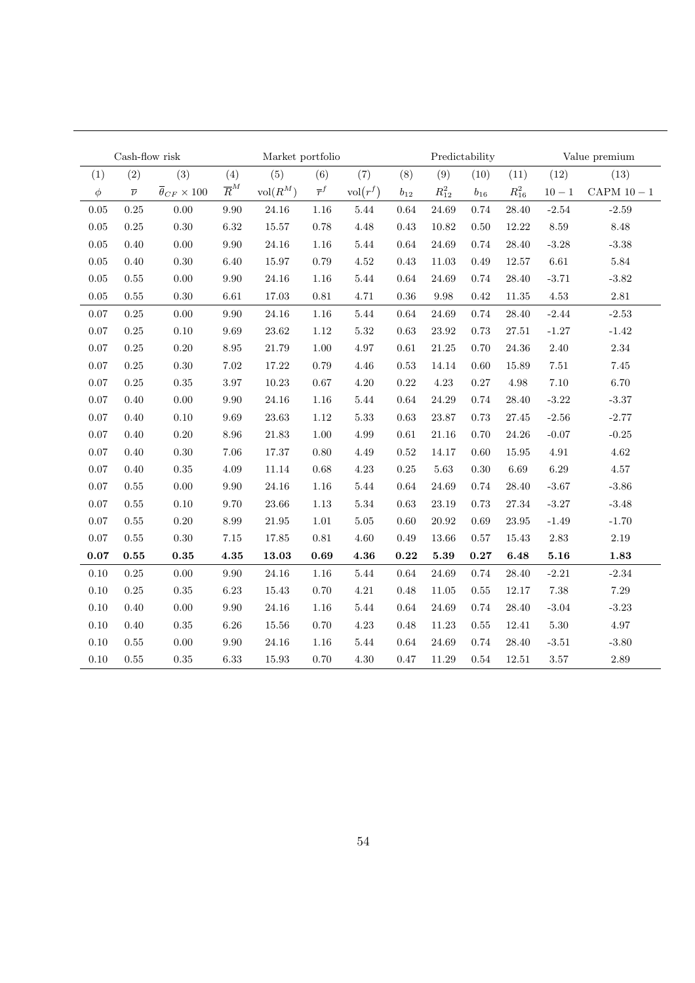|            | Cash-flow risk<br>Market portfolio |                                     |                  |                     |                  |                     | Predictability<br>Value premium |                     |          |            |          |                        |
|------------|------------------------------------|-------------------------------------|------------------|---------------------|------------------|---------------------|---------------------------------|---------------------|----------|------------|----------|------------------------|
| (1)        | (2)                                | (3)                                 | (4)              | (5)                 | (6)              | (7)                 | (8)                             | (9)                 | (10)     | (11)       | (12)     | (13)                   |
| $\phi$     | $\overline{\nu}$                   | $\overline{\theta}_{CF} \times 100$ | $\overline{R}^M$ | $\mathrm{vol}(R^M)$ | $\overline{r}^f$ | $\mathrm{vol}(r^f)$ | $b_{12}$                        | $R_{12}^2$          | $b_{16}$ | $R_{16}^2$ | $10 - 1$ | $\mbox{CAPM}$ 10 $-$ 1 |
| $0.05\,$   | 0.25                               | 0.00                                | $\,9.90$         | $24.16\,$           | 1.16             | 5.44                | 0.64                            | 24.69               | $0.74\,$ | 28.40      | $-2.54$  | $-2.59$                |
| $0.05\,$   | 0.25                               | 0.30                                | $6.32\,$         | $15.57\,$           | 0.78             | 4.48                | 0.43                            | $10.82\,$           | 0.50     | 12.22      | $8.59\,$ | $8.48\,$               |
| $0.05\,$   | 0.40                               | 0.00                                | $\,9.90$         | $24.16\,$           | $1.16\,$         | 5.44                | 0.64                            | 24.69               | $0.74\,$ | 28.40      | $-3.28$  | $-3.38$                |
| $0.05\,$   | 0.40                               | 0.30                                | 6.40             | 15.97               | 0.79             | 4.52                | 0.43                            | 11.03               | 0.49     | 12.57      | $6.61\,$ | $5.84\,$               |
| 0.05       | 0.55                               | 0.00                                | 9.90             | 24.16               | 1.16             | 5.44                | 0.64                            | 24.69               | 0.74     | 28.40      | $-3.71$  | $-3.82$                |
| 0.05       | $0.55\,$                           | 0.30                                | 6.61             | 17.03               | $\rm 0.81$       | 4.71                | $\,0.36$                        | 9.98                | 0.42     | 11.35      | $4.53\,$ | $2.81\,$               |
| 0.07       | $0.25\,$                           | 0.00                                | 9.90             | 24.16               | $1.16\,$         | 5.44                | 0.64                            | 24.69               | $0.74\,$ | 28.40      | $-2.44$  | $-2.53$                |
| 0.07       | 0.25                               | 0.10                                | 9.69             | $23.62\,$           | 1.12             | $5.32\,$            | 0.63                            | 23.92               | 0.73     | 27.51      | $-1.27$  | $-1.42$                |
| 0.07       | 0.25                               | 0.20                                | 8.95             | 21.79               | 1.00             | 4.97                | 0.61                            | 21.25               | 0.70     | 24.36      | 2.40     | $2.34\,$               |
| $0.07\,$   | 0.25                               | 0.30                                | $7.02\,$         | 17.22               | 0.79             | 4.46                | $0.53\,$                        | 14.14               | 0.60     | 15.89      | $7.51\,$ | 7.45                   |
| $0.07\,$   | 0.25                               | 0.35                                | $3.97\,$         | $10.23\,$           | 0.67             | 4.20                | 0.22                            | 4.23                | 0.27     | $4.98\,$   | $7.10\,$ | 6.70                   |
| $0.07\,$   | 0.40                               | 0.00                                | $\,9.90$         | 24.16               | $1.16\,$         | 5.44                | 0.64                            | 24.29               | 0.74     | 28.40      | $-3.22$  | $-3.37$                |
| $0.07\,$   | 0.40                               | 0.10                                | $9.69\,$         | 23.63               | 1.12             | $5.33\,$            | 0.63                            | $23.87\,$           | 0.73     | 27.45      | $-2.56$  | $-2.77$                |
| 0.07       | 0.40                               | 0.20                                | 8.96             | 21.83               | 1.00             | 4.99                | 0.61                            | 21.16               | 0.70     | 24.26      | $-0.07$  | $-0.25$                |
| 0.07       | 0.40                               | 0.30                                | 7.06             | 17.37               | 0.80             | 4.49                | 0.52                            | 14.17               | 0.60     | 15.95      | 4.91     | $4.62\,$               |
| 0.07       | 0.40                               | 0.35                                | $4.09\,$         | $11.14\,$           | 0.68             | 4.23                | 0.25                            | 5.63                | 0.30     | 6.69       | $6.29\,$ | $4.57\,$               |
| 0.07       | 0.55                               | 0.00                                | 9.90             | 24.16               | $1.16\,$         | 5.44                | 0.64                            | 24.69               | 0.74     | 28.40      | $-3.67$  | $-3.86$                |
| 0.07       | 0.55                               | 0.10                                | 9.70             | $23.66\,$           | $1.13\,$         | $5.34\,$            | 0.63                            | 23.19               | 0.73     | 27.34      | $-3.27$  | $-3.48$                |
| 0.07       | 0.55                               | 0.20                                | 8.99             | 21.95               | $1.01\,$         | $5.05\,$            | 0.60                            | 20.92               | 0.69     | 23.95      | $-1.49$  | $-1.70$                |
| $0.07\,$   | 0.55                               | 0.30                                | $7.15\,$         | 17.85               | $\rm 0.81$       | 4.60                | 0.49                            | 13.66               | 0.57     | 15.43      | $2.83\,$ | $2.19\,$               |
| $\bf 0.07$ | 0.55                               | $\bf 0.35$                          | $\bf 4.35$       | 13.03               | 0.69             | 4.36                | $\bf 0.22$                      | $\boldsymbol{5.39}$ | 0.27     | 6.48       | 5.16     | 1.83                   |
| 0.10       | 0.25                               | 0.00                                | $\,9.90$         | $24.16\,$           | $1.16\,$         | $5.44\,$            | 0.64                            | 24.69               | $0.74\,$ | 28.40      | $-2.21$  | $\textbf{-2.34}$       |
| 0.10       | 0.25                               | $0.35\,$                            | 6.23             | $15.43\,$           | 0.70             | 4.21                | 0.48                            | 11.05               | 0.55     | 12.17      | 7.38     | $7.29\,$               |
| 0.10       | 0.40                               | 0.00                                | 9.90             | 24.16               | 1.16             | 5.44                | 0.64                            | 24.69               | 0.74     | 28.40      | $-3.04$  | $-3.23$                |
| 0.10       | 0.40                               | 0.35                                | 6.26             | 15.56               | 0.70             | 4.23                | 0.48                            | 11.23               | 0.55     | 12.41      | $5.30\,$ | 4.97                   |
| 0.10       | 0.55                               | 0.00                                | 9.90             | 24.16               | $1.16\,$         | 5.44                | 0.64                            | 24.69               | 0.74     | 28.40      | $-3.51$  | $-3.80$                |
| 0.10       | $0.55\,$                           | $0.35\,$                            | 6.33             | 15.93               | $0.70\,$         | 4.30                | $0.47\,$                        | 11.29               | 0.54     | 12.51      | $3.57\,$ | $2.89\,$               |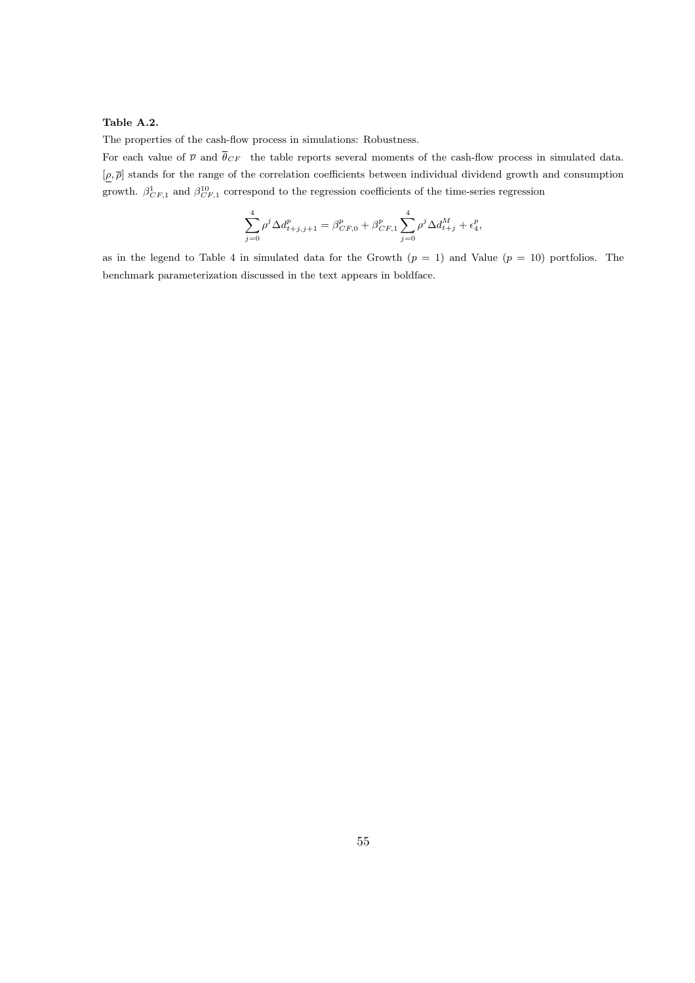# Table A.2.

The properties of the cash-flow process in simulations: Robustness.

For each value of  $\overline{\nu}$  and  $\overline{\theta}_{CF}$  the table reports several moments of the cash-flow process in simulated data.  $[\rho, \overline{\rho}]$  stands for the range of the correlation coefficients between individual dividend growth and consumption growth.  $\beta_{CF,1}^1$  and  $\beta_{CF,1}^{10}$  correspond to the regression coefficients of the time-series regression

$$
\sum_{j=0}^{4} \rho^j \Delta d_{t+j,j+1}^p = \beta_{CF,0}^p + \beta_{CF,1}^p \sum_{j=0}^{4} \rho^j \Delta d_{t+j}^M + \epsilon_4^p,
$$

as in the legend to Table 4 in simulated data for the Growth  $(p = 1)$  and Value  $(p = 10)$  portfolios. The benchmark parameterization discussed in the text appears in boldface.